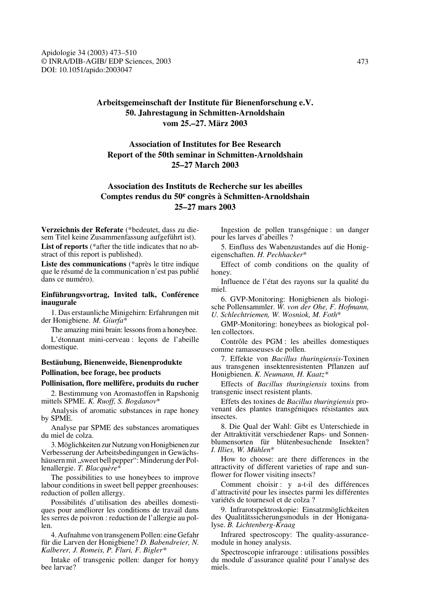# **Arbeitsgemeinschaft der Institute für Bienenforschung e.V. 50. Jahrestagung in Schmitten-Arnoldshain vom 25.–27. März 2003**

# **Association of Institutes for Bee Research Report of the 50th seminar in Schmitten-Arnoldshain 25–27 March 2003**

# **Association des Instituts de Recherche sur les abeilles Comptes rendus du 50e congrès à Schmitten-Arnoldshain 25–27 mars 2003**

**Verzeichnis der Referate** (\*bedeutet, dass zu diesem Titel keine Zusammenfassung aufgeführt ist). **List of reports** (\*after the title indicates that no abstract of this report is published).

**Liste des communications** (\*après le titre indique que le résumé de la communication n'est pas publié dans ce numéro).

# **Einführungsvortrag, Invited talk, Conférence inaugurale**

1. Das erstaunliche Minigehirn: Erfahrungen mit der Honigbiene. *M. Giurfa*\*

The amazing mini brain: lessons from a honeybee.

L'étonnant mini-cerveau : leçons de l'abeille domestique.

# **Bestäubung, Bienenweide, Bienenprodukte Pollination, bee forage, bee products**

# **Pollinisation, flore mellifère, produits du rucher**

2. Bestimmung von Aromastoffen in Rapshonig mittels SPME. *K. Ruoff, S. Bogdanov*\*

Analysis of aromatic substances in rape honey by SPME.

Analyse par SPME des substances aromatiques du miel de colza.

3. Möglichkeiten zur Nutzung von Honigbienen zur Verbesserung der Arbeitsbedingungen in Gewächshäusern mit "sweet bell pepper": Minderung der Pollenallergie. *T. Blacquère*\*

The possibilities to use honeybees to improve labour conditions in sweet bell pepper greenhouses: reduction of pollen allergy.

Possibilités d'utilisation des abeilles domestiques pour améliorer les conditions de travail dans les serres de poivron : reduction de l'allergie au pollen.

4. Aufnahme von transgenem Pollen: eine Gefahr für die Larven der Honigbiene? *D. Babendreier, N. Kalberer, J. Romeis, P. Fluri, F. Bigler\**

Intake of transgenic pollen: danger for honyy bee larvae?

Ingestion de pollen transgénique : un danger pour les larves d'abeilles ?

5. Einfluss des Wabenzustandes auf die Honigeigenschaften. *H. Pechhacker*\*

Effect of comb conditions on the quality of honey.

Influence de l'état des rayons sur la qualité du miel.

6. GVP-Monitoring: Honigbienen als biologische Pollensammler. *W. von der Ohe, F. Hofmann, U. Schlechtriemen, W. Wosniok, M. Foth*\*

GMP-Monitoring: honeybees as biological pollen collectors.

Contrôle des PGM : les abeilles domestiques comme ramasseuses de pollen.

7. Effekte von *Bacillus thuringiensis*-Toxinen aus transgenen insektenresistenten Pflanzen auf Honigbienen. *K. Neumann, H. Kaatz\**

Effects of *Bacillus thuringiensis* toxins from transgenic insect resistent plants.

Effets des toxines de *Bacillus thuringiensis* provenant des plantes transgéniques résistantes aux insectes.

8. Die Qual der Wahl: Gibt es Unterschiede in der Attraktivität verschiedener Raps- und Sonnenblumensorten für blütenbesuchende Insekten? *I. Illies, W. Mühlen*\*

How to choose: are there differences in the attractivity of different varieties of rape and sunflower for flower visiting insects?

Comment choisir : y a-t-il des différences d'attractivité pour les insectes parmi les différentes variétés de tournesol et de colza ?

9. Infrarotspektroskopie: Einsatzmöglichkeiten des Qualitätssicherungsmoduls in der Honiganalyse. *B. Lichtenberg-Kraag*

Infrared spectroscopy: The quality-assurancemodule in honey analysis.

Spectroscopie infrarouge : utilisations possibles du module d'assurance qualité pour l'analyse des miels.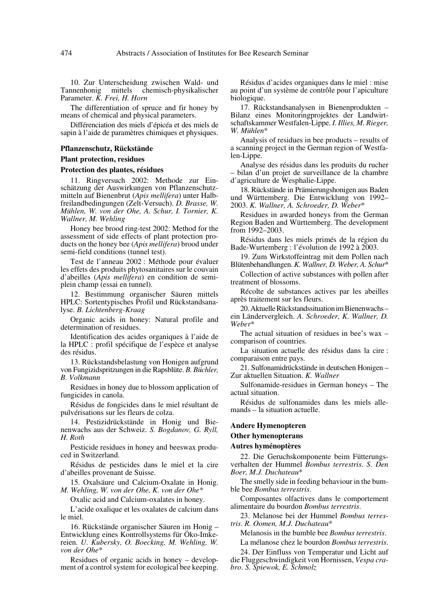10. Zur Unterscheidung zwischen Wald- und Tannenhonig mittels chemisch-physikalischer Parameter. *K. Frei, H. Horn*

The differentiation of spruce and fir honey by means of chemical and physical parameters.

Différenciation des miels d'épicéa et des miels de sapin à l'aide de paramètres chimiques et physiques.

#### **Pflanzenschutz, Rückstände**

#### **Plant protection, residues**

#### **Protection des plantes, résidues**

11. Ringversuch 2002: Methode zur Einschätzung der Auswirkungen von Pflanzenschutzmitteln auf Bienenbrut (*Apis mellifera*) unter Halbfreilandbedingungen (Zelt-Versuch). *D. Brasse, W. Mühlen, W. von der Ohe, A. Schur, I. Tornier, K. Wallner, M. Wehling*

Honey bee brood ring-test 2002: Method for the assessment of side effects of plant protection products on the honey bee (*Apis mellifera*) brood under semi-field conditions (tunnel test).

Test de l'anneau 2002 : Méthode pour évaluer les effets des produits phytosanitaires sur le couvain d'abeilles (*Apis mellifera*) en condition de semiplein champ (essai en tunnel).

12. Bestimmung organischer Säuren mittels HPLC: Sortentypisches Profil und Rückstandsanalyse. *B. Lichtenberg-Kraag*

Organic acids in honey: Natural profile and determination of residues.

Identification des acides organiques à l'aide de la HPLC : profil spécifique de l'espèce et analyse des résidus.

13. Rückstandsbelastung von Honigen aufgrund von Fungizidspritzungen in die Rapsblüte. *B. Büchler, B. Volkmann*

Residues in honey due to blossom application of fungicides in canola.

Résidus de fongicides dans le miel résultant de pulvérisations sur les fleurs de colza.

14. Pestizidrückstände in Honig und Bienenwachs aus der Schweiz. *S. Bogdanov, G. Ryll, H. Roth*

Pesticide residues in honey and beeswax produced in Switzerland.

Résidus de pesticides dans le miel et la cire d'abeilles provenant de Suisse.

15. Oxalsäure und Calcium-Oxalate in Honig. *M. Wehling, W. von der Ohe, K. von der Ohe*\*

Oxalic acid and Calcium-oxalates in honey.

L'acide oxalique et les oxalates de calcium dans le miel.

16. Rückstände organischer Säuren im Honig – Entwicklung eines Kontrollsystems für Öko-Imkereien. *U. Kubersky, O. Boecking, M. Wehling, W. von der Ohe*\*

Residues of organic acids in honey – development of a control system for ecological bee keeping.

Résidus d'acides organiques dans le miel : mise au point d'un système de contrôle pour l'apiculture biologique.

17. Rückstandsanalysen in Bienenprodukten – Bilanz eines Monitoringprojektes der Landwirtschaftskammer Westfalen-Lippe. *I. Illies, M. Rieger, W. Mühlen*\*

Analysis of residues in bee products – results of a scanning project in the German region of Westfalen-Lippe.

Analyse des résidus dans les produits du rucher – bilan d'un projet de surveillance de la chambre d'agriculture de Wesphalie-Lippe.

18. Rückstände in Prämierungshonigen aus Baden und Württemberg. Die Entwicklung von 1992– 2003. *K. Wallner, A. Schroeder, D. Weber*\*

Residues in awarded honeys from the German Region Baden and Württemberg. The development from 1992–2003.

Résidus dans les miels primés de la région du Bade-Wurtemberg : l'évolution de 1992 à 2003.

19. Zum Wirkstoffeintrag mit dem Pollen nach Blütenbehandlungen. *K. Wallner, D. Weber, A. Schur*\*

Collection of active substances with pollen after treatment of blossoms.

Récolte de substances actives par les abeilles après traitement sur les fleurs.

20. Aktuelle Rückstandssituation im Bienenwachs – ein Ländervergleich. *A*. *Schroeder, K. Wallner, D. Weber*\*

The actual situation of residues in bee's wax – comparison of countries.

La situation actuelle des résidus dans la cire : comparaison entre pays.

21. Sulfonamidrückstände in deutschen Honigen – Zur aktuellen Situation. *K. Wallner*

Sulfonamide-residues in German honeys – The actual situation.

Résidus de sulfonamides dans les miels allemands – la situation actuelle.

#### **Andere Hymenopteren**

#### **Other hymenopterans**

#### **Autres hyménoptères**

22. Die Geruchskomponente beim Fütterungsverhalten der Hummel *Bombus terrestris*. *S. Den Boer, M.J. Duchateau*\*

The smelly side in feeding behaviour in the bumble bee *Bombus terrestris*.

Composantes olfactives dans le comportement alimentaire du bourdon *Bombus terrestris*.

23. Melanose bei der Hummel *Bombus terrestris*. *R. Oomen, M.J. Duchateau*\*

Melanosis in the bumble bee *Bombus terrestris*.

La mélanose chez le bourdon *Bombus terrestris*.

24. Der Einfluss von Temperatur und Licht auf die Fluggeschwindigkeit von Hornissen, *Vespa crabro*. *S. Spiewok, E. Schmolz*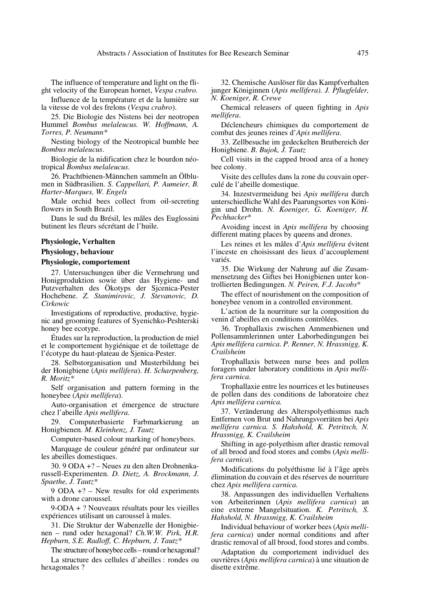The influence of temperature and light on the flight velocity of the European hornet, *Vespa crabro.*

Influence de la température et de la lumière sur la vitesse de vol des frelons (*Vespa crabro*).

25. Die Biologie des Nistens bei der neotropen Hummel *Bombus melaleucus. W. Hoffmann, A. Torres, P. Neumann\**

Nesting biology of the Neotropical bumble bee *Bombus melaleucus*.

Biologie de la nidification chez le bourdon néotropical *Bombus melaleucus*.

26. Prachtbienen-Männchen sammeln an Ölblumen in Südbrasilien. *S. Cappellari, P. Aumeier, B. Harter-Marques, W. Engels*

Male orchid bees collect from oil-secreting flowers in South Brazil.

Dans le sud du Brésil, les mâles des Euglossini butinent les fleurs sécrétant de l'huile.

#### **Physiologie, Verhalten**

**Physiology, behaviour**

#### **Physiologie, comportement**

27. Untersuchungen über die Vermehrung und Honigproduktion sowie über das Hygiene- und Putzverhalten des Ökotyps der Sjcenica-Pester Hochebene. *Z. Stanimirovic, J. Stevanovic, D. Cirkowic*

Investigations of reproductive, productive, hygienic and grooming features of Syenichko-Peshterski honey bee ecotype.

Études sur la reproduction, la production de miel et le comportement hygiénique et de toilettage de l'écotype du haut-plateau de Sjenica-Pester.

28. Selbstorganisation und Musterbildung bei der Honigbiene (*Apis mellifera*). *H. Scharpenberg, R. Moritz\**

Self organisation and pattern forming in the honeybee (*Apis mellifera*).

Auto-organisation et émergence de structure chez l'abeille *Apis mellifera*.

29. Computerbasierte Farbmarkierung an Honigbienen. *M. Kleinhenz, J. Tautz*

Computer-based colour marking of honeybees.

Marquage de couleur généré par ordinateur sur les abeilles domestiques.

30. 9 ODA +? – Neues zu den alten Drohnenkarussell-Experimenten. *D. Dietz, A. Brockmann, J. Spaethe, J. Tautz\**

9 ODA +? – New results for old experiments with a drone caroussel.

9-ODA + ? Nouveaux résultats pour les vieilles expériences utilisant un caroussel à males.

31. Die Struktur der Wabenzelle der Honigbienen – rund oder hexagonal? *Ch.W.W. Pirk, H.R. Hepburn, S.E. Radloff, C. Hepburn, J. Tautz\**

The structure of honeybee cells – round or hexagonal?

La structure des cellules d'abeilles : rondes ou hexagonales ?

32. Chemische Auslöser für das Kampfverhalten junger Königinnen (*Apis mellifera). J. Pflugfelder, N. Koeniger, R. Crewe*

Chemical releasers of queen fighting in *Apis mellifera*.

Déclencheurs chimiques du comportement de combat des jeunes reines d'*Apis mellifera*.

33. Zellbesuche im gedeckelten Brutbereich der Honigbiene. *B. Bujok, J. Tautz*

Cell visits in the capped brood area of a honey bee colony.

Visite des cellules dans la zone du couvain operculé de l'abeille domestique.

34. Inzestvermeidung bei *Apis mellifera* durch unterschiedliche Wahl des Paarungsortes von Königin und Drohn. *N. Koeniger, G. Koeniger, H. Pechhacker*\*

Avoiding incest in *Apis mellifera* by choosing different mating places by queens and drones.

Les reines et les mâles d'*Apis mellifera* évitent l'inceste en choisissant des lieux d'accouplement variés.

35. Die Wirkung der Nahrung auf die Zusammensetzung des Giftes bei Honigbienen unter kontrollierten Bedingungen. *N. Peiren, F.J. Jacobs*\*

The effect of nourishment on the composition of honeybee venom in a controlled environment.

L'action de la nourriture sur la composition du venin d'abeilles en conditions contrôlées.

36. Trophallaxis zwischen Ammenbienen und Pollensammlerinnen unter Laborbedingungen bei *Apis mellifera carnica*. *P. Renner, N. Hrassnigg, K. Crailsheim*

Trophallaxis between nurse bees and pollen foragers under laboratory conditions in *Apis mellifera carnica*.

Trophallaxie entre les nourrices et les butineuses de pollen dans des conditions de laboratoire chez *Apis mellifera carnica.*

37. Veränderung des Alterspolyethismus nach Entfernen von Brut und Nahrungsvorräten bei *Apis mellifera carnica. S. Hahshold, K. Petritsch, N. Hrassnigg, K. Crailsheim* 

Shifting in age-polyethism after drastic removal of all brood and food stores and combs (*Apis mellifera carnica*).

Modifications du polyéthisme lié à l'âge après élimination du couvain et des réserves de nourriture chez *Apis mellifera carnica.*

38. Anpassungen des individuellen Verhaltens von Arbeiterinnen (*Apis mellifera carnica*) an eine extreme Mangelsituation. *K. Petritsch, S. Hahshold, N. Hrassnigg, K. Crailsheim*

Individual behaviour of worker bees (*Apis mellifera carnica*) under normal conditions and after drastic removal of all brood, food stores and combs.

Adaptation du comportement individuel des ouvrières (*Apis mellifera carnica*) à une situation de disette extrême.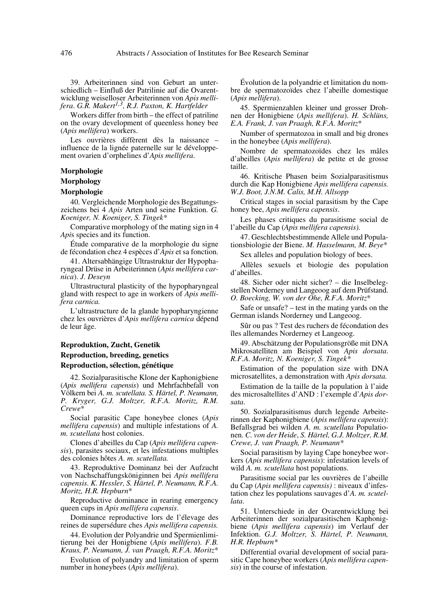39. Arbeiterinnen sind von Geburt an unterschiedlich – Einfluß der Patrilinie auf die Ovarentwicklung weiselloser Arbeiterinnen von *Apis mellifera*. *G.R. Makert1,3, R.J. Paxton, K. Hartfelder*

Workers differ from birth – the effect of patriline on the ovary development of queenless honey bee (*Apis mellifera*) workers.

Les ouvrières diffèrent dès la naissance – influence de la lignée paternelle sur le développement ovarien d'orphelines d'*Apis mellifera*.

# **Morphologie**

# **Morphology**

## **Morphologie**

40. Vergleichende Morphologie des Begattungszeichens bei 4 *Apis* Arten und seine Funktion. *G. Koeniger, N. Koeniger, S. Tingek\**

Comparative morphology of the mating sign in 4 *Api*s species and its function.

Étude comparative de la morphologie du signe de fécondation chez 4 espèces d'*Apis* et sa fonction.

41. Altersabhängige Ultrastruktur der Hypopharyngeal Drüse in Arbeiterinnen (*Apis mellifera carnica*). *J. Deseyn*

Ultrastructural plasticity of the hypopharyngeal gland with respect to age in workers of *Apis mellifera carnica.*

L'ultrastructure de la glande hypopharyngienne chez les ouvrières d'*Apis mellifera carnica* dépend de leur âge.

# **Reproduktion, Zucht, Genetik Reproduction, breeding, genetics Reproduction, sélection, génétique**

42. Sozialparasitische Klone der Kaphonigbiene (*Apis mellifera capensis*) und Mehrfachbefall von Völkern bei *A. m. scutellata. S. Härtel, P. Neumann, P. Kryger, G.J. Moltzer, R.F.A. Moritz, R.M. Crewe*\*

Social parasitic Cape honeybee clones (*Apis mellifera capensis*) and multiple infestations of *A. m. scutellata* host colonies.

Clones d'abeilles du Cap (*Apis mellifera capensis*), parasites sociaux, et les infestations multiples des colonies hôtes *A. m. scutellata.*

43. Reproduktive Dominanz bei der Aufzucht von Nachschaffungsköniginnen bei *Apis mellifera capensis. K. Hessler, S. Härtel, P. Neumann, R.F.A. Moritz, H.R. Hepburn*\*

Reproductive dominance in rearing emergency queen cups in *Apis mellifera capensis*.

Dominance reproductive lors de l'élevage des reines de supersédure ches *Apis mellifera capensis.*

44. Evolution der Polyandrie und Spermienlimitierung bei der Honigbiene (*Apis mellifera*). *F.B. Kraus, P. Neumann, J. van Praagh, R.F.A. Moritz*\*

Evolution of polyandry and limitation of sperm number in honeybees (*Apis mellifera*).

Évolution de la polyandrie et limitation du nombre de spermatozoïdes chez l'abeille domestique (*Apis mellifera*).

45. Spermienzahlen kleiner und grosser Drohnen der Honigbiene (*Apis mellifera*). *H. Schlüns, E.A. Frank, J. van Praagh, R.F.A. Moritz*\*

Number of spermatozoa in small and big drones in the honeybee (*Apis mellifera*).

Nombre de spermatozoïdes chez les mâles d'abeilles (*Apis mellifera*) de petite et de grosse taille.

46. Kritische Phasen beim Sozialparasitismus durch die Kap Honigbiene *Apis mellifera capensis. W.J. Boot, J.N.M. Calis, M.H. Allsopp*

Critical stages in social parasitism by the Cape honey bee, *Apis mellifera capensis*.

Les phases critiques du parasitisme social de l'abeille du Cap (*Apis mellifera capensis).*

47. Geschlechtsbestimmende Allele und Populationsbiologie der Biene. *M. Hasselmann, M. Beye*\*

Sex alleles and population biology of bees.

Allèles sexuels et biologie des population d'abeilles.

48. Sicher oder nicht sicher? – die Inselbelegstellen Norderney und Langeoog auf dem Prüfstand. *O. Boecking, W. von der Ohe, R.F.A. Moritz*\*

Safe or unsafe? – test in the mating yards on the German islands Norderney und Langeoog.

Sûr ou pas ? Test des ruchers de fécondation des îles allemandes Norderney et Langeoog.

49. Abschätzung der Populationsgröße mit DNA Mikrosatelliten am Beispiel von *Apis dorsata*. *R.F.A. Moritz, N. Koeniger, S. Tingek\**

Estimation of the population size with DNA microsatellites, a demonstration with *Apis dorsata.*

Estimation de la taille de la population à l'aide des microsaltellites d'AND : l'exemple d'*Apis dorsata*.

50. Sozialparasitismus durch legende Arbeiterinnen der Kaphonigbiene (*Apis mellifera capensis*): Befallsgrad bei wilden *A. m. scutellata* Populationen. *C. von der Heide*, *S. Härtel, G.J. Moltzer, R.M. Crewe, J. van Praagh, P. Neumann\**

Social parasitism by laying Cape honeybee workers (*Apis mellifera capensis*): infestation levels of wild *A. m. scutellata* host populations.

Parasitisme social par les ouvrières de l'abeille du Cap (*Apis mellifera capensis)* : niveaux d'infestation chez les populations sauvages d'*A. m. scutellata*.

51. Unterschiede in der Ovarentwicklung bei Arbeiterinnen der sozialparasitischen Kaphonigbiene (*Apis mellifera capensis*) im Verlauf der Infektion. *G.J. Moltzer, S. Härtel, P. Neumann, H.R. Hepburn\**

Differential ovarial development of social parasitic Cape honeybee workers (*Apis mellifera capensis*) in the course of infestation.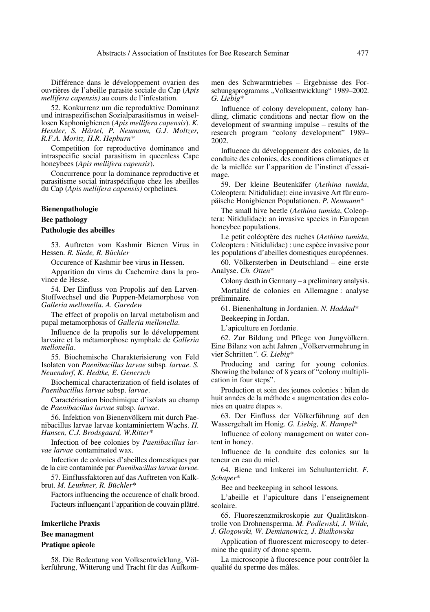Différence dans le développement ovarien des ouvrières de l'abeille parasite sociale du Cap (*Apis mellifera capensis)* au cours de l'infestation.

52. Konkurrenz um die reproduktive Dominanz und intraspezifischen Sozialparasitismus in weisellosen Kaphonigbienen (*Apis mellifera capensis*). *K. Hessler, S. Härtel, P. Neumann, G.J. Moltzer, R.F.A. Moritz, H.R. Hepburn\**

Competition for reproductive dominance and intraspecific social parasitism in queenless Cape honeybees (*Apis mellifera capensis*).

Concurrence pour la dominance reproductive et parasitisme social intraspécifique chez les abeilles du Cap (*Apis mellifera capensis)* orphelines.

#### **Bienenpathologie**

#### **Bee pathology**

## **Pathologie des abeilles**

53. Auftreten vom Kashmir Bienen Virus in Hessen*. R. Siede, R. Büchler*

Occurence of Kashmir bee virus in Hessen.

Apparition du virus du Cachemire dans la province de Hesse.

54. Der Einfluss von Propolis auf den Larven-Stoffwechsel und die Puppen-Metamorphose von *Galleria mellonella*. *A. Garedew*

The effect of propolis on larval metabolism and pupal metamorphosis of *Galleria mellonella*.

Influence de la propolis sur le développement larvaire et la métamorphose nymphale de *Galleria mellonella*.

55. Biochemische Charakterisierung von Feld Isolaten von *Paenibacillus larvae* subsp*. larvae*. *S. Neuendorf, K. Hedtke, E. Genersch*

Biochemical characterization of field isolates of *Paenibacillus larvae* subsp. *larvae*.

Caractérisation biochimique d'isolats au champ de *Paenibacillus larvae* subsp. *larvae*.

56. Infektion von Bienenvölkern mit durch Paenibacillus larvae larvae kontaminiertem Wachs. *H. Hansen, C.J. Brodsgaard, W.Ritter*\*

Infection of bee colonies by *Paenibacillus larvae larvae* contaminated wax.

Infection de colonies d'abeilles domestiques par de la cire contaminée par *Paenibacillus larvae larvae.*

57. Einflussfaktoren auf das Auftreten von Kalkbrut. *M. Leuthner, R. Büchler\**

Factors influencing the occurence of chalk brood. Facteurs influençant l'apparition de couvain plâtré.

# **Imkerliche Praxis**

# **Bee managment**

# **Pratique apicole**

58. Die Bedeutung von Volksentwicklung, Völkerführung, Witterung und Tracht für das Aufkommen des Schwarmtriebes – Ergebnisse des Forschungsprogramms "Volksentwicklung" 1989–2002. *G. Liebig*\*

Influence of colony development, colony handling, climatic conditions and nectar flow on the development of swarming impulse – results of the research program "colony development" 1989– 2002.

Influence du développement des colonies, de la conduite des colonies, des conditions climatiques et de la miellée sur l'apparition de l'instinct d'essaimage.

59. Der kleine Beutenkäfer (*Aethina tumida*, Coleoptera: Nitidulidae): eine invasive Art für europäische Honigbienen Populationen. *P. Neumann*\*

The small hive beetle (*Aethina tumida*, Coleoptera: Nitidulidae): an invasive species in European honeybee populations.

Le petit coléoptère des ruches (*Aethina tumida*, Coleoptera : Nitidulidae) : une espèce invasive pour les populations d'abeilles domestiques européennes.

60. Völkersterben in Deutschland – eine erste Analyse. *Ch. Otten*\*

Colony death in Germany – a preliminary analysis. Mortalité de colonies en Allemagne : analyse préliminaire.

61. Bienenhaltung in Jordanien. *N. Haddad\**

Beekeeping in Jordan.

L'apiculture en Jordanie.

62. Zur Bildung und Pflege von Jungvölkern. Eine Bilanz von acht Jahren "Völkervermehrung in vier Schritten*". G. Liebig*\*

Producing and caring for young colonies. Showing the balance of 8 years of "colony multiplication in four steps".

Production et soin des jeunes colonies : bilan de huit années de la méthode « augmentation des colonies en quatre étapes ».

63. Der Einfluss der Völkerführung auf den Wassergehalt im Honig. *G. Liebig, K. Hampel*\*

Influence of colony management on water content in honey.

Influence de la conduite des colonies sur la teneur en eau du miel.

64. Biene und Imkerei im Schulunterricht. *F. Schaper*\*

Bee and beekeeping in school lessons.

L'abeille et l'apiculture dans l'enseignement scolaire.

65. Fluoreszenzmikroskopie zur Qualitätskontrolle von Drohnensperma. *M. Podlewski, J. Wilde, J. Glogowski, W. Demianowicz, J. Bialkowska*

Application of fluorescent microscopy to determine the quality of drone sperm.

La microscopie à fluorescence pour contrôler la qualité du sperme des mâles.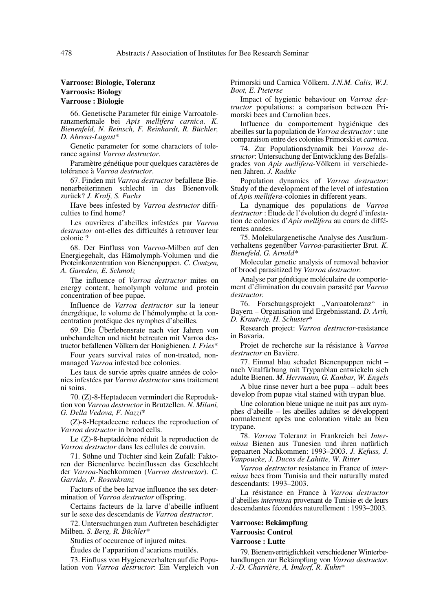# **Varroose: Biologie, Toleranz Varroosis: Biology Varroose : Biologie**

66. Genetische Parameter für einige Varroatoleranzmerkmale bei *Apis mellifera carnica*. *K. Bienenfeld, N. Reinsch, F. Reinhardt, R. Büchler, D. Ahrens-Lagast*\*

Genetic parameter for some characters of tolerance against *Varroa destructor.*

Paramètre génétique pour quelques caractères de tolérance à *Varroa destructor*.

67. Finden mit *Varroa destructor* befallene Bienenarbeiterinnen schlecht in das Bienenvolk zurück? *J. Kralj, S. Fuchs*

Have bees infested by *Varroa destructor* difficulties to find home?

Les ouvrières d'abeilles infestées par *Varroa destructor* ont-elles des difficultés à retrouver leur colonie ?

68. Der Einfluss von *Varroa*-Milben auf den Energiegehalt, das Hämolymph-Volumen und die Proteinkonzentration von Bienenpuppen. *C. Contzen, A. Garedew, E. Schmolz*

The influence of *Varroa destructor* mites on energy content, hemolymph volume and protein concentration of bee pupae.

Influence de *Varroa destructor* sur la teneur énergétique, le volume de l'hémolymphe et la concentration protéique des nymphes d'abeilles.

69. Die Überlebensrate nach vier Jahren von unbehandelten und nicht betreuten mit Varroa destructor befallenen Völkern der Honigbienen. *I. Fries*\*

Four years survival rates of non-treated, nonmanaged *Varroa* infested bee colonies.

Les taux de survie après quatre années de colonies infestées par *Varroa destructor* sans traitement ni soins.

70. (Z)-8-Heptadecen vermindert die Reproduktion von *Varroa destructor* in Brutzellen. *N. Milani, G. Della Vedova, F. Nazzi*\*

(Z)-8-Heptadecene reduces the reproduction of *Varroa destructor* in brood cells.

Le (Z)-8-heptadécène réduit la reproduction de *Varroa destructor* dans les cellules de couvain.

71. Söhne und Töchter sind kein Zufall: Faktoren der Bienenlarve beeinflussen das Geschlecht der *Varroa*-Nachkommen (*Varroa destructor*). *C. Garrido, P. Rosenkranz*

Factors of the bee larvae influence the sex determination of *Varroa destructor* offspring.

Certains facteurs de la larve d'abeille influent sur le sexe des descendants de *Varroa destructor*.

72. Untersuchungen zum Auftreten beschädigter Milben. *S. Berg, R. Büchler*\*

Studies of occurence of injured mites.

Études de l'apparition d'acariens mutilés.

73. Einfluss von Hygieneverhalten auf die Population von *Varroa destructor*: Ein Vergleich von Primorski und Carnica Völkern. *J.N.M. Calis, W.J. Boot, E. Pieterse*

Impact of hygienic behaviour on *Varroa destructor* populations: a comparison between Primorski bees and Carnolian bees.

Influence du comportement hygiénique des abeilles sur la population de *Varroa destructor* : une comparaison entre des colonies Primorski et *carnica*.

74. Zur Populationsdynamik bei *Varroa destructor*: Untersuchung der Entwicklung des Befallsgrades von *Apis mellifera*-Völkern in verschiedenen Jahren. *J. Radtke*

Population dynamics of *Varroa destructor*: Study of the development of the level of infestation of *Apis mellifera*-colonies in different years.

La dynamique des populations de *Varroa destructor* : Étude de l'évolution du degré d'infestation de colonies d'*Apis mellifera* au cours de différentes années.

75. Molekulargenetische Analyse des Ausräumverhaltens gegenüber *Varroa*-parasitierter Brut. *K. Bienefeld, G. Arnold\**

Molecular genetic analysis of removal behavior of brood parasitized by *Varroa destructor.*

Analyse par génétique moléculaire de comportement d'élimination du couvain parasité par *Varroa destructor.*

76. Forschungsprojekt "Varroatoleranz" in Bayern – Organisation und Ergebnisstand. *D. Arth, D. Krautwig, H. Schuster*\*

Research project: *Varroa destructor*-resistance in Bavaria.

Projet de recherche sur la résistance à *Varroa destructor* en Bavière.

77. Einmal blau schadet Bienenpuppen nicht – nach Vitalfärbung mit Trypanblau entwickeln sich adulte Bienen. *M. Herrmann, G. Kanbar, W. Engels*

A blue rinse never hurt a bee pupa – adult bees develop from pupae vital stained with trypan blue.

Une coloration bleue unique ne nuit pas aux nymphes d'abeille – les abeilles adultes se développent normalement après une coloration vitale au bleu trypane.

78. *Varroa* Toleranz in Frankreich bei *Intermissa* Bienen aus Tunesien und ihren natürlich gepaarten Nachkommen: 1993–2003. *J. Kefuss, J. Vanpoucke, J. Ducos de Lahitte, W. Ritter*

*Varroa destructor* resistance in France of *intermissa* bees from Tunisia and their naturally mated descendants: 1993–2003.

La résistance en France à *Varroa destructor* d'abeilles *intermissa* provenant de Tunisie et de leurs descendantes fécondées naturellement : 1993–2003.

# **Varroose: Bekämpfung Varroosis: Control**

#### **Varroose : Lutte**

79. Bienenverträglichkeit verschiedener Winterbehandlungen zur Bekämpfung von *Varroa destructor. J.-D. Charrière, A. Imdorf, R. Kuhn*\*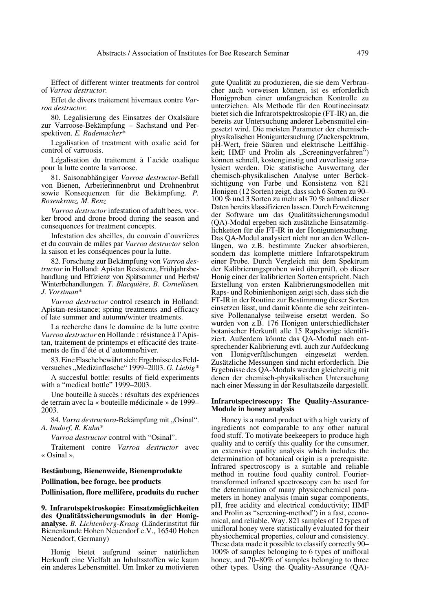Effect of different winter treatments for control of *Varroa destructor.*

Effet de divers traitement hivernaux contre *Varroa destructor.*

80. Legalisierung des Einsatzes der Oxalsäure zur Varroose-Bekämpfung – Sachstand und Perspektiven. *E. Rademacher*\*

Legalisation of treatment with oxalic acid for control of varroosis.

Légalisation du traitement à l'acide oxalique pour la lutte contre la varroose.

81. Saisonabhängiger *Varroa destructor*-Befall von Bienen, Arbeiterinnenbrut und Drohnenbrut sowie Konsequenzen für die Bekämpfung. *P. Rosenkranz, M. Renz*

*Varroa destructor* infestation of adult bees, worker brood and drone brood during the season and consequences for treatment concepts.

Infestation des abeilles, du couvain d'ouvrières et du couvain de mâles par *Varroa destructor* selon la saison et les conséquences pour la lutte.

82. Forschung zur Bekämpfung von *Varroa destructor* in Holland: Apistan Resistenz, Frühjahrsbehandlung und Effizienz von Spätsommer und Herbst/ Winterbehandlungen. *T. Blacquière, B. Cornelissen, J. Vorstman*\*

*Varroa destructor* control research in Holland: Apistan-resistance; spring treatments and efficacy of late summer and autumn/winter treatments.

La recherche dans le domaine de la lutte contre *Varroa destructor* en Hollande : résistance à l'Apistan, traitement de printemps et efficacité des traitements de fin d'été et d'automne/hiver.

83. Eine Flasche bewährt sich: Ergebnisse des Feldversuches "Medizinflasche" 1999–2003. *G. Liebig\** 

A succesful bottle: results of field experiments with a "medical bottle" 1999–2003.

Une bouteille à succès : résultats des expériences de terrain avec la « bouteille médicinale » de 1999– 2003.

84. *Varra destructora-Bekämpfung mit "Osinal"*. *A. Imdorf, R. Kuhn*\*

*Varroa destructor* control with "Osinal".

Traitement contre *Varroa destructor* avec « Osinal ».

**Bestäubung, Bienenweide, Bienenprodukte Pollination, bee forage, bee products Pollinisation, flore mellifère, produits du rucher**

**9. Infrarotspektroskopie: Einsatzmöglichkeiten des Qualitätssicherungsmoduls in der Honiganalyse.** *B. Lichtenberg-Kraag* (Länderinstitut für Bienenkunde Hohen Neuendorf e.V., 16540 Hohen Neuendorf, Germany)

Honig bietet aufgrund seiner natürlichen Herkunft eine Vielfalt an Inhaltsstoffen wie kaum ein anderes Lebensmittel. Um Imker zu motivieren gute Qualität zu produzieren, die sie dem Verbraucher auch vorweisen können, ist es erforderlich Honigproben einer umfangreichen Kontrolle zu unterziehen. Als Methode für den Routineeinsatz bietet sich die Infrarotspektroskopie (FT-IR) an, die bereits zur Untersuchung anderer Lebensmittel eingesetzt wird. Die meisten Parameter der chemischphysikalischen Honiguntersuchung (Zuckerspektrum, pH-Wert, freie Säuren und elektrische Leitfähigkeit; HMF und Prolin als "Screeningverfahren") können schnell, kostengünstig und zuverlässig analysiert werden. Die statistische Auswertung der chemisch-physikalischen Analyse unter Berücksichtigung von Farbe und Konsistenz von 821 Honigen (12 Sorten) zeigt, dass sich 6 Sorten zu 90– 100 % und 3 Sorten zu mehr als 70 % anhand dieser Daten bereits klassifizieren lassen. Durch Erweiterung der Software um das Qualitätssicherungsmodul (QA)-Modul ergeben sich zusätzliche Einsatzmöglichkeiten für die FT-IR in der Honiguntersuchung. Das QA-Modul analysiert nicht nur an den Wellenlängen, wo z.B. bestimmte Zucker absorbieren, sondern das komplette mittlere Infrarotspektrum einer Probe. Durch Vergleich mit dem Spektrum der Kalibrierungsproben wird überprüft, ob dieser Honig einer der kalibrierten Sorten entspricht. Nach Erstellung von ersten Kalibrierungsmodellen mit Raps- und Robinienhonigen zeigt sich, dass sich die FT-IR in der Routine zur Bestimmung dieser Sorten einsetzen lässt, und damit könnte die sehr zeitintensive Pollenanalyse teilweise ersetzt werden. So wurden von z.B. 176 Honigen unterschiedlichster botanischer Herkunft alle 15 Rapshonige identifiziert. Außerdem könnte das QA-Modul nach entsprechender Kalibrierung evtl. auch zur Aufdeckung von Honigverfälschungen eingesetzt werden. Zusätzliche Messungen sind nicht erforderlich. Die Ergebnisse des QA-Moduls werden gleichzeitig mit denen der chemisch-physikalischen Untersuchung nach einer Messung in der Resultatszeile dargestellt.

#### **Infrarotspectroscopy: The Quality-Assurance-Module in honey analysis**

Honey is a natural product with a high variety of ingredients not comparable to any other natural food stuff. To motivate beekeepers to produce high quality and to certify this quality for the consumer, an extensive quality analysis which includes the determination of botanical origin is a prerequisite. Infrared spectroscopy is a suitable and reliable method in routine food quality control. Fouriertransformed infrared spectroscopy can be used for the determination of many physicochemical parameters in honey analysis (main sugar components, pH, free acidity and electrical conductivity; HMF and Prolin as "screening-method") in a fast, economical, and reliable. Way. 821 samples of 12 types of unifloral honey were statistically evaluated for their physiochemical properties, colour and consistency. These data made it possible to classify correctly 90– 100% of samples belonging to 6 types of unifloral honey, and 70–80% of samples belonging to three other types. Using the Quality-Assurance (QA)-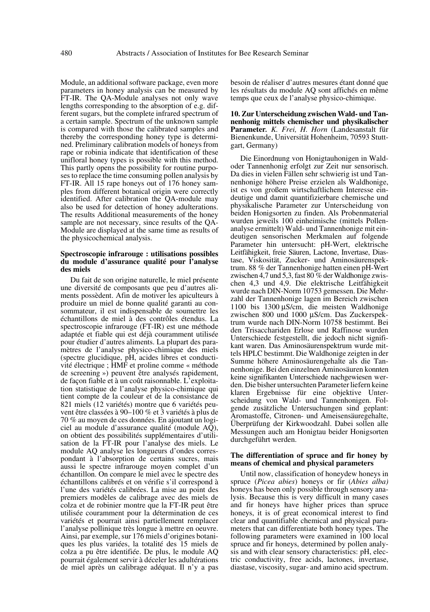Module, an additional software package, even more parameters in honey analysis can be measured by FT-IR. The QA-Module analyses not only wave lengths corresponding to the absorption of e.g. different sugars, but the complete infrared spectrum of a certain sample. Spectrum of the unknown sample is compared with those the calibrated samples and thereby the corresponding honey type is determined. Preliminary calibration models of honeys from rape or robinia indicate that identification of these unifloral honey types is possible with this method. This partly opens the possibility for routine purposes to replace the time consuming pollen analysis by FT-IR. All 15 rape honeys out of 176 honey samples from different botanical origin were correctly identified. After calibration the QA-module may also be used for detection of honey adulterations. The results Additional measurements of the honey sample are not necessary, since results of the QA-Module are displayed at the same time as results of the physicochemical analysis.

#### **Spectroscopie infrarouge : utilisations possibles du module d'assurance qualité pour l'analyse des miels**

Du fait de son origine naturelle, le miel présente une diversité de composants que peu d'autres aliments possèdent. Afin de motiver les apiculteurs à produire un miel de bonne qualité garanti au consommateur, il est indispensable de soumettre les échantillons de miel à des contrôles étendus. La spectroscopie infrarouge (FT-IR) est une méthode adaptée et fiable qui est déjà couramment utilisée pour étudier d'autres aliments. La plupart des paramètres de l'analyse physico-chimique des miels (spectre glucidique, pH, acides libres et conductivité électrique ; HMF et proline comme « méthode de screening ») peuvent être analysés rapidement, de façon fiable et à un coût raisonnable. L'exploitation statistique de l'analyse physico-chimique qui tient compte de la couleur et de la consistance de 821 miels (12 variétés) montre que 6 variétés peuvent être classées à 90–100 % et 3 variétés à plus de 70 % au moyen de ces données. En ajoutant un logiciel au module d'assurance qualité (module AQ), on obtient des possibilités supplémentaires d'utilisation de la FT-IR pour l'analyse des miels. Le module AQ analyse les longueurs d'ondes correspondant à l'absorption de certains sucres, mais aussi le spectre infrarouge moyen complet d'un échantillon. On compare le miel avec le spectre des échantillons calibrés et on vérifie s'il correspond à l'une des variétés calibrées. La mise au point des premiers modèles de calibrage avec des miels de colza et de robinier montre que la FT-IR peut être utilisée couramment pour la détermination de ces variétés et pourrait ainsi partiellement remplacer l'analyse pollinique très longue à mettre en oeuvre. Ainsi, par exemple, sur 176 miels d'origines botaniques les plus variées, la totalité des 15 miels de colza a pu être identifiée. De plus, le module AQ pourrait également servir à déceler les adultérations de miel après un calibrage adéquat. Il n'y a pas besoin de réaliser d'autres mesures étant donné que les résultats du module AQ sont affichés en même temps que ceux de l'analyse physico-chimique.

**10. Zur Unterscheidung zwischen Wald- und Tannenhonig mittels chemischer und physikalischer Parameter***. K. Frei, H. Horn* (Landesanstalt für Bienenkunde, Universität Hohenheim, 70593 Stuttgart, Germany)

Die Einordnung von Honigtauhonigen in Waldoder Tannenhonig erfolgt zur Zeit nur sensorisch. Da dies in vielen Fällen sehr schwierig ist und Tannenhonige höhere Preise erzielen als Waldhonige, ist es von großem wirtschaftlichem Interesse eindeutige und damit quantifizierbare chemische und physikalische Parameter zur Unterscheidung von beiden Honigsorten zu finden. Als Probenmaterial wurden jeweils 100 einheimische (mittels Pollenanalyse ermittelt) Wald- und Tannenhonige mit eindeutigen sensorischen Merkmalen auf folgende Parameter hin untersucht: pH-Wert, elektrische Leitfähigkeit, freie Säuren, Lactone, Invertase, Diastase, Viskosität, Zucker- und Aminosäurenspektrum. 88 % der Tannenhonige hatten einen pH-Wert zwischen 4,7 und 5,3, fast 80 % der Waldhonige zwischen 4,3 und 4,9. Die elektrische Leitfähigkeit wurde nach DIN-Norm 10753 gemessen. Die Mehrzahl der Tannenhonige lagen im Bereich zwischen 1100 bis 1300 µS/cm, die meisten Waldhonige zwischen 800 und 1000 µS/cm. Das Zuckerspektrum wurde nach DIN-Norm 10758 bestimmt. Bei den Trisacchariden Erlose und Raffinose wurden Unterschiede festgestellt, die jedoch nicht signifikant waren. Das Aminosäurenspektrum wurde mittels HPLC bestimmt. Die Waldhonige zeigten in der Summe höhere Aminosäurengehalte als die Tannenhonige. Bei den einzelnen Aminosäuren konnten keine signifikanten Unterschiede nachgewiesen werden. Die bisher untersuchten Parameter liefern keine klaren Ergebnisse für eine objektive Unterscheidung von Wald- und Tannenhonigen. Folgende zusätzliche Untersuchungen sind geplant: Aromastoffe, Citronen- und Ameisensäuregehalte, Überprüfung der Kirkwoodzahl. Dabei sollen alle Messungen auch am Honigtau beider Honigsorten durchgeführt werden.

#### **The differentiation of spruce and fir honey by means of chemical and physical parameters**

Until now, classification of honeydew honeys in spruce (*Picea abies*) honeys or fir (*Abies alba)* honeys has been only possible through sensory analysis. Because this is very difficult in many cases and fir honeys have higher prices than spruce honeys, it is of great economical interest to find clear and quantifiable chemical and physical parameters that can differentiate both honey types. The following parameters were examined in 100 local spruce and fir honeys, determined by pollen analysis and with clear sensory characteristics: pH, electric conductivity, free acids, lactones, invertase, diastase, viscosity, sugar- and amino acid spectrum.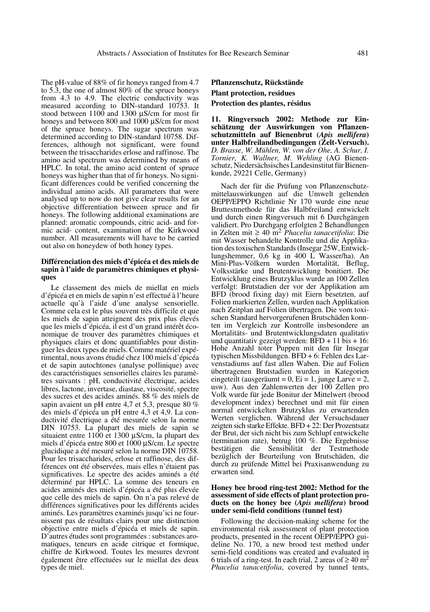The pH-value of 88% of fir honeys ranged from 4.7 to 5.3, the one of almost 80% of the spruce honeys from 4.3 to 4.9. The electric conductivity was measured according to DIN-standard 10753. It stood between 1100 and 1300  $\mu$ S/cm for most fir honeys and between 800 and 1000  $\mu$ S/cm for most of the spruce honeys. The sugar spectrum was determined according to DIN-standard 10758. Differences, although not significant, were found between the trisaccharides erlose and raffinose. The amino acid spectrum was determined by means of HPLC. In total, the amino acid content of spruce honeys was higher than that of fir honeys. No significant differences could be verified concerning the individual amino acids. All parameters that were analysed up to now do not give clear results for an objective differentiation between spruce and fir honeys. The following additional examinations are planned: aromatic compounds, citric acid- and formic acid- content, examination of the Kirkwood number. All measurements will have to be carried out also on honeydew of both honey types.

## **Différenciation des miels d'épicéa et des miels de sapin à l'aide de paramètres chimiques et physiques**

Le classement des miels de miellat en miels d'épicéa et en miels de sapin n'est effectué à l'heure actuelle qu'à l'aide d'une analyse sensorielle. Comme cela est le plus souvent très difficile et que les miels de sapin atteignent des prix plus élevés que les miels d'épicéa, il est d'un grand intérêt économique de trouver des paramètres chimiques et physiques clairs et donc quantifiables pour distinguer les deux types de miels. Comme matériel expérimental, nous avons étudié chez 100 miels d'épicéa et de sapin autochtones (analyse pollinique) avec des caractéristiques sensorielles claires les paramètres suivants : pH, conductivité électrique, acides libres, lactone, invertase, diastase, viscosité, spectre des sucres et des acides aminés. 88 % des miels de sapin avaient un pH entre 4,7 et 5,3, presque 80 % des miels d'épicéa un pH entre 4,3 et 4,9. La conductivité électrique a été mesurée selon la norme DIN 10753. La plupart des miels de sapin se situaient entre 1100 et 1300 µS/cm, la plupart des miels d'épicéa entre 800 et 1000 µS/cm. Le spectre glucidique a été mesuré selon la norme DIN 10758. Pour les trisaccharides, erlose et raffinose, des différences ont été observées, mais elles n'étaient pas significatives. Le spectre des acides aminés a été déterminé par HPLC. La somme des teneurs en acides aminés des miels d'épicéa a été plus élevée que celle des miels de sapin. On n'a pas relevé de différences significatives pour les différents acides aminés. Les paramètres examinés jusqu'ici ne fournissent pas de résultats clairs pour une distinction objective entre miels d'épicéa et miels de sapin. D'autres études sont programmées : substances aromatiques, teneurs en acide citrique et formique, chiffre de Kirkwood. Toutes les mesures devront également être effectuées sur le miellat des deux types de miel.

# **Pflanzenschutz, Rückstände Plant protection, residues Protection des plantes, résidus**

**11. Ringversuch 2002: Methode zur Einschätzung der Auswirkungen von Pflanzenschutzmitteln auf Bienenbrut (***Apis mellifera***) unter Halbfreilandbedingungen (Zelt-Versuch).** *D. Brasse, W. Mühlen, W. von der Ohe, A. Schur, I. Tornier, K. Wallner, M. Wehling* (AG Bienenschutz, Niedersächsisches Landesinstitut für Bienenkunde, 29221 Celle, Germany)

Nach der für die Prüfung von Pflanzenschutzmittelauswirkungen auf die Umwelt geltenden OEPP/EPPO Richtlinie Nr 170 wurde eine neue Bruttestmethode für das Halbfreiland entwickelt und durch einen Ringversuch mit 6 Durchgängen validiert. Pro Durchgang erfolgten 2 Behandlungen in Zelten mit ≥ 40 m2 *Phacelia tanacetifolia*: Die mit Wasser behandelte Kontrolle und die Applikation des toxischen Standards (Insegar 25W, Entwicklungshemmer, 0,6 kg in 400 L Wasser/ha). An Mini-Plus-Völkern wurden Mortalität, Beflug, Volksstärke und Brutentwicklung bonitiert. Die Entwicklung eines Brutzyklus wurde an 100 Zellen verfolgt: Brutstadien der vor der Applikation am BFD (brood fixing day) mit Eiern besetzten, auf Folien markierten Zellen, wurden nach Applikation nach Zeitplan auf Folien übertragen. Die vom toxischen Standard hervorgerufenen Brutschäden konnten im Vergleich zur Kontrolle insbesondere an Mortalitäts- und Brutentwicklungsdaten qualitativ und quantitativ gezeigt werden:  $\overline{BFD} + 11 \overline{b}$  is  $+ 16$ : Hohe Anzahl toter Puppen mit den für Insegar typischen Missbildungen. BFD + 6: Fehlen des Larvenstadiums auf fast allen Waben. Die auf Folien übertragenen Brutstadien wurden in Kategorien eingeteilt (ausgeräumt =  $0$ , Ei = 1, junge Larve = 2, usw). Aus den Zahlenwerten der 100 Zellen pro Volk wurde für jede Bonitur der Mittelwert (brood development index) berechnet und mit für einen normal entwickelten Brutzyklus zu erwartenden Werten verglichen. Während der Versuchsdauer zeigten sich starke Effekte. BFD + 22: Der Prozentsatz der Brut, der sich nicht bis zum Schlupf entwickelte (termination rate), betrug 100 %. Die Ergebnisse bestätigen die Sensibilität der Testmethode bezüglich der Beurteilung von Brutschäden, die durch zu prüfende Mittel bei Praxisanwendung zu erwarten sind.

## **Honey bee brood ring-test 2002: Method for the assessment of side effects of plant protection products on the honey bee (***Apis mellifera***) brood under semi-field conditions (tunnel test)**

Following the decision-making scheme for the environmental risk assessment of plant protection products, presented in the recent OEPP/EPPO guideline No. 170, a new brood test method under semi-field conditions was created and evaluated in 6 trials of a ring-test. In each trial, 2 areas of  $\geq 40$  m<sup>2</sup> *Phacelia tanacetifolia*, covered by tunnel tents,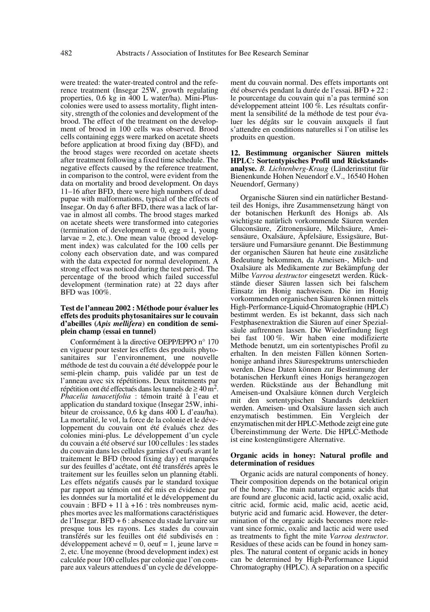were treated: the water-treated control and the reference treatment (Insegar 25W, growth regulating properties, 0.6 kg in 400 L water/ha). Mini-Pluscolonies were used to assess mortality, flight intensity, strength of the colonies and development of the brood. The effect of the treatment on the development of brood in 100 cells was observed. Brood cells containing eggs were marked on acetate sheets before application at brood fixing day (BFD), and the brood stages were recorded on acetate sheets after treatment following a fixed time schedule. The negative effects caused by the reference treatment, in comparison to the control, were evident from the data on mortality and brood development. On days 11–16 after BFD, there were high numbers of dead pupae with malformations, typical of the effects of Insegar. On day 6 after BFD, there was a lack of larvae in almost all combs. The brood stages marked on acetate sheets were transformed into categories (termination of development =  $0$ , egg = 1, young  $larvae = 2$ , etc.). One mean value (brood development index) was calculated for the 100 cells per colony each observation date, and was compared with the data expected for normal development. A strong effect was noticed during the test period. The percentage of the brood which failed successful development (termination rate) at 22 days after BFD was 100%.

## **Test de l'anneau 2002 : Méthode pour évaluer les effets des produits phytosanitaires sur le couvain d'abeilles (***Apis mellifera***) en condition de semiplein champ (essai en tunnel)**

Conformément à la directive OEPP/EPPO n° 170 en vigueur pour tester les effets des produits phytosanitaires sur l'environnement, une nouvelle méthode de test du couvain a été développée pour le semi-plein champ, puis validée par un test de l'anneau avec six répétitions. Deux traitements par répétition ont été effectués dans les tunnels de  $\geq 40$  m<sup>2</sup>. *Phacelia tanacetifolia* : témoin traité à l'eau et application du standard toxique (Insegar 25W, inhibiteur de croissance, 0,6 kg dans 400 L d'eau/ha). La mortalité, le vol, la force de la colonie et le développement du couvain ont été évalués chez des colonies mini-plus. Le développement d'un cycle du couvain a été observé sur 100 cellules : les stades du couvain dans les cellules garnies d'oeufs avant le traitement le BFD (brood fixing day) et marquées sur des feuilles d'acétate, ont été transférés après le traitement sur les feuilles selon un planning établi. Les effets négatifs causés par le standard toxique par rapport au témoin ont été mis en évidence par les données sur la mortalité et le développement du couvain :  $BFD + 11$  à  $+16$  : très nombreuses nymphes mortes avec les malformations caractéristiques de l'Insegar. BFD + 6 : absence du stade larvaire sur presque tous les rayons. Les stades du couvain transférés sur les feuilles ont été subdivisés en : développement achevé = 0, oeuf = 1, jeune larve = 2, etc. Une moyenne (brood development index) est calculée pour 100 cellules par colonie que l'on compare aux valeurs attendues d'un cycle de développement du couvain normal. Des effets importants ont été observés pendant la durée de l'essai. BFD + 22 : le pourcentage du couvain qui n'a pas terminé son développement atteint 100 %. Les résultats confirment la sensibilité de la méthode de test pour évaluer les dégâts sur le couvain auxquels il faut s'attendre en conditions naturelles si l'on utilise les produits en question.

**12. Bestimmung organischer Säuren mittels HPLC: Sortentypisches Profil und Rückstandsanalyse.** *B. Lichtenberg-Kraag* (Länderinstitut für Bienenkunde Hohen Neuendorf e.V., 16540 Hohen Neuendorf, Germany)

Organische Säuren sind ein natürlicher Bestandteil des Honigs, ihre Zusammensetzung hängt von der botanischen Herkunft des Honigs ab. Als wichtigste natürlich vorkommende Säuren werden Gluconsäure, Zitronensäure, Milchsäure, Ameisensäure, Oxalsäure, Äpfelsäure, Essigsäure, Buttersäure und Fumarsäure genannt. Die Bestimmung der organischen Säuren hat heute eine zusätzliche Bedeutung bekommen, da Ameisen-, Milch- und Oxalsäure als Medikamente zur Bekämpfung der Milbe *Varroa destructor* eingesetzt werden. Rückstände dieser Säuren lassen sich bei falschem Einsatz im Honig nachweisen. Die im Honig vorkommenden organischen Säuren können mittels High-Performance-Liquid-Chromatographie (HPLC) bestimmt werden. Es ist bekannt, dass sich nach Festphasenextraktion die Säuren auf einer Spezialsäule auftrennen lassen. Die Wiederfindung liegt bei fast 100 %. Wir haben eine modifizierte Methode benutzt, um ein sortentypisches Profil zu erhalten. In den meisten Fällen können Sortenhonige anhand ihres Säurespektrums unterschieden werden. Diese Daten können zur Bestimmung der botanischen Herkunft eines Honigs herangezogen werden. Rückstände aus der Behandlung mit Ameisen-und Oxalsäure können durch Vergleich mit den sortentypischen Standards detektiert werden. Ameisen- und Oxalsäure lassen sich auch enzymatisch bestimmen. Ein Vergleich der enzymatischen mit der HPLC-Methode zeigt eine gute Übereinstimmung der Werte. Die HPLC-Methode ist eine kostengünstigere Alternative.

#### **Organic acids in honey: Natural profile and determination of residues**

Organic acids are natural components of honey. Their composition depends on the botanical origin of the honey. The main natural organic acids that are found are gluconic acid, lactic acid, oxalic acid, citric acid, formic acid, malic acid, acetic acid, butyric acid and fumaric acid. However, the determination of the organic acids becomes more relevant since formic, oxalic and lactic acid were used as treatments to fight the mite *Varroa destructor*. Residues of these acids can be found in honey samples. The natural content of organic acids in honey can be determined by High-Performance Liquid Chromatography (HPLC). A separation on a specific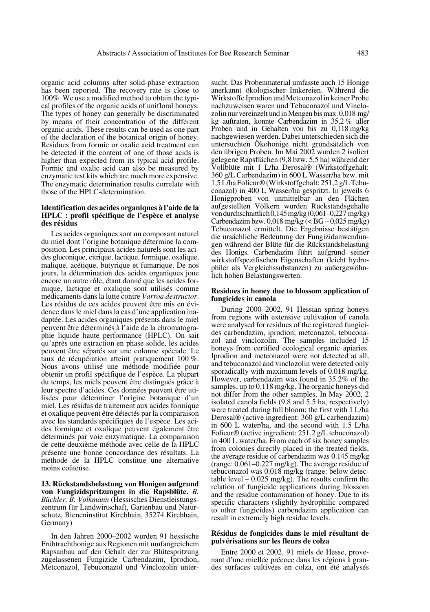organic acid columns after solid-phase extraction has been reported. The recovery rate is close to 100%. We use a modified method to obtain the typical profiles of the organic acids of unifloral honeys. The types of honey can generally be discriminated by means of their concentration of the different organic acids. These results can be used as one part of the declaration of the botanical origin of honey. Residues from formic or oxalic acid treatment can be detected if the content of one of those acids is higher than expected from its typical acid profile. Formic and oxalic acid can also be measured by enzymatic test kits which are much more expensive. The enzymatic determination results correlate with those of the HPLC-determination.

## **Identification des acides organiques à l'aide de la HPLC : profil spécifique de l'espèce et analyse des résidus**

Les acides organiques sont un composant naturel du miel dont l'origine botanique détermine la composition. Les principaux acides naturels sont les acides gluconique, citrique, lactique, formique, oxalique, malique, acétique, butyrique et fumarique. De nos jours, la détermination des acides organiques joue encore un autre rôle, étant donné que les acides formique, lactique et oxalique sont utilisés comme médicaments dans la lutte contre *Varroa destructor*. Les résidus de ces acides peuvent être mis en évidence dans le miel dans la cas d'une application inadaptée. Les acides organiques présents dans le miel peuvent être déterminés à l'aide de la chromatographie liquide haute performance (HPLC). On sait qu'après une extraction en phase solide, les acides peuvent être séparés sur une colonne spéciale. Le taux de récupération atteint pratiquement 100 %. Nous avons utilisé une méthode modifiée pour obtenir un profil spécifique de l'espèce. La plupart du temps, les miels peuvent être distingués grâce à leur spectre d'acides. Ces données peuvent être utilisées pour déterminer l'origine botanique d'un miel. Les résidus de traitement aux acides formique et oxalique peuvent être détectés par la comparaison avec les standards spécifiques de l'espèce. Les acides formique et oxalique peuvent également être déterminés par voie enzymatique. La comparaison de cette deuxième méthode avec celle de la HPLC présente une bonne concordance des résultats. La méthode de la HPLC constitue une alternative moins coûteuse.

**13. Rückstandsbelastung von Honigen aufgrund von Fungizidspritzungen in die Rapsblüte.** *R. Büchler, B. Volkmann* (Hessisches Dienstleistungszentrum für Landwirtschaft, Gartenbau und Naturschutz, Bieneninstitut Kirchhain, 35274 Kirchhain, Germany)

In den Jahren 2000–2002 wurden 91 hessische Frühtrachthonige aus Regionen mit umfangreichem Rapsanbau auf den Gehalt der zur Blütespritzung zugelassenen Fungizide Carbendazim, Iprodion, Metconazol, Tebuconazol und Vinclozolin untersucht. Das Probenmaterial umfasste auch 15 Honige anerkannt ökologischer Imkereien. Während die Wirkstoffe Iprodion und Metconazol in keiner Probe nachzuweisen waren und Tebuconazol und Vinclozolin nur vereinzelt und in Mengen bis max. 0,018 mg/ kg auftraten, konnte Carbendazim in 35,2 % aller Proben und in Gehalten von bis zu 0,118 mg/kg nachgewiesen werden. Dabei unterschieden sich die untersuchten Ökohonige nicht grundsätzlich von den übrigen Proben. Im Mai 2002 wurden 2 isoliert gelegene Rapsflächen (9,8 bzw. 5,5 ha) während der Vollblüte mit 1 L/ha Derosal® (Wirkstoffgehalt: 360 g/L Carbendazim) in 600 L Wasser/ha bzw. mit 1,5 L/ha Folicur® (Wirkstoffgehalt: 251,2 g/L Tebuconazol) in 400 L Wasser/ha gespritzt. In jeweils 6 Honigproben von unmittelbar an den Flächen aufgestellten Völkern wurden Rückstandsgehalte von durchschnittlich 0,145 mg/kg (0,061–0,227 mg/kg) Carbendazim bzw. 0,018 mg/kg (< BG – 0,025 mg/kg) Tebuconazol ermittelt. Die Ergebnisse bestätigen die ursächliche Bedeutung der Fungizidanwendungen während der Blüte für die Rückstandsbelastung des Honigs. Carbendazim führt aufgrund seiner wirkstoffspezifischen Eigenschaften (leicht hydrophiler als Vergleichssubstanzen) zu außergewöhnlich hohen Belastungswerten.

#### **Residues in honey due to blossom application of fungicides in canola**

During 2000–2002, 91 Hessian spring honeys from regions with extensive cultivation of canola were analysed for residues of the registered fungicides carbendazim, iprodion, metconazol, tebuconazol and vinclozolin. The samples included 15 honeys from certified ecological organic apiaries. Iprodion and metconazol were not detected at all, and tebuconazol and vinclozolin were detected only sporadically with maximum levels of 0.018 mg/kg. However, carbendazim was found in 35.2% of the samples, up to 0.118 mg/kg. The organic honeys did not differ from the other samples. In May 2002, 2 isolated canola fields (9.8 and 5.5 ha, respectively) were treated during full bloom; the first with 1 L/ha Derosal® (active ingredient: 360 g/L carbendazim) in 600 L water/ha, and the second with 1.5 L/ha Folicur® (active ingredient: 251.2 g/L tebuconazol) in 400 L water/ha. From each of six honey samples from colonies directly placed in the treated fields, the average residue of carbendazim was 0.145 mg/kg (range: 0.061–0.227 mg/kg). The average residue of tebuconazol was 0.018 mg/kg (range: below detectable level  $-0.025$  mg/kg). The results confirm the relation of fungicide applications during blossom and the residue contamination of honey. Due to its specific characters (slightly hydrophilic compared to other fungicides) carbendazim application can result in extremely high residue levels.

#### **Résidus de fongicides dans le miel résultant de pulvérisations sur les fleurs de colza**

Entre 2000 et 2002, 91 miels de Hesse, provenant d'une miellée précoce dans les régions à grandes surfaces cultivées en colza, ont été analysés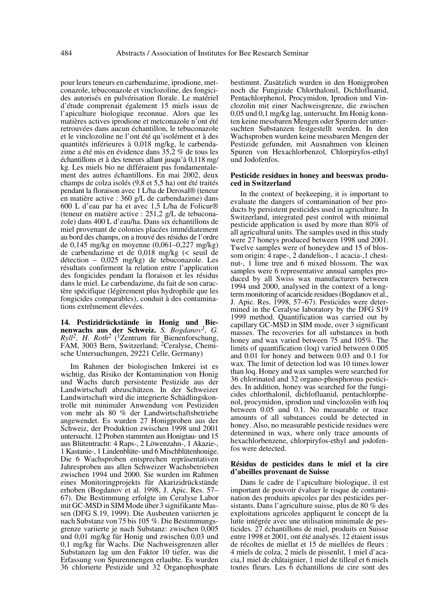pour leurs teneurs en carbendazime, iprodione, metconazole, tebuconazole et vinclozoline, des fongicides autorisés en pulvérisation florale. Le matériel d'étude comprenait également 15 miels issus de l'apiculture biologique reconnue. Alors que les matières actives iprodione et metconazole n'ont été retrouvées dans aucun échantillon, le tebuconazole et le vinclozoline ne l'ont été qu'isolément et à des quantités inférieures à 0,018 mg/kg, le carbendazime a été mis en évidence dans 35,2 % de tous les échantillons et à des teneurs allant jusqu'à 0,118 mg/ kg. Les miels bio ne différaient pas fondamentalement des autres échantillons. En mai 2002, deux champs de colza isolés (9,8 et 5,5 ha) ont été traités pendant la floraison avec 1 L/ha de Derosal® (teneur en matière active : 360 g/L de carbendazime) dans 600 L d'eau par ha et avec 1,5 L/ha de Folicur® (teneur en matière active : 251,2 g/L de tebuconazole) dans 400 L d'eau/ha. Dans six échantillons de miel provenant de colonies placées immédiatement au bord des champs, on a trouvé des résidus de l'ordre de 0,145 mg/kg en moyenne (0,061–0,227 mg/kg) de carbendazime et de 0,018 mg/kg (< seuil de détection – 0,025 mg/kg) de tebuconazole. Les résultats confirment la relation entre l'application des fongicides pendant la floraison et les résidus dans le miel. Le carbendazime, du fait de son caractère spécifique (légèrement plus hydrophile que les fongicides comparables), conduit à des contaminations extrêmement élevées.

**14. Pestizidrückstände in Honig und Bienenwachs aus der Schweiz.** *S. Bogdanov1, G. Ryll2, H. Roth2* (1Zentrum für Bienenforschung, FAM, 3003 Bern, Switzerland; 2Ceralyse, Chemische Untersuchungen, 29221 Celle, Germany)

Im Rahmen der biologischen Imkerei ist es wichtig, das Risiko der Kontamination von Honig und Wachs durch persistente Pestizide aus der Landwirtschaft abzuschätzen. In der Schweizer Landwirtschaft wird die integrierte Schädlingskontrolle mit minimaler Anwendung von Pestiziden von mehr als 80 % der Landwirtschaftsbetriebe angewendet. Es wurden 27 Honigproben aus der Schweiz, der Produktion zwischen 1998 und 2001 untersucht. 12 Proben stammten aus Honigtau- und 15 aus Blütentracht: 4 Raps-, 2 Löwenzahn-, 1 Akazie-, 1 Kastanie-, 1 Lindenblüte- und 6 Mischblütenhonige. Die 6 Wachsproben entsprechen repräsentativen Jahresproben aus allen Schweizer Wachsbetrieben zwischen 1994 und 2000. Sie wurden im Rahmen eines Monitoringprojekts für Akarizidrückstände erhoben (Bogdanov et al. 1998, J. Apic. Res. 57– 67). Die Bestimmung erfolgte im Ceralyse Labor mit GC-MSD in SIM Mode über 3 signifikante Massen (DFG S.19, 1999). Die Ausbeuten variierten je nach Substanz von 75 bis 105 %. Die Bestimmungsgrenze variierte je nach Substanz: zwischen 0,005 und 0,01 mg/kg für Honig und zwischen 0,03 und 0,1 mg/kg für Wachs. Die Nachweisgrenzen aller Substanzen lag um den Faktor 10 tiefer, was die Erfassung von Spurenmengen erlaubte. Es wurden 36 chlorierte Pestizide und 32 Organophosphate

bestimmt. Zusätzlich wurden in den Honigproben noch die Fungizide Chlorthalonil, Dichlofluanid, Pentachlorphenol, Procymidon, Iprodion und Vinclozolin mit einer Nachweisgrenze, die zwischen 0,05 und 0,1 mg/kg lag, untersucht. Im Honig konnten keine messbaren Mengen oder Spuren der untersuchten Substanzen festgestellt werden. In den Wachsproben wurden keine messbaren Mengen der Pestizide gefunden, mit Ausnahmen von kleinen Spuren von Hexachlorbenzol, Chlorpiryfos-ethyl und Jodofenfos.

#### **Pesticide residues in honey and beeswax produced in Switzerland**

In the context of beekeeping, it is important to evaluate the dangers of contamination of bee products by persistent pesticides used in agriculture. In Switzerland, integrated pest control with minimal pesticide application is used by more than 80% of all agricultural units. The samples used in this study were 27 honeys produced between 1998 und 2001. Twelve samples were of honeydew and 15 of blossom origin: 4 rape-, 2 dandelion-, 1 acacia-,1 chestnut-, 1 lime tree and 6 mixed blossom. The wax samples were 6 representative annual samples produced by all Swiss wax manufacturers between 1994 und 2000, analysed in the context of a longterm monitoring of acaricide residues (Bogdanov et al., J. Apic. Res. 1998, 57–67). Pesticides were determined in the Ceralyse laboratory by the DFG S19 1999 method. Quantification was carried out by capillary GC-MSD in SIM mode, over 3 significant masses. The recoveries for all substances in both honey and wax varied between 75 and 105%. The limits of quantification (loq) varied between 0.005 and 0.01 for honey and between 0.03 and 0.1 for wax. The limit of detection lod was 10 times lower than loq. Honey and wax samples were searched for 36 chlorinated and 32 organo-phosphorous pesticides. In addition, honey was searched for the fungicides chlorthalonil, dichlofluanid, pentachlorphenol, procymidon, iprodion und vinclozolin with loq between 0.05 und 0.1. No measurable or trace amounts of all substances could be detected in honey. Also, no measurable pesticide residues were determined in wax, where only trace amounts of hexachlorbenzene, chlorpiryfos-ethyl and jodofenfos were detected.

#### **Résidus de pesticides dans le miel et la cire d'abeilles provenant de Suisse**

Dans le cadre de l'apiculture biologique, il est important de pouvoir évaluer le risque de contamination des produits apicoles par des pesticides persistants. Dans l'agriculture suisse, plus de 80 % des exploitations agricoles appliquent le concept de la lutte intégrée avec une utilisation minimale de pesticides. 27 échantillons de miel, produits en Suisse entre 1998 et 2001, ont été analysés. 12 étaient issus de récoltes de miellat et 15 de miellées de fleurs : 4 miels de colza, 2 miels de pissenlit, 1 miel d'acacia,1 miel de châtaignier, 1 miel de tilleul et 6 miels toutes fleurs. Les 6 échantillons de cire sont des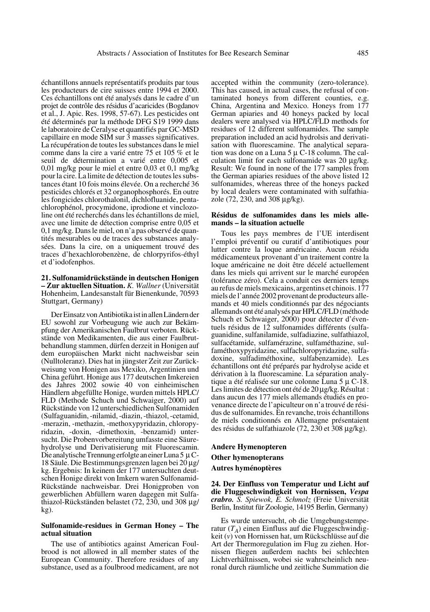échantillons annuels représentatifs produits par tous les producteurs de cire suisses entre 1994 et 2000. Ces échantillons ont été analysés dans le cadre d'un projet de contrôle des résidus d'acaricides (Bogdanov et al., J. Apic. Res. 1998, 57-67). Les pesticides ont été déterminés par la méthode DFG S19 1999 dans le laboratoire de Ceralyse et quantifiés par GC-MSD capillaire en mode SIM sur 3 masses significatives. La récupération de toutes les substances dans le miel comme dans la cire a varié entre 75 et 105 % et le seuil de détermination a varié entre 0,005 et 0,01 mg/kg pour le miel et entre 0,03 et 0,1 mg/kg pour la cire. La limite de détection de toutes les substances étant 10 fois moins élevée. On a recherché 36 pesticides chlorés et 32 organophosphorés. En outre les fongicides chlorothalonil, dichlofluanide, pentachlorophénol, procymidone, iprodione et vinclozoline ont été recherchés dans les échantillons de miel, avec une limite de détection comprise entre 0,05 et 0,1 mg/kg. Dans le miel, on n'a pas observé de quantités mesurables ou de traces des substances analysées. Dans la cire, on a uniquement trouvé des traces d'hexachlorobenzène, de chlorpyrifos-éthyl et d'iodofenphos.

## **21. Sulfonamidrückstände in deutschen Honigen – Zur aktuellen Situation.** *K. Wallner* (Universität Hohenheim, Landesanstalt für Bienenkunde, 70593 Stuttgart, Germany)

Der Einsatz von Antibiotika ist in allen Ländern der EU sowohl zur Vorbeugung wie auch zur Bekämpfung der Amerikanischen Faulbrut verboten. Rückstände von Medikamenten, die aus einer Faulbrutbehandlung stammen, dürfen derzeit in Honigen auf dem europäischen Markt nicht nachweisbar sein (Nulltoleranz). Dies hat in jüngster Zeit zur Zurückweisung von Honigen aus Mexiko, Argentinien und China geführt. Honige aus 177 deutschen Imkereien des Jahres 2002 sowie 40 von einheimischen Händlern abgefüllte Honige, wurden mittels HPLC/ FLD (Methode Schuch und Schwaiger, 2000) auf Rückstände von 12 unterschiedlichen Sulfonamiden (Sulfaguanidin, -nilamid, -diazin, -thiazol, -cetamid, -merazin, -methazin, -methoxypyridazin, chloropyridazin, -doxin, -dimethoxin, -benzamid) untersucht. Die Probenvorbereitung umfasste eine Säurehydrolyse und Derivatisierung mit Fluorescamin. Die analytische Trennung erfolgte an einer Luna 5 µ C-18 Säule. Die Bestimmungsgrenzen lagen bei 20 µg/ kg. Ergebnis: In keinem der 177 untersuchten deutschen Honige direkt von Imkern waren Sulfonamid-Rückstände nachweisbar. Drei Honigproben von gewerblichen Abfüllern waren dagegen mit Sulfathiazol-Rückständen belastet (72, 230, und 308 µg/ kg).

#### **Sulfonamide-residues in German Honey – The actual situation**

The use of antibiotics against American Foulbrood is not allowed in all member states of the European Community. Therefore residues of any substance, used as a foulbrood medicament, are not

accepted within the community (zero-tolerance). This has caused, in actual cases, the refusal of contaminated honeys from different counties, e.g. China, Argentina and Mexico. Honeys from 177 German apiaries and 40 honeys packed by local dealers were analysed via HPLC/FLD methods for residues of 12 different sulfonamides. The sample preparation included an acid hydrolsis and derivatisation with fluorescamine. The analytical separation was done on a Luna 5 µ C-18 column. The calculation limit for each sulfonamide was 20 µg/kg. Result: We found in none of the 177 samples from the German apiaries residues of the above listed 12 sulfonamides, whereas three of the honeys packed by local dealers were contaminated with sulfathiazole (72, 230, and 308 µg/kg).

## **Résidus de sulfonamides dans les miels allemands – la situation actuelle**

Tous les pays membres de l'UE interdisent l'emploi préventif ou curatif d'antibiotiques pour lutter contre la loque américaine. Aucun résidu médicamenteux provenant d'un traitement contre la loque américaine ne doit être décelé actuellement dans les miels qui arrivent sur le marché européen (tolérance zéro). Cela a conduit ces derniers temps au refus de miels mexicains, argentins et chinois. 177 miels de l'année 2002 provenant de producteurs allemands et 40 miels conditionnés par des négociants allemands ont été analysés par HPLC/FLD (méthode Schuch et Schwaiger, 2000) pour détecter d'éventuels résidus de 12 sulfonamides différents (sulfaguanidine, sulfanilamide, sulfadiazine, sulfathiazol, sulfacétamide, sulfamérazine, sulfaméthazine, sulfaméthoxypyridazine, sulfachloropyridazine, sulfadoxine, sulfadiméthoxine, sulfabenzamide). Les échantillons ont été préparés par hydrolyse acide et dérivation à la fluorescamine. La séparation analytique a été réalisée sur une colonne Luna 5 µ C-18. Les limites de détection ont été de 20 µg/kg. Résultat : dans aucun des 177 miels allemands étudiés en provenance directe de l'apiculteur on n'a trouvé de résidus de sulfonamides. En revanche, trois échantillons de miels conditionnés en Allemagne présentaient des résidus de sulfathiazole (72, 230 et 308 µg/kg).

# **Andere Hymenopteren Other hymenopterans Autres hyménoptères**

**24. Der Einfluss von Temperatur und Licht auf die Fluggeschwindigkeit von Hornissen,** *Vespa crabro. S. Spiewok, E. Schmolz* (Freie Universität Berlin, Institut für Zoologie, 14195 Berlin, Germany)

Es wurde untersucht, ob die Umgebungstemperatur  $(T_A)$  einen Einfluss auf die Fluggeschwindigkeit  $(v)$  von Hornissen hat, um Rückschlüsse auf die Art der Thermoregulation im Flug zu ziehen. Hornissen fliegen außerdem nachts bei schlechten Lichtverhältnissen, wobei sie wahrscheinlich neuronal durch räumliche und zeitliche Summation die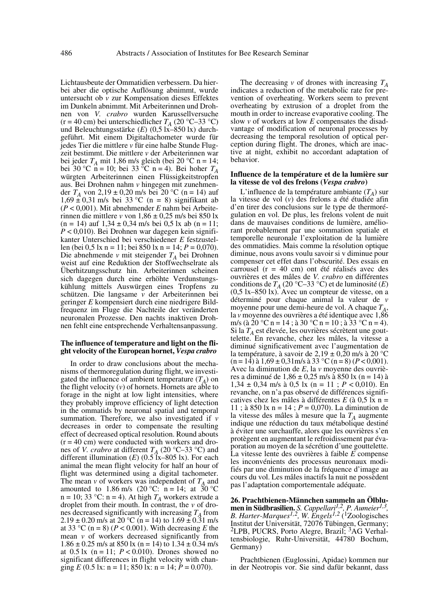Lichtausbeute der Ommatidien verbessern. Da hierbei aber die optische Auflösung abnimmt, wurde untersucht ob *v* zur Kompensation dieses Effektes im Dunkeln abnimmt. Mit Arbeiterinnen und Drohnen von *V. crabro* wurden Karussellversuche (r = 40 cm) bei unterschiedlicher  $T_A$  (20 °C–33 °C) und Beleuchtungsstärke (*E*) (0,5 lx-850 lx) durchgeführt. Mit einem Digitaltachometer wurde für jedes Tier die mittlere *v* für eine halbe Stunde Flugzeit bestimmt. Die mittlere *v* der Arbeiterinnen war bei jeder  $T_A$  mit 1,86 m/s gleich (bei 20 °C n = 14; bei 30 °C n = 10; bei 33 °C n = 4). Bei hoher  $T_A$ würgten Arbeiterinnen einen Flüssigkeitstropfen aus. Bei Drohnen nahm *v* hingegen mit zunehmender  $T_A$  von 2,19 ± 0,20 m/s bei 20 °C (n = 14) auf  $1,69 \pm 0,31$  m/s bei 33 °C (n = 8) signifikant ab (*P* < 0,001). Mit abnehmender *E* nahm bei Arbeiterinnen die mittlere *v* von  $1,86 \pm 0,25$  m/s bei 850 lx  $(n = 14)$  auf  $1,34 \pm 0,34$  m/s bei 0,5 lx ab  $(n = 11)$ ; *P* < 0,010). Bei Drohnen war dagegen kein signifikanter Unterschied bei verschiedener *E* festzustellen (bei 0,5 lx n = 11; bei 850 lx n = 14; *P* = 0,070). Die abnehmende *v* mit steigender *TA* bei Drohnen weist auf eine Reduktion der Stoffwechselrate als Überhitzungsschutz hin. Arbeiterinnen scheinen sich dagegen durch eine erhöhte Verdunstungskühlung mittels Auswürgen eines Tropfens zu schützen. Die langsame *v* der Arbeiterinnen bei geringer *E* kompensiert durch eine niedrigere Bildfrequenz im Fluge die Nachteile der veränderten neuronalen Prozesse. Den nachts inaktiven Drohnen fehlt eine entsprechende Verhaltensanpassung.

## **The influence of temperature and light on the flight velocity of the European hornet,** *Vespa crabro*

In order to draw conclusions about the mechanisms of thermoregulation during flight, we investigated the influence of ambient temperature  $(T_A)$  on the flight velocity (*v*) of hornets. Hornets are able to forage in the night at low light intensities, where they probably improve efficiency of light detection in the ommatids by neuronal spatial and temporal summation. Therefore, we also investigated if *v* decreases in order to compensate the resulting effect of decreased optical resolution. Round abouts  $(r = 40 \text{ cm})$  were conducted with workers and drones of *V. crabro* at different  $T_A$  (20 °C–33 °C) and different illumination  $(E)$  (0.5  $\overline{1}x$ –805 lx). For each animal the mean flight velocity for half an hour of flight was determined using a digital tachometer. The mean  $\nu$  of workers was independent of  $T_A$  and amounted to  $1.86 \text{ m/s}$  (20 °C: n = 14; at 30 °C  $n = 10$ ; 33 °C:  $n = 4$ ). At high  $T_A$  workers extrude a droplet from their mouth. In contrast, the *v* of drones decreased significantly with increasing  $T_A$  from  $2.19 \pm 0.20$  m/s at  $20^{\circ}$ C (n = 14) to  $1.69 \pm 0.31$  m/s at 33 °C ( $n = 8$ ) ( $P < 0.001$ ). With decreasing *E* the mean *v* of workers decreased significantly from  $1.86 \pm 0.25$  m/s at 850 lx (n = 14) to  $1.34 \pm 0.34$  m/s at  $0.5 \text{ lx}$  (n = 11;  $P < 0.010$ ). Drones showed no significant differences in flight velocity with changing *E* (0.5 lx: n = 11; 850 lx: n = 14; *P* = 0.070).

The decreasing  $\nu$  of drones with increasing  $T_A$ indicates a reduction of the metabolic rate for prevention of overheating. Workers seem to prevent overheating by extrusion of a droplet from the mouth in order to increase evaporative cooling. The slow *v* of workers at low *E* compensates the disadvantage of modification of neuronal processes by decreasing the temporal resolution of optical perception during flight. The drones, which are inactive at night, exhibit no accordant adaptation of behavior.

#### **Influence de la température et de la lumière sur la vitesse de vol des frelons (***Vespa crabro***)**

L'influence de la température ambiante  $(T_A)$  sur la vitesse de vol (*v*) des frelons a été étudiée afin d'en tirer des conclusions sur le type de thermorégulation en vol. De plus, les frelons volent de nuit dans de mauvaises conditions de lumière, améliorant probablement par une sommation spatiale et temporelle neuronale l'exploitation de la lumière des ommatidies. Mais comme la résolution optique diminue, nous avons voulu savoir si v diminue pour compenser cet effet dans l'obscurité. Des essais en carrousel (r = 40 cm) ont été réalisés avec des ouvrières et des mâles de *V. crabro* en différentes conditions de *TA* (20 °C–33 °C) et de luminosité (*E*) (0,5 lx–850 lx). Avec un compteur de vitesse, on a déterminé pour chaque animal la valeur de *v* moyenne pour une demi-heure de vol. A chaque  $T_A$ , la *v* moyenne des ouvrières a été identique avec 1,86 m/s (à 20 °C n = 14 ; à 30 °C n = 10 ; à 33 °C n = 4). Si la *TA* est élevée, les ouvrières sécrètent une gouttelette. En revanche, chez les mâles, la vitesse a diminué significativement avec l'augmentation de la température, à savoir de 2,19  $\pm$  0,20 m/s à 20 °C  $(n = 14)$  à  $1,69 \pm 0,31$  m/s à  $33^{\circ}$ C  $(n = 8)$   $(P < 0,001)$ . Avec la diminution de *E*, la *v* moyenne des ouvrières a diminué de 1,86 ± 0,25 m/s à 850 lx (n = 14) à 1,34 ± 0,34 m/s à 0,5 lx (n = 11 ; *P* < 0,010). En revanche, on n'a pas observé de différences significatives chez les mâles à différentes *E* (à 0,5 lx n = 11 ; à 850 lx n = 14 ; *P* = 0,070). La diminution de la vitesse des mâles à mesure que la  $T_A$  augmente indique une réduction du taux métabolique destiné à éviter une surchauffe, alors que les ouvrières s'en protègent en augmentant le refroidissement par évaporation au moyen de la sécrétion d'une gouttelette. La vitesse lente des ouvrières à faible *E* compense les inconvénients des processus neuronaux modifiés par une diminution de la fréquence d'image au cours du vol. Les mâles inactifs la nuit ne possèdent pas l'adaptation comportementale adéquate.

**26. Prachtbienen-Männchen sammeln an Ölblumen in Südbrasilien.** *S. Cappellari1,2, P. Aumeier1,3, B. Harter-Marques1,2, W. Engels1,2* (1Zoologisches Institut der Universität, 72076 Tübingen, Germany; <sup>2</sup>LPB, PUCRS, Porto Alegre, Brazil; <sup>3</sup>AG Verhaltensbiologie, Ruhr-Universität, 44780 Bochum, Germany)

Prachtbienen (Euglossini, Apidae) kommen nur in der Neotropis vor. Sie sind dafür bekannt, dass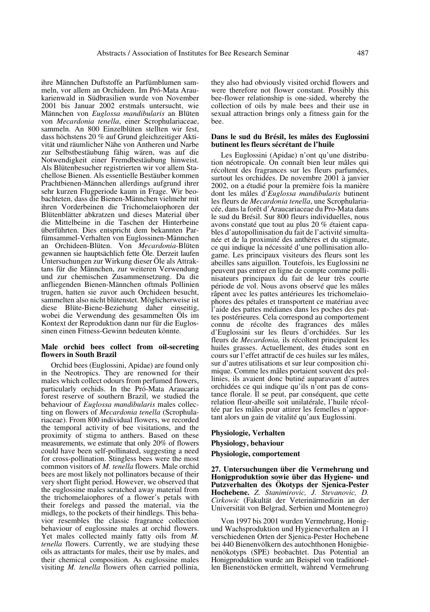ihre Männchen Duftstoffe an Parfümblumen sammeln, vor allem an Orchideen. Im Pró-Mata Araukarienwald in Südbrasilien wurde von November 2001 bis Januar 2002 erstmals untersucht, wie Männchen von *Euglossa mandibularis* an Blüten von *Mecardonia tenella*, einer Scrophulariaceae, sammeln. An 800 Einzelblüten stellten wir fest, dass höchstens 20 % auf Grund gleichzeitiger Aktivität und räumlicher Nähe von Antheren und Narbe zur Selbstbestäubung fähig wären, was auf die Notwendigkeit einer Fremdbestäubung hinweist. Als Blütenbesucher registrierten wir vor allem Stachellose Bienen. Als essentielle Bestäuber kommen Prachtbienen-Männchen allerdings aufgrund ihrer sehr kurzen Flugperiode kaum in Frage. Wir beobachteten, dass die Bienen-Männchen vielmehr mit ihren Vorderbeinen die Trichomelaiophoren der Blütenblätter abkratzen und dieses Material über die Mittelbeine in die Taschen der Hinterbeine überführten. Dies entspricht dem bekannten Parfümsammel-Verhalten von Euglossinen-Männchen an Orchideen-Blüten. Von *Mecardonia*-Blüten gewannen sie hauptsächlich fette Öle. Derzeit laufen Untersuchungen zur Wirkung dieser Öle als Attraktans für die Männchen, zur weiteren Verwendung und zur chemischen Zusammensetzung. Da die anfliegenden Bienen-Männchen oftmals Pollinien trugen, hatten sie zuvor auch Orchideen besucht, sammelten also nicht blütenstet. Möglicherweise ist diese Blüte-Biene-Beziehung daher einseitig, wobei die Verwendung des gesammelten Öls im Kontext der Reproduktion dann nur für die Euglossinen einen Fitness-Gewinn bedeuten könnte.

### **Male orchid bees collect from oil-secreting flowers in South Brazil**

Orchid bees (Euglossini, Apidae) are found only in the Neotropics. They are renowned for their males which collect odours from perfumed flowers, particularly orchids. In the Pró-Mata Araucaria forest reserve of southern Brazil, we studied the behaviour of *Euglossa mandibularis* males collecting on flowers of *Mecardonia tenella* (Scrophulariaceae). From 800 individual flowers, we recorded the temporal activity of bee visitations, and the proximity of stigma to anthers. Based on these measurements, we estimate that only 20% of flowers could have been self-pollinated, suggesting a need for cross-pollination. Stingless bees were the most common visitors of *M. tenella* flowers. Male orchid bees are most likely not pollinators because of their very short flight period. However, we observed that the euglossine males scratched away material from the trichomelaiophores of a flower's petals with their forelegs and passed the material, via the midlegs, to the pockets of their hindlegs. This behavior resembles the classic fragrance collection behaviour of euglossine males at orchid flowers. Yet males collected mainly fatty oils from *M. tenella* flowers. Currently, we are studying these oils as attractants for males, their use by males, and their chemical composition. As euglossine males visiting *M. tenella* flowers often carried pollinia, they also had obviously visited orchid flowers and were therefore not flower constant. Possibly this bee-flower relationship is one-sided, whereby the collection of oils by male bees and their use in sexual attraction brings only a fitness gain for the bee.

#### **Dans le sud du Brésil, les mâles des Euglossini butinent les fleurs sécrétant de l'huile**

Les Euglossini (Apidae) n'ont qu'une distribution néotropicale. On connaît bien leur mâles qui récoltent des fragrances sur les fleurs parfumées, surtout les orchidées. De novembre 2001 à janvier 2002, on a étudié pour la première fois la manière dont les mâles d'*Euglossa mandibularis* butinent les fleurs de *Mecardonia tenella*, une Scrophulariacée, dans la forêt d'Araucariaceae du Pro-Mata dans le sud du Brésil. Sur 800 fleurs individuelles, nous avons constaté que tout au plus 20 % étaient capables d'autopollinisation du fait de l'activité simultanée et de la proximité des anthères et du stigmate, ce qui indique la nécessité d'une pollinisation allogame. Les principaux visiteurs des fleurs sont les abeilles sans aiguillon. Toutefois, les Euglossini ne peuvent pas entrer en ligne de compte comme pollinisateurs principaux du fait de leur très courte période de vol. Nous avons observé que les mâles râpent avec les pattes antérieures les trichomelaiophores des pétales et transportent ce matériau avec l'aide des pattes médianes dans les poches des pattes postérieures. Cela correspond au comportement connu de récolte des fragrances des mâles d'Euglossini sur les fleurs d'orchidées. Sur les fleurs de *Mecardonia,* ils récoltent principalent les huiles grasses. Actuellement, des études sont en cours sur l'effet attractif de ces huiles sur les mâles, sur d'autres utilisations et sur leur composition chimique. Comme les mâles portaient souvent des pollinies, ils avaient donc butiné auparavant d'autres orchidées ce qui indique qu'ils n'ont pas de constance florale. Il se peut, par conséquent, que cette relation fleur-abeille soit unilatérale, l'huile récoltée par les mâles pour attirer les femelles n'apportant alors un gain de vitalité qu'aux Euglossini.

# **Physiologie, Verhalten**

#### **Physiology, behaviour**

# **Physiologie, comportement**

**27. Untersuchungen über die Vermehrung und Honigproduktion sowie über das Hygiene- und Putzverhalten des Ökotyps der Sjenica-Pester Hochebene.** *Z. Stanimirovic, J. Stevanovic, D. Cirkowic* (Fakultät der Veterinärmedizin an der Universität von Belgrad, Serbien und Montenegro)

Von 1997 bis 2001 wurden Vermehrung, Honigund Wachsproduktion und Hygieneverhalten an 11 verschiedenen Orten der Sjenica-Pester Hochebene bei 440 Bienenvölkern des autochthonen Honigbienenökotyps (SPE) beobachtet. Das Potential an Honigproduktion wurde am Beispiel von traditionellen Bienenstöcken ermittelt, während Vermehrung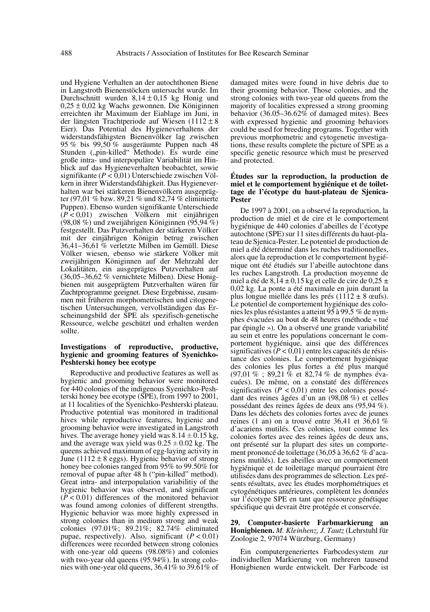und Hygiene Verhalten an der autochthonen Biene in Langstroth Bienenstöcken untersucht wurde. Im Durchschnitt wurden 8,14 ± 0,15 kg Honig und 0,25 ± 0,02 kg Wachs gewonnen. Die Königinnen erreichten ihr Maximum der Eiablage im Juni, in der längsten Trachtperiode auf Wiesen  $(1112 \pm 8)$ Eier). Das Potential des Hygieneverhaltens der widerstandsfähigsten Bienenvölker lag zwischen 95 % bis 99,50 % ausgeräumte Puppen nach 48 Stunden ("pin-killed" Methode). Es wurde eine große intra- und interpopuläre Variabilität im Hinblick auf das Hygieneverhalten beobachtet, sowie signifikante (*P* < 0,01) Unterschiede zwischen Völkern in ihrer Widerstandsfähigkeit. Das Hygieneverhalten war bei stärkeren Bienenvölkern ausgeprägter (97,01 % bzw. 89,21 % und 82,74 % eliminierte Puppen). Ebenso wurden signifikante Unterschiede (*P* < 0,01) zwischen Völkern mit einjährigen (98,08 %) und zweijährigen Königinnen (95,94 %) festgestellt. Das Putzverhalten der stärkeren Völker mit der einjährigen Königin betrug zwischen 36,41–36,61 % verletzte Milben im Gemüll. Diese Völker wiesen, ebenso wie stärkere Völker mit zweijährigen Königinnen auf der Mehrzahl der Lokalitäten, ein ausgeprägtes Putzverhalten auf (36,05–36,62 % vernichtete Milben). Diese Honigbienen mit ausgeprägtem Putzverhalten wären für Zuchtprogramme geeignet. Diese Ergebnisse, zusammen mit früheren morphometrischen und citogenetischen Untersuchungen, vervollständigen das Erscheinungsbild der SPE als spezifisch-genetische Ressource, welche geschützt und erhalten werden sollte.

# **Investigations of reproductive, productive, hygienic and grooming features of Syenichko-Peshterski honey bee ecotype**

Reproductive and productive features as well as hygienic and grooming behavior were monitored for 440 colonies of the indigenous Syenichko-Peshterski honey bee ecotype (SPE), from 1997 to 2001, at 11 localities of the Syenichko-Peshterski plateau. Productive potential was monitored in traditional hives while reproductive features, hygienic and grooming behavior were investigated in Langstroth hives. The average honey yield was  $8.14 \pm 0.15$  kg, and the average wax yield was  $0.25 \pm 0.02$  kg. The queens achieved maximum of egg-laying activity in June (1112  $\pm$  8 eggs). Hygienic behavior of strong honey bee colonies ranged from 95% to 99.50% for removal of pupae after 48 h ("pin-killed" method). Great intra- and interpopulation variabilitiy of the hygienic behavior was observed, and significant (*P* < 0.01) differences of the monitored behavior was found among colonies of different strengths. Hygienic behavior was more highly expressed in strong colonies than in medium strong and weak colonies (97.01%; 89.21%; 82.74% eliminated pupae, respectively). Also, significant  $(P < 0.01)$ differences were recorded between strong colonies with one-year old queens (98.08%) and colonies with two-year old queens (95.94%). In strong colonies with one-year old queens, 36.41% to 39.61% of damaged mites were found in hive debris due to their grooming behavior. Those colonies, and the strong colonies with two-year old queens from the majority of localities expressed a strong grooming behavior (36.05–36.62% of damaged mites). Bees with expressed hygienic and grooming behaviors could be used for breeding programs. Together with previous morphometric and cytogenetic investigations, these results complete the picture of SPE as a specific genetic resource which must be preserved and protected.

## **Études sur la reproduction, la production de miel et le comportement hygiénique et de toilettage de l'écotype du haut-plateau de Sjenica-Pester**

De 1997 à 2001, on a observé la reproduction, la production de miel et de cire et le comportement hygiénique de 440 colonies d'abeilles de l'écotype autochtone (SPE) sur 11 sites différents du haut-plateau de Sjenica-Pester. Le potentiel de production de miel a été déterminé dans les ruches traditionnelles, alors que la reproduction et le comportement hygiénique ont été étudiés sur l'abeille autochtone dans les ruches Langstroth. La production moyenne de miel a été de  $8,14 \pm 0,15$  kg et celle de cire de  $0,25 \pm 1$ 0,02 kg. La ponte a été maximale en juin durant la plus longue miellée dans les prés (1112  $\pm$  8 œufs). Le potentiel de comportement hygiénique des colonies les plus résistantes a atteint 95 à 99,5 % de nymphes évacuées au bout de 48 heures (méthode « tué par épingle »). On a observé une grande variabilité au sein et entre les populations concernant le comportement hygiénique, ainsi que des différences significatives  $(P < 0.01)$  entre les capacités de résistance des colonies. Le comportement hygiénique des colonies les plus fortes a été plus marqué (97,01 % ; 89,21 % et 82,74 % de nymphes évacuées). De même, on a constaté des différences significatives ( $P < 0.01$ ) entre les colonies possédant des reines âgées d'un an (98,08 %) et celles possédant des reines âgées de deux ans (95,94 %). Dans les déchets des colonies fortes avec de jeunes reines (1 an) on a trouvé entre 36,41 et 36,61 % d'acariens mutilés. Ces colonies, tout comme les colonies fortes avec des reines âgées de deux ans, ont présenté sur la plupart des sites un comportement prononcé de toilettage (36,05 à 36,62 % d'acariens mutilés). Les abeilles avec un comportement hygiénique et de toilettage marqué pourraient être utilisées dans des programmes de sélection. Les présents résultats, avec les études morphométriques et cytogénétiques antérieures, complètent les données sur l'écotype SPE en tant que ressource génétique spécifique qui devrait être protégée et conservée.

## **29. Computer-basierte Farbmarkierung an Honigbienen.** *M. Kleinhenz, J. Tautz* (Lehrstuhl für Zoologie 2, 97074 Würzburg, Germany)

Ein computergeneriertes Farbcodesystem zur individuellen Markierung von mehreren tausend Honigbienen wurde entwickelt. Der Farbcode ist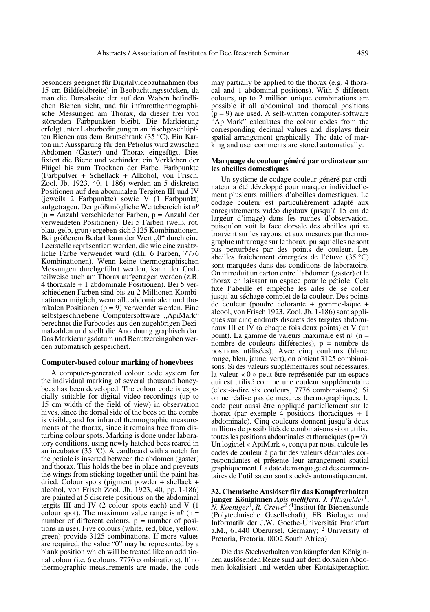besonders geeignet für Digitalvideoaufnahmen (bis 15 cm Bildfeldbreite) in Beobachtungsstöcken, da man die Dorsalseite der auf den Waben befindlichen Bienen sieht, und für infrarotthermographische Messungen am Thorax, da dieser frei von störenden Farbpunkten bleibt. Die Markierung erfolgt unter Laborbedingungen an frischgeschlüpften Bienen aus dem Brutschrank (35 °C). Ein Karton mit Aussparung für den Petiolus wird zwischen Abdomen (Gaster) und Thorax eingefügt. Dies fixiert die Biene und verhindert ein Verkleben der Flügel bis zum Trocknen der Farbe. Farbpunkte (Farbpulver + Schellack + Alkohol, von Frisch, Zool. Jb. 1923, 40, 1-186) werden an 5 diskreten Positionen auf den abominalen Tergiten III und IV (jeweils 2 Farbpunkte) sowie V (1 Farbpunkt) aufgetragen. Der größtmögliche Wertebereich ist np (n = Anzahl verschiedener Farben, p = Anzahl der verwendeten Positionen). Bei 5 Farben (weiß, rot, blau, gelb, grün) ergeben sich 3125 Kombinationen. Bei größerem Bedarf kann der Wert "0" durch eine Leerstelle repräsentiert werden, die wie eine zusätzliche Farbe verwendet wird (d.h. 6 Farben, 7776 Kombinationen). Wenn keine thermographischen Messungen durchgeführt werden, kann der Code teilweise auch am Thorax aufgetragen werden (z.B. 4 thorakale + 1 abdominale Positionen). Bei 5 verschiedenen Farben sind bis zu 2 Millionen Kombinationen möglich, wenn alle abdominalen und thorakalen Positionen  $(p = 9)$  verwendet werden. Eine selbstgeschriebene Computersoftware "ApiMark" berechnet die Farbcodes aus den zugehörigen Dezimalzahlen und stellt die Anordnung graphisch dar. Das Markierungsdatum und Benutzereingaben werden automatisch gespeichert.

#### **Computer-based colour marking of honeybees**

A computer-generated colour code system for the individual marking of several thousand honeybees has been developed. The colour code is especially suitable for digital video recordings (up to 15 cm width of the field of view) in observation hives, since the dorsal side of the bees on the combs is visible, and for infrared thermographic measurements of the thorax, since it remains free from disturbing colour spots. Marking is done under laboratory conditions, using newly hatched bees reared in an incubator (35 °C). A cardboard with a notch for the petiole is inserted between the abdomen (gaster) and thorax. This holds the bee in place and prevents the wings from sticking together until the paint has dried. Colour spots (pigment powder + shellack + alcohol, von Frisch Zool. Jb. 1923, 40, pp. 1-186) are painted at 5 discrete positions on the abdominal tergits III and IV (2 colour spots each) and V (1 colour spot). The maximum value range is  $n<sup>p</sup>$  (n = number of different colours,  $p =$  number of positions in use). Five colours (white, red, blue, yellow, green) provide 3125 combinations. If more values are required, the value "0" may be represented by a blank position which will be treated like an additional colour (i.e. 6 colours, 7776 combinations). If no thermographic measurements are made, the code may partially be applied to the thorax (e.g. 4 thoracal and 1 abdominal positions). With 5 different colours, up to 2 million unique combinations are possible if all abdominal and thoracal positions  $(p = 9)$  are used. A self-written computer-software "ApiMark" calculates the colour codes from the corresponding decimal values and displays their spatial arrangement graphically. The date of marking and user comments are stored automatically.

#### **Marquage de couleur généré par ordinateur sur les abeilles domestiques**

Un système de codage couleur généré par ordinateur a été développé pour marquer individuellement plusieurs milliers d'abeilles domestiques. Le codage couleur est particulièrement adapté aux enregistrements vidéo digitaux (jusqu'à 15 cm de largeur d'image) dans les ruches d'observation, puisqu'on voit la face dorsale des abeilles qui se trouvent sur les rayons, et aux mesures par thermographie infrarouge sur le thorax, puisqu'elles ne sont pas perturbées par des points de couleur. Les abeilles fraîchement émergées de l'étuve (35 °C) sont marquées dans des conditions de laboratoire. On introduit un carton entre l'abdomen (gaster) et le thorax en laissant un espace pour le pétiole. Cela fixe l'abeille et empêche les ailes de se coller jusqu'au séchage complet de la couleur. Des points de couleur (poudre colorante + gomme-laque + alcool, von Frisch 1923, Zool. Jb. 1-186) sont appliqués sur cinq endroits discrets des tergites abdominaux III et IV (à chaque fois deux points) et V (un point). La gamme de valeurs maximale est  $n<sup>p</sup>$  (n = nombre de couleurs différentes), p = nombre de positions utilisées). Avec cinq couleurs (blanc, rouge, bleu, jaune, vert), on obtient 3125 combinaisons. Si des valeurs supplémentaires sont nécessaires, la valeur « 0 » peut être représentée par un espace qui est utilisé comme une couleur supplémentaire (c'est-à-dire six couleurs, 7776 combinaisons). Si on ne réalise pas de mesures thermographiques, le code peut aussi être appliqué partiellement sur le thorax (par exemple 4 positions thoraciques  $+1$ abdominale). Cinq couleurs donnent jusqu'à deux millions de possibilités de combinaisons si on utilise toutes les positions abdominales et thoraciques ( $p = 9$ ). Un logiciel « ApiMark », conçu par nous, calcule les codes de couleur à partir des valeurs décimales correspondantes et présente leur arrangement spatial graphiquement. La date de marquage et des commentaires de l'utilisateur sont stockés automatiquement.

**32. Chemische Auslöser für das Kampfverhalten junger Königinnen** *Apis mellifera. J. Pflugfelder*1, *N. Koeniger*1, *R. Crewe*2 (1Institut für Bienenkunde (Polytechnische Gesellschaft), FB Biologie und Informatik der J.W. Goethe-Universität Frankfurt a.M., 61440 Oberursel, Germany; 2 University of Pretoria, Pretoria, 0002 South Africa)

Die das Stechverhalten von kämpfenden Königinnen auslösenden Reize sind auf dem dorsalen Abdomen lokalisiert und werden über Kontaktperzeption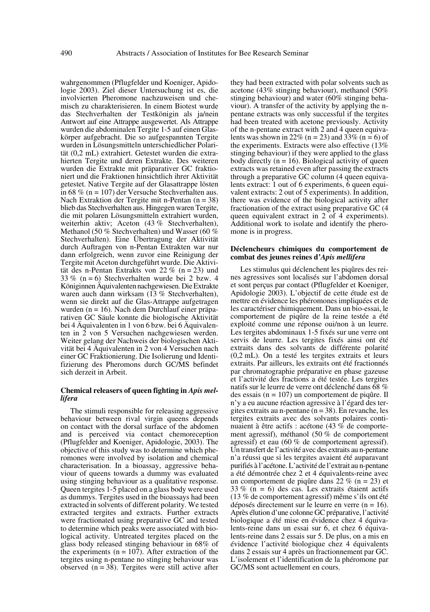wahrgenommen (Pflugfelder und Koeniger, Apidologie 2003). Ziel dieser Untersuchung ist es, die involvierten Pheromone nachzuweisen und chemisch zu charakterisieren. In einem Biotest wurde das Stechverhalten der Testkönigin als ja/nein Antwort auf eine Attrappe ausgewertet. Als Attrappe wurden die abdominalen Tergite 1-5 auf einen Glaskörper aufgebracht. Die so aufgespannten Tergite wurden in Lösungsmitteln unterschiedlicher Polarität (0,2 mL) extrahiert. Getestet wurden die extrahierten Tergite und deren Extrakte. Des weiteren wurden die Extrakte mit präparativer GC fraktioniert und die Fraktionen hinsichtlich ihrer Aktivität getestet. Native Tergite auf der Glasattrappe lösten in 68 % (n = 107) der Versuche Stechverhalten aus. Nach Extraktion der Tergite mit n-Pentan (n = 38) blieb das Stechverhalten aus. Hingegen waren Tergite, die mit polaren Lösungsmitteln extrahiert wurden, weiterhin aktiv; Aceton (43 % Stechverhalten), Methanol (50 % Stechverhalten) und Wasser (60 % Stechverhalten). Eine Übertragung der Aktivität durch Auftragen von n-Pentan Extrakten war nur dann erfolgreich, wenn zuvor eine Reinigung der Tergite mit Aceton durchgeführt wurde. Die Aktivität des n-Pentan Extrakts von 22 % (n = 23) und 33 % (n = 6) Stechverhalten wurde bei 2 bzw. 4 Königinnen Äquivalenten nachgewiesen. Die Extrakte waren auch dann wirksam (13 % Stechverhalten), wenn sie direkt auf die Glas-Attrappe aufgetragen wurden (n = 16). Nach dem Durchlauf einer präparativen GC Säule konnte die biologische Aktivität bei 4 Äquivalenten in 1 von 6 bzw. bei 6 Äquivalenten in 2 von 5 Versuchen nachgewiesen werden. Weiter gelang der Nachweis der biologischen Aktivität bei 4 Äquivalenten in 2 von 4 Versuchen nach einer GC Fraktionierung. Die Isolierung und Identifizierung des Pheromons durch GC/MS befindet sich derzeit in Arbeit.

#### **Chemical releasers of queen fighting in** *Apis mellifera*

The stimuli responsible for releasing aggressive behaviour between rival virgin queens depends on contact with the dorsal surface of the abdomen and is perceived via contact chemoreception (Pflugfelder and Koeniger, Apidologie, 2003). The objective of this study was to determine which pheromones were involved by isolation and chemical characterisation. In a bioassay, aggressive behaviour of queens towards a dummy was evaluated using stinging behaviour as a qualitative response. Queen tergites 1-5 placed on a glass body were used as dummys. Tergites used in the bioassays had been extracted in solvents of different polarity. We tested extracted tergites and extracts. Further extracts were fractionated using preparative GC and tested to determine which peaks were associated with biological activity. Untreated tergites placed on the glass body released stinging behaviour in 68% of the experiments  $(n = 107)$ . After extraction of the tergites using n-pentane no stinging behaviour was observed  $(n = 38)$ . Tergites were still active after they had been extracted with polar solvents such as acetone (43% stinging behaviour), methanol (50% stinging behaviour) and water (60% stinging behaviour). A transfer of the activity by applying the npentane extracts was only successful if the tergites had been treated with acetone previously. Activity of the n-pentane extract with 2 and 4 queen equivalents was shown in 22% (n = 23) and 33% (n = 6) of the experiments. Extracts were also effective (13% stinging behaviour) if they were applied to the glass body directly  $(n = 16)$ . Biological activity of queen extracts was retained even after passing the extracts through a preparative GC column (4 queen equivalents extract: 1 out of 6 experiments, 6 queen equivalent extracts: 2 out of 5 experiments). In addition, there was evidence of the biological activity after fractionation of the extract using preparative GC (4 queen equivalent extract in 2 of 4 experiments). Additional work to isolate and identify the pheromone is in progress.

#### **Déclencheurs chimiques du comportement de combat des jeunes reines d'***Apis mellifera*

Les stimulus qui déclenchent les piqûres des reines agressives sont localisés sur l'abdomen dorsal et sont perçus par contact (Pflugfelder et Koeniger, Apidologie 2003). L'objectif de cette étude est de mettre en évidence les phéromones impliquées et de les caractériser chimiquement. Dans un bio-essai, le comportement de piqûre de la reine testée a été exploité comme une réponse oui/non à un leurre. Les tergites abdominaux 1-5 fixés sur une verre ont servis de leurre. Les tergites fixés ainsi ont été extraits dans des solvants de différente polarité (0,2 mL). On a testé les tergites extraits et leurs extraits. Par ailleurs, les extraits ont été fractionnés par chromatographie préparative en phase gazeuse et l'activité des fractions a été testée. Les tergites natifs sur le leurre de verre ont déclenché dans 68 % des essais (n = 107) un comportement de piqûre. Il n'y a eu aucune réaction agressive à l'égard des tergites extraits au n-pentane (n = 38). En revanche, les tergites extraits avec des solvants polaires continuaient à être actifs : acétone (43 % de comportement agressif), méthanol (50 % de comportement agressif) et eau (60 % de comportement agressif). Un transfert de l'activité avec des extraits au n-pentane n'a réussi que si les tergites avaient été auparavant purifiés à l'acétone. L'activité de l'extrait au n-pentane a été démontrée chez 2 et 4 équivalents-reine avec un comportement de piqûre dans 22 % (n = 23) et  $33\%$  (n = 6) des cas. Les extraits étaient actifs (13 % de comportement agressif) même s'ils ont été déposés directement sur le leurre en verre (n = 16). Après élution d'une colonne GC préparative, l'activité biologique a été mise en évidence chez 4 équivalents-reine dans un essai sur 6, et chez 6 équivalents-reine dans 2 essais sur 5. De plus, on a mis en évidence l'activité biologique chez 4 équivalents dans 2 essais sur 4 après un fractionnement par GC. L'isolement et l'identification de la phéromone par GC/MS sont actuellement en cours.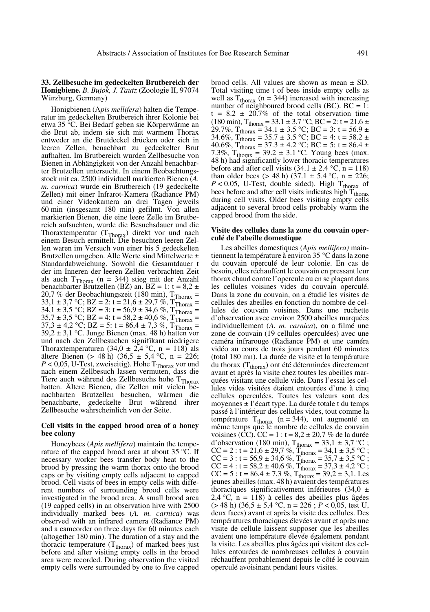#### **33. Zellbesuche im gedeckelten Brutbereich der Honigbiene.** *B. Bujok, J. Tautz* (Zoologie II, 97074 Würzburg, Germany)

Honigbienen (A*pis mellifera*) halten die Temperatur im gedeckelten Brutbereich ihrer Kolonie bei etwa 35 °C. Bei Bedarf geben sie Körperwärme an die Brut ab, indem sie sich mit warmem Thorax entweder an die Brutdeckel drücken oder sich in leeren Zellen, benachbart zu gedeckelter Brut aufhalten. Im Brutbereich wurden Zellbesuche von Bienen in Abhängigkeit von der Anzahl benachbarter Brutzellen untersucht. In einem Beobachtungsstock mit ca. 2500 individuell markierten Bienen (*A. m. carnica*) wurde ein Brutbereich (19 gedeckelte Zellen) mit einer Infrarot-Kamera (Radiance PM) und einer Videokamera an drei Tagen jeweils 60 min (insgesamt 180 min) gefilmt. Von allen markierten Bienen, die eine leere Zelle im Brutbereich aufsuchten, wurde die Besuchsdauer und die Thoraxtemperatur (T<sub>Thorax</sub>) direkt vor und nach<br>einem Besuch ermittelt. Die besuchten leeren Zellen waren im Versuch von einer bis 5 gedeckelten Brutzellen umgeben. Alle Werte sind Mittelwerte ± Standardabweichung. Sowohl die Gesamtdauer t der im Inneren der leeren Zellen verbrachten Zeit als auch  $T_{\text{Thorax}}$  (n = 344) stieg mit der Anzahl benachbarter Brutzellen (BZ) an. BZ = 1:  $t = 8.2 \pm$ 20,7 % der Beobachtungszeit (180 min),  $T_{\text{Thorax}} =$  $33,1 \pm 3,7$  °C;  $BZ = 2$ :  $t = 21,6 \pm 29,7$  %,  $T_{\text{Thorax}} =$  $34.1 \pm 3.5$  °C; BZ = 3: t =  $56.9 \pm 34.6$  %, T<sub>Thorax</sub> =  $35.7 \pm 3.5$  °C; BZ = 4: t =  $58.2 \pm 40.6$  %, T<sub>Thorax</sub> = 37,3 ± 4,2 °C; BZ = 5: t = 86,4 ± 7,3 %,  $T_{\text{Thorax}}$  = 39,2 ± 3,1 °C. Junge Bienen (max. 48 h) hatten vor und nach den Zellbesuchen signifikant niedrigere Thoraxtemperaturen (34,0  $\pm$  2,4 °C, n = 118) als ältere Bienen (> 48 h) (36,5 ± 5,4 °C, n = 226;  $P < 0.05$ , U-Test, zweiseitig). Hohe T<sub>Thorax</sub> vor und nach einem Zellbesuch lassen vermuten, dass die Tiere auch während des Zellbesuchs hohe T<sub>Thorax</sub> hatten. Ältere Bienen, die Zellen mit vielen benachbarten Brutzellen besuchen, wärmen die benachbarte, gedeckelte Brut während ihrer Zellbesuche wahrscheinlich von der Seite.

#### **Cell visits in the capped brood area of a honey bee colony**

Honeybees (*Apis mellifera*) maintain the temperature of the capped brood area at about 35 °C. If necessary worker bees transfer body heat to the brood by pressing the warm thorax onto the brood caps or by visiting empty cells adjacent to capped brood. Cell visits of bees in empty cells with different numbers of surrounding brood cells were investigated in the brood area. A small brood area (19 capped cells) in an observation hive with 2500 individually marked bees (*A. m. carnica*) was observed with an infrared camera (Radiance PM) and a camcorder on three days for 60 minutes each (altogether 180 min). The duration of a stay and the thoracic temperature  $(T_{\text{thorax}})$  of marked bees just before and after visiting empty cells in the brood area were recorded. During observation the visited empty cells were surrounded by one to five capped

brood cells. All values are shown as mean ± SD. Total visiting time t of bees inside empty cells as well as  $T_{\text{thorax}}$  (n = 344) increased with increasing number of neighboured brood cells (BC). BC = 1:  $t = 8.2 \pm 20.7\%$  of the total observation time  $(180 \text{ min})$ , T<sub>thorax</sub> = 33.1 ± 3.7 °C; BC = 2: t = 21.6 ±  $29.7\%$ ,  $T_{\text{thorax}} = 34.1 \pm 3.5 \degree \text{C}$ ; BC = 3: t = 56.9 ±  $34.6\%, T_{\text{thorax}} = 35.7 \pm 3.5 \text{ °C}; \text{ BC} = 4: t = 58.2 \pm 1.5 \text{ °C}$  $40.6\%$ ,  $T_{\text{thorax}} = 37.3 \pm 4.2 \degree C$ ;  $BC = 5$ :  $t = 86.4 \pm 2.2 \degree C$ 7.3%,  $T_{\text{thorax}} = 39.2 \pm 3.1 \text{ °C}$ . Young bees (max. 48 h) had significantly lower thoracic temperatures before and after cell visits  $(34.1 \pm 2.4 \degree C, n = 118)$ than older bees (> 48 h) (37.1  $\pm$  5.4 °C, n = 226;  $P < 0.05$ , U-Test, double sided). High T<sub>thorax</sub> of bees before and after cell visits indicates high  $T<sub>thorax</sub>$ during cell visits. Older bees visiting empty cells adjacent to several brood cells probably warm the capped brood from the side.

#### **Visite des cellules dans la zone du couvain operculé de l'abeille domestique**

Les abeilles domestiques (*Apis mellifera)* maintiennent la température à environ 35 °C dans la zone du couvain operculé de leur colonie. En cas de besoin, elles réchauffent le couvain en pressant leur thorax chaud contre l'opercule ou en se plaçant dans les cellules voisines vides du couvain operculé. Dans la zone du couvain, on a étudié les visites de cellules des abeilles en fonction du nombre de cellules de couvain voisines. Dans une ruchette d'observation avec environ 2500 abeilles marquées individuellement (*A. m. carnica*), on a filmé une zone de couvain (19 cellules operculées) avec une caméra infrarouge (Radiance PM) et une caméra vidéo au cours de trois jours pendant 60 minutes (total 180 mn). La durée de visite et la température du thorax (T<sub>thorax</sub>) ont été déterminées directement avant et après la visite chez toutes les abeilles marquées visitant une cellule vide. Dans l'essai les cellules vides visitées étaient entourées d'une à cinq cellules operculées. Toutes les valeurs sont des moyennes ± l'écart type. La durée totale t du temps passé à l'intérieur des cellules vides, tout comme la température  $T_{\text{thorax}}$  (n = 344), ont augmenté en même temps que le nombre de cellules de couvain voisines (CC). CC = 1 :  $t = 8.2 \pm 20.7$  % de la durée d'observation (180 min),  $T_{\text{thorax}} = 33.1 \pm 3.7 \degree C$ ;  $CC = 2 : t = 21.6 \pm 29.7 \%$ ,  $T_{\text{thorax}} = 34.1 \pm 3.5 \degree C$ ;  $CC = 3 : t = 56.9 \pm 34.6 \%$ ,  $T_{\text{thorax}} = 35.7 \pm 3.5 \degree C$ ;  $CC = 4 : t = 58.2 \pm 40.6 \%$ ,  $T_{\text{thorax}} = 37.3 \pm 4.2 \degree C$ ;  $CC = 5$ : t = 86,4 ± 7,3 %, T<sub>thorax</sub> = 39,2 ± 3,1. Les jeunes abeilles (max. 48 h) avaient des températures thoraciques significativement inférieures (34,0  $\pm$ 2,4 °C,  $n = 118$ ) à celles des abeilles plus âgées  $(> 48 \text{ h})$  (36,5 ± 5,4 °C, n = 226; *P* < 0,05, test U, deux faces) avant et après la visite des cellules. Des températures thoraciques élevées avant et après une visite de cellule laissent supposer que les abeilles avaient une température élevée également pendant la visite. Les abeilles plus âgées qui visitent des cellules entourées de nombreuses cellules à couvain réchauffent probablement depuis le côté le couvain operculé avoisinant pendant leurs visites.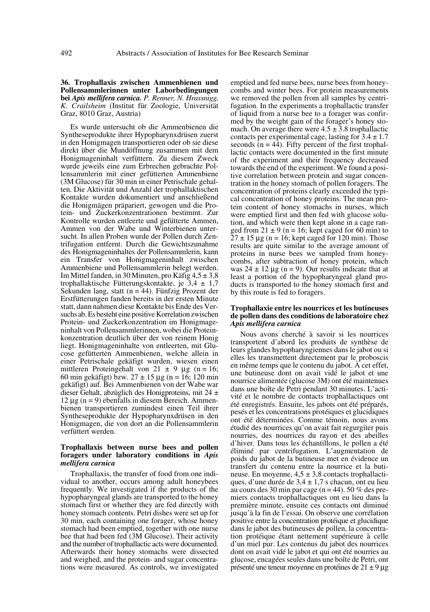#### **36. Trophallaxis zwischen Ammenbienen und Pollensammlerinnen unter Laborbedingungen bei** *Apis mellifera carnica. P. Renner, N. Hrassnigg, K. Crailsheim* (Institut für Zoologie, Universität Graz, 8010 Graz, Austria)

Es wurde untersucht ob die Ammenbienen die Syntheseprodukte ihrer Hypopharynxdrüsen zuerst in den Honigmagen transportieren oder ob sie diese direkt über die Mundöffnung zusammen mit dem Honigmageninhalt verfüttern. Zu diesem Zweck wurde jeweils eine zum Erbrechen gebrachte Pollensammlerin mit einer gefütterten Ammenbiene (3M Glucose) für 30 min in einer Petrischale gehalten. Die Aktivität und Anzahl der trophallaktischen Kontakte wurden dokumentiert und anschließend die Honigmägen präpariert, gewogen und die Protein- und Zuckerkonzentrationen bestimmt. Zur Kontrolle wurden entleerte und gefütterte Ammen, Ammen von der Wabe und Winterbienen untersucht. In allen Proben wurde der Pollen durch Zentrifugation entfernt. Durch die Gewichtszunahme des Honigmageninhaltes der Pollensammlerin, kann ein Transfer von Honigmageninhalt zwischen Ammenbiene und Pollensammlerin belegt werden. Im Mittel fanden, in 30 Minuten, pro Käfig  $4.5 \pm 3.8$ trophallaktische Fütterungskontakte, je 3,4 ± 1,7 Sekunden lang, statt  $(n = 44)$ . Fünfzig Prozent der Erstfütterungen fanden bereits in der ersten Minute statt, dann nahmen diese Kontakte bis Ende des Versuchs ab. Es besteht eine positive Korrelation zwischen Protein- und Zuckerkonzentration im Honigmageninhalt von Pollensammlerinnen, wobei die Proteinkonzentration deutlich über der von reinem Honig liegt. Honigmageninhalte von entleerten, mit Glucose gefütterten Ammenbienen, welche allein in einer Petrischale gekäfigt wurden, wiesen einen mittleren Proteingehalt von 21  $\pm$  9  $\mu$ g (n = 16; 60 min gekäfigt) bzw. 27 ± 15 µg (n = 16; 120 min gekäfigt) auf. Bei Ammenbienen von der Wabe war dieser Gehalt, abzüglich des Honigproteins, mit 24 ± 12 μg ( $n = 9$ ) ebenfalls in diesem Bereich. Ammenbienen transportieren zumindest einen Teil ihrer Syntheseprodukte der Hypopharynxdrüsen in den Honigmagen, die von dort an die Pollensammlerin verfüttert werden.

#### **Trophallaxis between nurse bees and pollen foragers under laboratory conditions in** *Apis mellifera carnica*

Trophallaxis, the transfer of food from one individual to another, occurs among adult honeybees frequently. We investigated if the products of the hypopharyngeal glands are transported to the honey stomach first or whether they are fed directly with honey stomach contents. Petri dishes were set up for 30 min, each containing one forager, whose honey stomach had been emptied, together with one nurse bee that had been fed (3M Glucose). Their activity and the number of trophallactic acts were documented. Afterwards their honey stomachs were dissected and weighed, and the protein- and sugar concentrations were measured. As controls, we investigated emptied and fed nurse bees, nurse bees from honeycombs and winter bees. For protein measurements we removed the pollen from all samples by centrifugation. In the experiments a trophallactic transfer of liquid from a nurse bee to a forager was confirmed by the weight gain of the forager's honey stomach. On average there were  $4.5 \pm 3.8$  trophallactic contacts per experimental cage, lasting for  $3.4 \pm 1.7$ seconds  $(n = 44)$ . Fifty percent of the first trophallactic contacts were documented in the first minute of the experiment and their frequency decreased towards the end of the experiment. We found a positive correlation between protein and sugar concentration in the honey stomach of pollen foragers. The concentration of proteins clearly exceeded the typical concentration of honey proteins. The mean protein content of honey stomachs in nurses, which were emptied first and then fed with glucose solution, and which were then kept alone in a cage ranged from  $21 \pm 9$  (n = 16; kept caged for 60 min) to  $27 \pm 15$  µg (n = 16; kept caged for 120 min). Those results are quite similar to the average amount of proteins in nurse bees we sampled from honeycombs, after subtraction of honey protein, which was  $24 \pm 12 \mu$ g (n = 9). Our results indicate that at least a portion of the hypopharyngeal gland products is transported to the honey stomach first and by this route is fed to foragers.

#### **Trophallaxie entre les nourrices et les butineuses de pollen dans des conditions de laboratoire chez** *Apis mellifera carnica*

Nous avons cherché à savoir si les nourrices transportent d'abord les produits de synthèse de leurs glandes hypopharyngiennes dans le jabot ou si elles les transmettent directement par le proboscis en même temps que le contenu du jabot. À cet effet, une butineuse dont on avait vidé le jabot et une nourrice alimentée (glucose 3M) ont été maintenues dans une boîte de Petri pendant 30 minutes. L'activité et le nombre de contacts trophallactiques ont été enregistrés. Ensuite, les jabots ont été préparés, pesés et les concentrations protéiques et glucidiques ont été déterminées. Comme témoin, nous avons étudié des nourrices qu'on avait fait regurgiter puis nourries, des nourrices du rayon et des abeilles d'hiver. Dans tous les échantillons, le pollen a été éliminé par centrifugation. L'augmentation de poids du jabot de la butineuse met en évidence un transfert du contenu entre la nourrice et la butineuse. En moyenne,  $4,5 \pm 3,8$  contacts trophallactiques, d'une durée de  $3.4 \pm 1.7$  s chacun, ont eu lieu au cours des 30 min par cage ( $n = 44$ ). 50 % des premiers contacts trophallactiques ont eu lieu dans la première minute, ensuite ces contacts ont diminué jusqu'à la fin de l'essai. On observe une corrélation positive entre la concentration protéique et glucidique dans le jabot des butineuses de pollen, la concentration protéique étant nettement supérieure à celle d'un miel pur. Les contenus du jabot des nourrices dont on avait vidé le jabot et qui ont été nourries au glucose, encagées seules dans une boîte de Petri, ont présenté une teneur moyenne en protéines de 21 ± 9 µg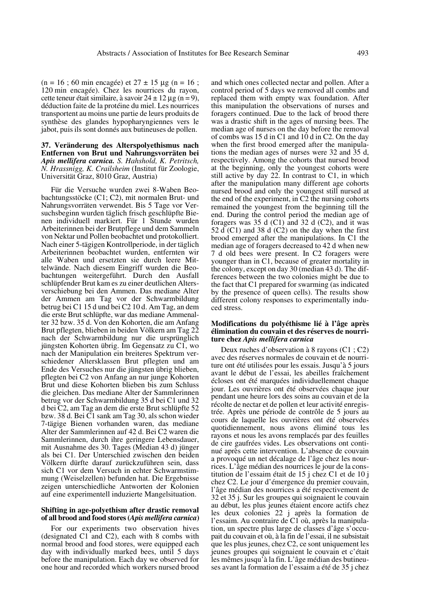$(n = 16 ; 60 \text{ min} \text{ encage}) \text{ et } 27 \pm 15 \text{ µg} (n = 16 ;$ 120 min encagée). Chez les nourrices du rayon, cette teneur était similaire, à savoir  $24 \pm 12 \,\mu$ g (n = 9), déduction faite de la protéine du miel. Les nourrices transportent au moins une partie de leurs produits de synthèse des glandes hypopharyngiennes vers le jabot, puis ils sont donnés aux butineuses de pollen.

**37. Veränderung des Alterspolyethismus nach Entfernen von Brut und Nahrungsvorräten bei** *Apis mellifera carnica. S. Hahshold, K. Petritsch, N. Hrassnigg, K. Crailsheim* (Institut für Zoologie, Universität Graz, 8010 Graz, Austria)

Für die Versuche wurden zwei 8-Waben Beobachtungsstöcke (C1; C2), mit normalen Brut- und Nahrungsvorräten verwendet. Bis 5 Tage vor Versuchsbeginn wurden täglich frisch geschlüpfte Bienen individuell markiert. Für 1 Stunde wurden Arbeiterinnen bei der Brutpflege und dem Sammeln von Nektar und Pollen beobachtet und protokolliert. Nach einer 5-tägigen Kontrollperiode, in der täglich Arbeiterinnen beobachtet wurden, entfernten wir alle Waben und ersetzten sie durch leere Mittelwände. Nach diesem Eingriff wurden die Beobachtungen weitergeführt. Durch den Ausfall schlüpfender Brut kam es zu einer deutlichen Altersverschiebung bei den Ammen. Das mediane Alter der Ammen am Tag vor der Schwarmbildung betrug bei C1 15 d und bei C2 10 d. Am Tag, an dem die erste Brut schlüpfte, war das mediane Ammenalter 32 bzw. 35 d. Von den Kohorten, die am Anfang Brut pflegten, blieben in beiden Völkern am Tag 22 nach der Schwarmbildung nur die ursprünglich jüngsten Kohorten übrig. Im Gegensatz zu C1, wo nach der Manipulation ein breiteres Spektrum verschiedener Altersklassen Brut pflegten und am Ende des Versuches nur die jüngsten übrig blieben, pflegten bei C2 von Anfang an nur junge Kohorten Brut und diese Kohorten blieben bis zum Schluss die gleichen. Das mediane Alter der Sammlerinnen betrug vor der Schwarmbildung 35 d bei C1 und 32 d bei C2, am Tag an dem die erste Brut schlüpfte 52 bzw. 38 d. Bei C1 sank am Tag 30, als schon wieder 7-tägige Bienen vorhanden waren, das mediane Alter der Sammlerinnen auf 42 d. Bei C2 waren die Sammlerinnen, durch ihre geringere Lebensdauer, mit Ausnahme des 30. Tages (Median 43 d) jünger als bei C1. Der Unterschied zwischen den beiden Völkern dürfte darauf zurückzuführen sein, dass sich C1 vor dem Versuch in echter Schwarmstimmung (Weiselzellen) befunden hat. Die Ergebnisse zeigen unterschiedliche Antworten der Kolonien auf eine experimentell induzierte Mangelsituation.

#### **Shifting in age-polyethism after drastic removal of all brood and food stores (***Apis mellifera carnica***)**

For our experiments two observation hives (designated C1 and C2), each with 8 combs with normal brood and food stores, were equipped each day with individually marked bees, until 5 days before the manipulation. Each day we observed for one hour and recorded which workers nursed brood

and which ones collected nectar and pollen. After a control period of 5 days we removed all combs and replaced them with empty wax foundation. After this manipulation the observations of nurses and foragers continued. Due to the lack of brood there was a drastic shift in the ages of nursing bees. The median age of nurses on the day before the removal of combs was 15 d in C1 and 10 d in C2. On the day when the first brood emerged after the manipulations the median ages of nurses were 32 and 35 d, respectively. Among the cohorts that nursed brood at the beginning, only the youngest cohorts were still active by day 22. In contrast to C1, in which after the manipulation many different age cohorts nursed brood and only the youngest still nursed at the end of the experiment, in C2 the nursing cohorts remained the youngest from the beginning till the end. During the control period the median age of foragers was 35 d (C1) and 32 d (C2), and it was 52  $\tilde{d}$  (C1) and 38 d (C2) on the day when the first brood emerged after the manipulations. In C1 the median age of foragers decreased to 42 d when new 7 d old bees were present. In C2 foragers were younger than in C1, because of greater mortality in the colony, except on day 30 (median 43 d). The differences between the two colonies might be due to the fact that C1 prepared for swarming (as indicated by the presence of queen cells). The results show different colony responses to experimentally induced stress.

#### **Modifications du polyéthisme lié à l'âge après élimination du couvain et des réserves de nourriture chez** *Apis mellifera carnica*

Deux ruches d'observation à 8 rayons (C1 ; C2) avec des réserves normales de couvain et de nourriture ont été utilisées pour les essais. Jusqu'à 5 jours avant le début de l'essai, les abeilles fraîchement écloses ont été marquées individuellement chaque jour. Les ouvrières ont été observées chaque jour pendant une heure lors des soins au couvain et de la récolte de nectar et de pollen et leur activité enregistrée. Après une période de contrôle de 5 jours au cours de laquelle les ouvrières ont été observées quotidiennement, nous avons éliminé tous les rayons et nous les avons remplacés par des feuilles de cire gaufrées vides. Les observations ont continué après cette intervention. L'absence de couvain a provoqué un net décalage de l'âge chez les nourrices. L'âge médian des nourrices le jour de la constitution de l'essaim était de 15 j chez C1 et de 10 j chez C2. Le jour d'émergence du premier couvain, l'âge médian des nourrices a été respectivement de 32 et 35 j. Sur les groupes qui soignaient le couvain au début, les plus jeunes étaient encore actifs chez les deux colonies 22 j après la formation de l'essaim. Au contraire de C1 où, après la manipulation, un spectre plus large de classes d'âge s'occupait du couvain et où, à la fin de l'essai, il ne subsistait que les plus jeunes, chez C2, ce sont uniquement les jeunes groupes qui soignaient le couvain et c'était les mêmes jusqu'à la fin. L'âge médian des butineuses avant la formation de l'essaim a été de 35 j chez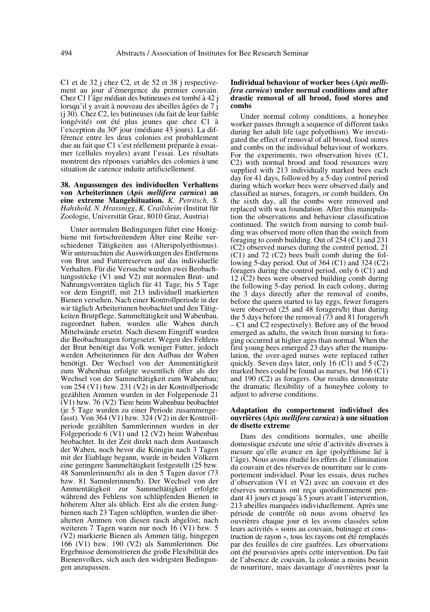C1 et de 32 j chez C2, et de 52 et 38 j respectivement au jour d'émergence du premier couvain. Chez C1 l'âge médian des butineuses est tombé à 42 j lorsqu'il y avait à nouveau des abeilles âgées de 7 j (j 30). Chez C2, les butineuses (du fait de leur faible longévité) ont été plus jeunes que chez C1 à l'exception du 30e jour (médiane 43 jours). La différence entre les deux colonies est probablement due au fait que C1 s'est réellement préparée à essaimer (cellules royales) avant l'essai. Les résultats montrent des réponses variables des colonies à une situation de carence induite artificiellement.

## **38. Anpassungen des individuellen Verhaltens von Arbeiterinnen (***Apis mellifera carnica***) an eine extreme Mangelsituation.** *K. Petritsch, S. Hahshold, N. Hrassnigg*, *K. Crailsheim* (Institut für Zoologie, Universität Graz, 8010 Graz, Austria)

Unter normalen Bedingungen führt eine Honigbiene mit fortschreitendem Alter eine Reihe verschiedener Tätigkeiten aus (Alterspolyethismus). Wir untersuchten die Auswirkungen des Entfernens von Brut und Futterreserven auf das individuelle Verhalten. Für die Versuche wurden zwei Beobachtungsstöcke (V1 und V2) mit normalen Brut- und Nahrungsvorräten täglich für 41 Tage, bis 5 Tage vor dem Eingriff, mit 213 individuell markierten Bienen versehen. Nach einer Kontrollperiode in der wir täglich Arbeiterinnen beobachtet und den Tätigkeiten Brutpflege, Sammeltätigkeit und Wabenbau, zugeordnet haben, wurden alle Waben durch Mittelwände ersetzt. Nach diesem Eingriff wurden die Beobachtungen fortgesetzt. Wegen des Fehlens der Brut benötigt das Volk weniger Futter, jedoch werden Arbeiterinnen für den Aufbau der Waben benötigt. Der Wechsel von der Ammentätigkeit zum Wabenbau erfolgte wesentlich öfter als der Wechsel von der Sammeltätigkeit zum Wabenbau; von 254 (V1) bzw. 231 (V2) in der Kontrollperiode gezählten Ammen wurden in der Folgeperiode 21 (V1) bzw. 76 (V2) Tiere beim Wabenbau beobachtet (je 5 Tage wurden zu einer Periode zusammengefasst). Von 364 (V1) bzw. 324 (V2) in der Kontrollperiode gezählten Sammlerinnen wurden in der Folgeperiode 6 (V1) und 12 (V2) beim Wabenbau beobachtet. In der Zeit direkt nach dem Austausch der Waben, noch bevor die Königin nach 3 Tagen mit der Eiablage begann, wurde in beiden Völkern eine geringere Sammeltätigkeit festgestellt (25 bzw. 48 Sammlerinnen/h) als in den 5 Tagen davor (73 bzw. 81 Sammlerinnen/h). Der Wechsel von der Ammentätigkeit zur Sammeltätigkeit erfolgte während des Fehlens von schlüpfenden Bienen in höherem Alter als üblich. Erst als die ersten Jungbienen nach 23 Tagen schlüpften, wurden die überalterten Ammen von diesen rasch abgelöst; nach weiteren 7 Tagen waren nur noch 16 (V1) bzw. 5 (V2) markierte Bienen als Ammen tätig, hingegen 166 (V1) bzw. 190 (V2) als Sammlerinnen. Die Ergebnisse demonstrieren die große Flexibilität des Bienenvolkes, sich auch den widrigsten Bedingungen anzupassen.

#### **Individual behaviour of worker bees (***Apis mellifera carnica***) under normal conditions and after drastic removal of all brood, food stores and combs**

Under normal colony conditions, a honeybee worker passes through a sequence of different tasks during her adult life (age polyethism). We investigated the effect of removal of all brood, food stores and combs on the individual behaviour of workers. For the experiments, two observation hives (C1, C2) with normal brood and food resources were supplied with 213 individually marked bees each day for 41 days, followed by a 5-day control period during which worker bees were observed daily and classified as nurses, foragers, or comb builders. On the sixth day, all the combs were removed and replaced with wax foundation. After this manipulation the observations and behaviour classification continued. The switch from nursing to comb building was observed more often than the switch from foraging to comb building. Out of 254 (C1) and 231 (C2) observed nurses during the control period, 21 (C1) and 72 (C2) bees built comb during the following 5-day period. Out of 364 (C1) and 324 (C2) foragers during the control period, only 6 (C1) and 12 (C2) bees were observed building comb during the following 5-day period. In each colony, during the 3 days directly after the removal of combs, before the queen started to lay eggs, fewer foragers were observed (25 and 48 foragers/h) than during the 5 days before the removal (73 and 81 foragers/h – C1 and C2 respectively). Before any of the brood emerged as adults, the switch from nursing to foraging occurred at higher ages than normal. When the first young bees emerged 23 days after the manipulation, the over-aged nurses were replaced rather quickly. Seven days later, only 16  $(C1)$  and 5  $(C2)$ marked bees could be found as nurses, but 166 (C1) and 190 (C2) as foragers. Our results demonstrate the dramatic flexibility of a honeybee colony to adjust to adverse conditions.

#### **Adaptation du comportement individuel des ouvrières (***Apis mellifera carnica***) à une situation de disette extreme**

Dans des conditions normales, une abeille domestique exécute une série d'activités diverses à mesure qu'elle avance en âge (polyéthisme lié à l'âge). Nous avons étudié les effets de l'élimination du couvain et des réserves de nourriture sur le comportement individuel. Pour les essais, deux ruches d'observation (V1 et V2) avec un couvain et des réserves normaux ont reçu quotidiennement pendant 41 jours et jusqu'à 5 jours avant l'intervention, 213 abeilles marquées individuellement. Après une période de contrôle où nous avons observé les ouvrières chaque jour et les avons classées selon leurs activités « soins au couvain, butinage et construction de rayon », tous les rayons ont été remplacés par des feuilles de cire gaufrées. Les observations ont été poursuivies après cette intervention. Du fait de l'absence de couvain, la colonie a moins besoin de nourriture, mais davantage d'ouvrières pour la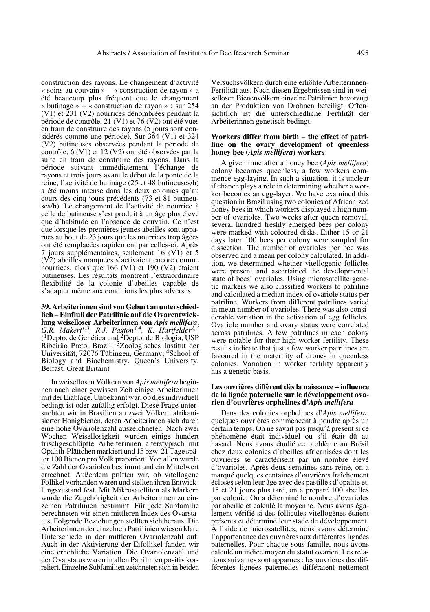construction des rayons. Le changement d'activité « soins au couvain » – « construction de rayon » a été beaucoup plus fréquent que le changement « butinage » – « construction de rayon » ; sur 254 (V1) et 231 (V2) nourrices dénombrées pendant la période de contrôle, 21 (V1) et 76 (V2) ont été vues en train de construire des rayons (5 jours sont considérés comme une période). Sur 364 (V1) et 324 (V2) butineuses observées pendant la période de contrôle, 6 (V1) et 12 (V2) ont été observées par la suite en train de construire des rayons. Dans la période suivant immédiatement l'échange de rayons et trois jours avant le début de la ponte de la reine, l'activité de butinage (25 et 48 butineuses/h) a été moins intense dans les deux colonies qu'au cours des cinq jours précédents (73 et 81 butineuses/h). Le changement de l'activité de nourrice à celle de butineuse s'est produit à un âge plus élevé que d'habitude en l'absence de couvain. Ce n'est que lorsque les premières jeunes abeilles sont apparues au bout de 23 jours que les nourrices trop âgées ont été remplacées rapidement par celles-ci. Après 7 jours supplémentaires, seulement 16 (V1) et 5 (V2) abeilles marquées s'activaient encore comme nourrices, alors que 166 (V1) et 190 (V2) étaient butineuses. Les résultats montrent l'extraordinaire flexibilité de la colonie d'abeilles capable de s'adapter même aux conditions les plus adverses.

**39. Arbeiterinnen sind von Geburt an unterschiedlich – Einfluß der Patrilinie auf die Ovarentwicklung weiselloser Arbeiterinnen von** *Apis mellifera***.** *G.R. Makert1,3, R.J. Paxton3,4, K. Hartfelder2,3* (1Depto. de Genética und 2Depto. de Biologia, USP Ribeirão Preto, Brazil; 3Zoologisches Institut der Universität, 72076 Tübingen, Germany; 4School of Biology and Biochemistry, Queen's University, Belfast, Great Britain)

In weisellosen Völkern von *Apis mellifera* beginnen nach einer gewissen Zeit einige Arbeiterinnen mit der Eiablage. Unbekannt war, ob dies individuell bedingt ist oder zufällig erfolgt. Diese Frage untersuchten wir in Brasilien an zwei Völkern afrikanisierter Honigbienen, deren Arbeiterinnen sich durch eine hohe Ovariolenzahl auszeichneten. Nach zwei Wochen Weisellosigkeit wurden einige hundert frischgeschlüpfte Arbeiterinnen alterstypisch mit Opalith-Plättchen markiert und 15 bzw. 21 Tage später 100 Bienen pro Volk präpariert. Von allen wurde die Zahl der Ovariolen bestimmt und ein Mittelwert errechnet. Außerdem prüften wir, ob vitellogene Follikel vorhanden waren und stellten ihren Entwicklungszustand fest. Mit Mikrosatelliten als Markern wurde die Zugehörigkeit der Arbeiterinnen zu einzelnen Patrilinien bestimmt. Für jede Subfamilie berechneten wir einen mittleren Index des Ovarstatus. Folgende Beziehungen stellten sich heraus: Die Arbeiterinnen der einzelnen Patrilinien wiesen klare Unterschiede in der mittleren Ovariolenzahl auf. Auch in der Aktivierung der Eifollikel fanden wir eine erhebliche Variation. Die Ovariolenzahl und der Ovarstatus waren in allen Patrilinien positiv korreliert. Einzelne Subfamilien zeichneten sich in beiden Versuchsvölkern durch eine erhöhte Arbeiterinnen-Fertilität aus. Nach diesen Ergebnissen sind in weisellosen Bienenvölkern einzelne Patrilinien bevorzugt an der Produktion von Drohnen beteiligt. Offensichtlich ist die unterschiedliche Fertilität der Arbeiterinnen genetisch bedingt.

#### **Workers differ from birth – the effect of patriline on the ovary development of queenless honey bee (***Apis mellifera***) workers**

A given time after a honey bee (*Apis mellifera*) colony becomes queenless, a few workers commence egg-laying. In such a situation, it is unclear if chance plays a role in determining whether a worker becomes an egg-layer. We have examined this question in Brazil using two colonies of Africanized honey bees in which workers displayed a high number of ovarioles. Two weeks after queen removal, several hundred freshly emerged bees per colony were marked with coloured disks. Either 15 or 21 days later 100 bees per colony were sampled for dissection. The number of ovarioles per bee was observed and a mean per colony calculated. In addition, we determined whether vitellogenic follicles were present and ascertained the developmental state of bees' ovarioles. Using microsatellite genetic markers we also classified workers to patriline and calculated a median index of ovariole status per patriline. Workers from different patrilines varied in mean number of ovarioles. There was also considerable variation in the activation of egg follicles. Ovariole number and ovary status were correlated across patrilines. A few patrilines in each colony were notable for their high worker fertility. These results indicate that just a few worker patrilines are favoured in the maternity of drones in queenless colonies. Variation in worker fertility apparently has a genetic basis.

#### **Les ouvrières diffèrent dès la naissance – influence de la lignée paternelle sur le développement ovarien d'ouvrières orphelines d'***Apis mellifera*

Dans des colonies orphelines d'*Apis mellifera*, quelques ouvrières commencent à pondre après un certain temps. On ne savait pas jusqu'à présent si ce phénomène était individuel ou s'il était dû au hasard. Nous avons étudié ce problème au Brésil chez deux colonies d'abeilles africanisées dont les ouvrières se caractérisent par un nombre élevé d'ovarioles. Après deux semaines sans reine, on a marqué quelques centaines d'ouvrières fraîchement écloses selon leur âge avec des pastilles d'opalite et, 15 et 21 jours plus tard, on a préparé 100 abeilles par colonie. On a déterminé le nombre d'ovarioles par abeille et calculé la moyenne. Nous avons également vérifié si des follicules vitellogènes étaient présents et déterminé leur stade de développement. À l'aide de microsatellites, nous avons déterminé l'appartenance des ouvrières aux différentes lignées paternelles. Pour chaque sous-famille, nous avons calculé un indice moyen du statut ovarien. Les relations suivantes sont apparues : les ouvrières des différentes lignées paternelles différaient nettement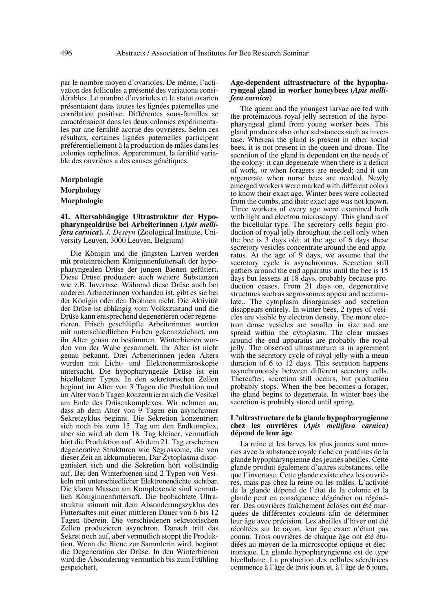par le nombre moyen d'ovarioles. De même, l'activation des follicules a présenté des variations considérables. Le nombre d'ovarioles et le statut ovarien présentaient dans toutes les lignées paternelles une corrélation positive. Différentes sous-familles se caractérisaient dans les deux colonies expérimentales par une fertilité accrue des ouvrières. Selon ces résultats, certaines lignées paternelles participent préférentiellement à la production de mâles dans les colonies orphelines. Apparemment, la fertilité variable des ouvrières a des causes génétiques.

**Morphologie Morphology Morphologie**

**41. Altersabhängige Ultrastruktur der Hypopharyngealdrüse bei Arbeiterinnen (***Apis mellifera carnica***).** *J. Deseyn* (Zoological Institute, University Leuven, 3000 Leuven, Belgium)

Die Königin und die jüngsten Larven werden mit proteinreichem Königinnenfuttersaft der hypopharyngealen Drüse der jungen Bienen gefüttert. Diese Drüse produziert auch weitere Substanzen wie z.B. Invertase. Während diese Drüse auch bei anderen Arbeiterinnen vorhanden ist, gibt es sie bei der Königin oder den Drohnen nicht. Die Aktivität der Drüse ist abhängig vom Volkszustand und die Drüse kann entsprechend degenerieren oder regenerieren. Frisch geschlüpfte Arbeiterinnen wurden mit unterschiedlichen Farben gekennzeichnet, um ihr Alter genau zu bestimmen. Winterbienen wurden von der Wabe gesammelt, ihr Alter ist nicht genau bekannt. Drei Arbeiterinnen jeden Alters wurden mit Licht- und Elektronenmikroskopie untersucht. Die hypopharyngeale Drüse ist ein bicellularer Typus. In den sekretorischen Zellen beginnt im Alter von 3 Tagen die Produktion und im Alter von 6 Tagen konzentrieren sich die Vesikel am Ende des Drüsenkomplexes. Wir nehmen an, dass ab dem Alter von 9 Tagen ein asynchroner Sekretzyklus beginnt. Die Sekretion konzentriert sich noch bis zum 15. Tag um den Endkomplex, aber sie wird ab dem 18. Tag kleiner, vermutlich hört die Produktion auf. Ab dem 21. Tag erscheinen degenerative Strukturen wie Segrossome, die von dieser Zeit an akkumulieren. Dar Zytoplasma disorganisiert sich und die Sekretion hört vollständig auf. Bei den Winterbienen sind 2 Typen von Vesikeln mit unterschiedlicher Elektronendichte sichtbar. Die klaren Massen am Komplexende sind vermutlich Königinnenfuttersaft. Die beobachtete Ultrastruktur stimmt mit dem Absonderungszyklus des Futtersaftes mit einer mittleren Dauer von 6 bis 12 Tagen überein. Die verschiedenen sekretorischen Zellen produzieren asynchron. Danach tritt das Sekret noch auf, aber vermutlich stoppt die Produktion. Wenn die Biene zur Sammlerin wird, beginnt die Degeneration der Drüse. In den Winterbienen wird die Absonderung vermutlich bis zum Frühling gespeichert.

#### **Age-dependent ultrastructure of the hypopharyngeal gland in worker honeybees (***Apis mellifera carnica***)**

The queen and the youngest larvae are fed with the proteinacous royal jelly secretion of the hypopharyngeal gland from young worker bees. This gland produces also other substances such as invertase. Whereas the gland is present in other social bees, it is not present in the queen and drone. The secretion of the gland is dependent on the needs of the colony: it can degenerate when there is a deficit of work, or when foragers are needed; and it can regenerate when nurse bees are needed. Newly emerged workers were marked with different colors to know their exact age. Winter bees were collected from the combs, and their exact age was not known. Three workers of every age were examined both with light and electron microscopy. This gland is of the bicellular type. The secretory cells begin production of royal jelly throughout the cell only when the bee is 3 days old; at the age of 6 days these secretory vesicles concentrate around the end apparatus. At the age of 9 days, we assume that the secretory cycle is asynchronous. Secretion still gathers around the end apparatus until the bee is 15 days but lessens at 18 days, probably because production ceases. From 21 days on, degenerative structures such as segrossomes appear and accumulate.. The cytoplasm disorganises and secretion disappears entirely. In winter bees, 2 types of vesicles are visible by electron density. The more electron dense vesicles are smaller in size and are spread within the cytoplasm. The clear masses around the end apparatus are probably the royal jelly. The observed ultrastructure is in agreement with the secretory cycle of royal jelly with a mean duration of 6 to 12 days. This secretion happens asynchronously between different secretory cells. Thereafter, secretion still occurs, but production probably stops. When the bee becomes a forager, the gland begins to degenerate. In winter bees the secretion is probably stored until spring.

#### **L'ultrastructure de la glande hypopharyngienne chez les ouvrières (***Apis mellifera carnica)* **dépend de leur âge**

La reine et les larves les plus jeunes sont nourries avec la substance royale riche en protéines de la glande hypopharyngienne des jeunes abeilles. Cette glande produit également d'autres substances, telle que l'invertase. Cette glande existe chez les ouvrières, mais pas chez la reine ou les mâles. L'activité de la glande dépend de l'état de la colonie et la glande peut en conséquence dégénérer ou régénérer. Des ouvrières fraîchement écloses ont été marquées de différentes couleurs afin de déterminer leur âge avec précision. Les abeilles d'hiver ont été récoltées sur le rayon, leur âge exact n'étant pas connu. Trois ouvrières de chaque âge ont été étudiées au moyen de la microscopie optique et électronique. La glande hypopharyngienne est de type bicellulaire. La production des cellules sécrétrices commence à l'âge de trois jours et, à l'âge de 6 jours,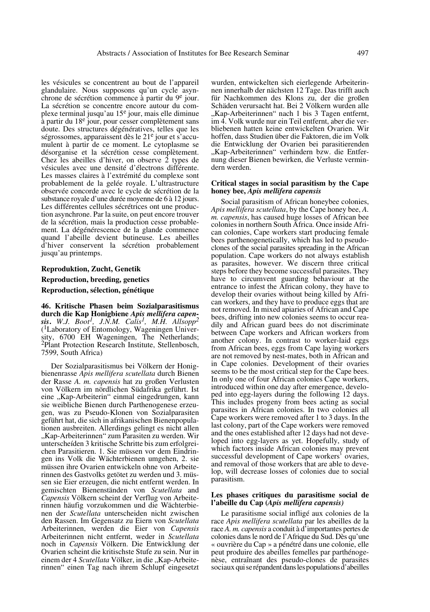les vésicules se concentrent au bout de l'appareil glandulaire. Nous supposons qu'un cycle asynchrone de sécrétion commence à partir du 9e jour. La sécrétion se concentre encore autour du complexe terminal jusqu'au 15e jour, mais elle diminue à partir du 18e jour, pour cesser complètement sans doute. Des structures dégénératives, telles que les ségrossomes, apparaissent dès le 21e jour et s'accumulent à partir de ce moment. Le cytoplasme se désorganise et la sécrétion cesse complètement. Chez les abeilles d'hiver, on observe 2 types de vésicules avec une densité d'électrons différente. Les masses claires à l'extrémité du complexe sont probablement de la gelée royale. L'ultrastructure observée concorde avec le cycle de sécrétion de la substance royale d'une durée moyenne de 6 à 12 jours. Les différentes cellules sécrétrices ont une production asynchrone. Par la suite, on peut encore trouver de la sécrétion, mais la production cesse probablement. La dégénérescence de la glande commence quand l'abeille devient butineuse. Les abeilles d'hiver conservent la sécrétion probablement jusqu'au printemps.

#### **Reproduktion, Zucht, Genetik**

# **Reproduction, breeding, genetics**

#### **Reproduction, sélection, génétique**

**46. Kritische Phasen beim Sozialparasitismus durch die Kap Honigbiene** *Apis mellifera capensis***.** *W.J. Boot1, J.N.M. Calis1, M.H. Allsopp2* (1Laboratory of Entomology, Wageningen University, 6700 EH Wageningen, The Netherlands; 2Plant Protection Research Institute, Stellenbosch, 7599, South Africa)

Der Sozialparasitismus bei Völkern der Honigbienenrasse *Apis mellifera scutellata* durch Bienen der Rasse *A. m. capensis* hat zu großen Verlusten von Völkern im nördlichen Südafrika geführt. Ist eine "Kap-Arbeiterin" einmal eingedrungen, kann sie weibliche Bienen durch Parthenogenese erzeugen, was zu Pseudo-Klonen von Sozialparasiten geführt hat, die sich in afrikanischen Bienenpopulationen ausbreiten. Allerdings gelingt es nicht allen "Kap-Arbeiterinnen" zum Parasiten zu werden. Wir unterscheíden 3 kritische Schritte bis zum erfolgreichen Parasitieren. 1. Sie müssen vor dem Eindringen ins Volk die Wächterbienen umgehen, 2. sie müssen ihre Ovarien entwickeln ohne von Arbeiterinnen des Gastvolks getötet zu werden und 3. müssen sie Eier erzeugen, die nicht entfernt werden. In gemischten Bienenständen von *Scutellata* and *Capensis* Völkern scheint der Verflug von Arbeiterinnen häufig vorzukommen und die Wächterbienen der *Scutellata* unterscheiden nicht zwischen den Rassen. Im Gegensatz zu Eiern von *Scutellata* Arbeiterinnen, werden die Eier von *Capensis* Arbeiterinnen nicht entfernt, weder in *Scutellata* noch in *Capensis* Völkern. Die Entwicklung der Ovarien scheint die kritischste Stufe zu sein. Nur in einem der 4 *Scutellata* Völker, in die "Kap-Arbeiterinnen" einen Tag nach ihrem Schlupf eingesetzt

wurden, entwickelten sich eierlegende Arbeiterinnen innerhalb der nächsten 12 Tage. Das trifft auch für Nachkommen des Klons zu, der die großen Schäden verursacht hat. Bei 2 Völkern wurden alle "Kap-Arbeiterinnen" nach 1 bis 3 Tagen entfernt, im 4. Volk wurde nur ein Teil entfernt, aber die verbliebenen hatten keine entwickelten Ovarien. Wir hoffen, dass Studien über die Faktoren, die im Volk die Entwicklung der Ovarien bei parasitierenden "Kap-Arbeiterinnen" verhindern bzw. die Entfernung dieser Bienen bewirken, die Verluste vermindern werden.

#### **Critical stages in social parasitism by the Cape honey bee,** *Apis mellifera capensis*

Social parasitism of African honeybee colonies, *Apis mellifera scutellata*, by the Cape honey bee, *A. m. capensis*, has caused huge losses of African bee colonies in northern South Africa. Once inside African colonies, Cape workers start producing female bees parthenogenetically, which has led to pseudoclones of the social parasites spreading in the African population. Cape workers do not always establish as parasites, however. We discern three critical steps before they become successful parasites. They have to circumvent guarding behaviour at the entrance to infest the African colony, they have to develop their ovaries without being killed by African workers, and they have to produce eggs that are not removed. In mixed apiaries of African and Cape bees, drifting into new colonies seems to occur readily and African guard bees do not discriminate between Cape workers and African workers from another colony. In contrast to worker-laid eggs from African bees, eggs from Cape laying workers are not removed by nest-mates, both in African and in Cape colonies. Development of their ovaries seems to be the most critical step for the Cape bees. In only one of four African colonies Cape workers, introduced within one day after emergence, developed into egg-layers during the following 12 days. This includes progeny from bees acting as social parasites in African colonies. In two colonies all Cape workers were removed after 1 to 3 days. In the last colony, part of the Cape workers were removed and the ones established after 12 days had not developed into egg-layers as yet. Hopefully, study of which factors inside African colonies may prevent successful development of Cape workers' ovaries, and removal of those workers that are able to develop, will decrease losses of colonies due to social parasitism.

#### **Les phases critiques du parasitisme social de l'abeille du Cap (***Apis mellifera capensis)*

Le parasitisme social infligé aux colonies de la race *Apis mellifera scutellata* par les abeilles de la race *A. m. capensis* a conduit à d'importantes pertes de colonies dans le nord de l'Afrique du Sud. Dès qu'une « ouvrière du Cap » a pénétré dans une colonie, elle peut produire des abeilles femelles par parthénogenèse, entraînant des pseudo-clones de parasites sociaux qui se répandent dans les populations d'abeilles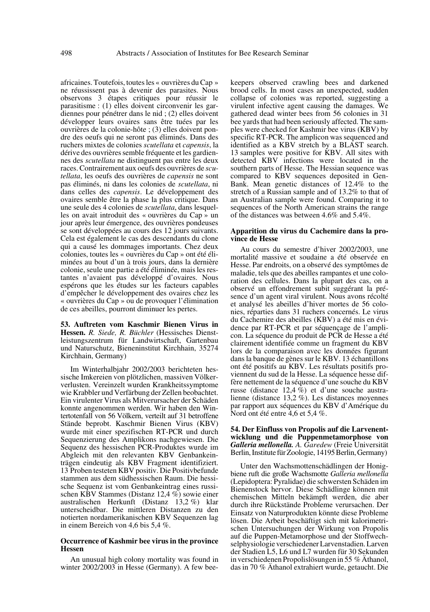africaines. Toutefois, toutes les « ouvrières du Cap » ne réussissent pas à devenir des parasites. Nous observons 3 étapes critiques pour réussir le parasitisme : (1) elles doivent circonvenir les gardiennes pour pénétrer dans le nid ; (2) elles doivent développer leurs ovaires sans être tuées par les ouvrières de la colonie-hôte ; (3) elles doivent pondre des oeufs qui ne seront pas éliminés. Dans des ruchers mixtes de colonies *scutellata* et *capensis*, la dérive des ouvrières semble fréquente et les gardiennes des *scutellata* ne distinguent pas entre les deux races. Contrairement aux oeufs des ouvrières de *scutellata*, les oeufs des ouvrières de *capensis* ne sont pas éliminés, ni dans les colonies de *scutellata*, ni dans celles des *capensis*. Le développement des ovaires semble être la phase la plus critique. Dans une seule des 4 colonies de *scutellata*, dans lesquelles on avait introduit des « ouvrières du Cap » un jour après leur émergence, des ouvrières pondeuses se sont développées au cours des 12 jours suivants. Cela est également le cas des descendants du clone qui a causé les dommages importants. Chez deux colonies, toutes les « ouvrières du Cap » ont été éliminées au bout d'un à trois jours, dans la dernière colonie, seule une partie a été éliminée, mais les restantes n'avaient pas développé d'ovaires. Nous espérons que les études sur les facteurs capables d'empêcher le développement des ovaires chez les « ouvrières du Cap » ou de provoquer l'élimination de ces abeilles, pourront diminuer les pertes.

**53. Auftreten vom Kaschmir Bienen Virus in Hessen.** *R. Siede, R. Büchler* (Hessisches Dienstleistungszentrum für Landwirtschaft, Gartenbau und Naturschutz, Bieneninstitut Kirchhain, 35274 Kirchhain, Germany)

Im Winterhalbjahr 2002/2003 berichteten hessische Imkereien von plötzlichen, massiven Völkerverlusten. Vereinzelt wurden Krankheitssymptome wie Krabbler und Verfärbung der Zellen beobachtet. Ein virulenter Virus als Mitverursacher der Schäden konnte angenommen werden. Wir haben den Wintertotenfall von 56 Völkern, verteilt auf 31 betroffene Stände beprobt. Kaschmir Bienen Virus (KBV) wurde mit einer spezifischen RT-PCR und durch Sequenzierung des Amplikons nachgewiesen. Die Sequenz des hessischen PCR-Produktes wurde im Abgleich mit den relevanten KBV Genbankeinträgen eindeutig als KBV Fragment identifiziert. 13 Proben testeten KBV positiv. Die Positivbefunde stammen aus dem südhessischen Raum. Die hessische Sequenz ist vom Genbankeintrag eines russischen KBV Stammes (Distanz 12,4 %) sowie einer australischen Herkunft (Distanz 13,2 %) klar unterscheidbar. Die mittleren Distanzen zu den notierten nordamerikanischen KBV Sequenzen lag in einem Bereich von 4,6 bis 5,4 %.

## **Occurrence of Kashmir bee virus in the province Hessen**

An unusual high colony mortality was found in winter 2002/2003 in Hesse (Germany). A few beekeepers observed crawling bees and darkened brood cells. In most cases an unexpected, sudden collapse of colonies was reported, suggesting a virulent infective agent causing the damages. We gathered dead winter bees from 56 colonies in 31 bee yards that had been seriously affected. The samples were checked for Kashmir bee virus (KBV) by specific RT-PCR. The amplicon was sequenced and identified as a KBV stretch by a BLAST search. 13 samples were positive for KBV. All sites with detected KBV infections were located in the southern parts of Hesse. The Hessian sequence was compared to KBV sequences deposited in Gen-Bank. Mean genetic distances of 12.4% to the stretch of a Russian sample and of 13.2% to that of an Australian sample were found. Comparing it to sequences of the North American strains the range of the distances was between 4.6% and 5.4%.

#### **Apparition du virus du Cachemire dans la province de Hesse**

Au cours du semestre d'hiver 2002/2003, une mortalité massive et soudaine a été observée en Hesse. Par endroits, on a observé des symptômes de maladie, tels que des abeilles rampantes et une coloration des cellules. Dans la plupart des cas, on a observé un effondrement subit suggérant la présence d'un agent viral virulent. Nous avons récolté et analysé les abeilles d'hiver mortes de 56 colonies, réparties dans 31 ruchers concernés. Le virus du Cachemire des abeilles (KBV) a été mis en évidence par RT-PCR et par séquençage de l'amplicon. La séquence du produit de PCR de Hesse a été clairement identifiée comme un fragment du KBV lors de la comparaison avec les données figurant dans la banque de gènes sur le KBV. 13 échantillons ont été positifs au KBV. Les résultats positifs proviennent du sud de la Hesse. La séquence hesse diffère nettement de la séquence d'une souche du KBV russe (distance 12,4  $\bar{\%}$ ) et d'une souche australienne (distance 13,2 %). Les distances moyennes par rapport aux séquences du KBV d'Amérique du Nord ont été entre 4,6 et 5,4 %.

#### **54. Der Einfluss von Propolis auf die Larvenentwicklung und die Puppenmetamorphose von** *Galleria mellonella. A. Garedew* (Freie Universität Berlin, Institute für Zoologie, 14195 Berlin, Germany)

Unter den Wachsmottenschädlingen der Honigbiene ruft die große Wachsmotte *Galleria mellonella* (Lepidoptera: Pyralidae) die schwersten Schäden im Bienenstock hervor. Diese Schädlinge können mit chemischen Mitteln bekämpft werden, die aber durch ihre Rückstände Probleme verursachen. Der Einsatz von Naturprodukten könnte diese Probleme lösen. Die Arbeit beschäftigt sich mit kalorimetrischen Untersuchungen der Wirkung von Propolis auf die Puppen-Metamorphose und der Stoffwechselphysiologie verschiedener Larvenstadien. Larven der Stadien L5, L6 und L7 wurden für 30 Sekunden in verschiedenen Propolislösungen in 55 % Äthanol, das in 70 % Äthanol extrahiert wurde, getaucht. Die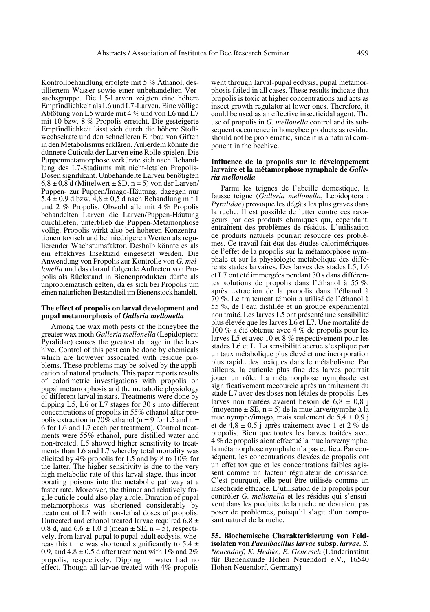went through larval-pupal ecdysis, pupal metamor-

tilliertem Wasser sowie einer unbehandelten Versuchsgruppe. Die L5-Larven zeigten eine höhere Empfindlichkeit als L6 und L7-Larven. Eine völlige Abtötung von L5 wurde mit 4 % und von L6 und L7 mit 10 bzw. 8 % Propolis erreicht. Die gesteigerte Empfindlichkeit lässt sich durch die höhere Stoffwechselrate und den schnelleren Einbau von Giften in den Metabolismus erklären. Außerdem könnte die dünnere Cuticula der Larven eine Rolle spielen. Die Puppenmetamorphose verkürzte sich nach Behandlung des L7-Stadiums mit nicht-letalen Propolis-Dosen signifikant. Unbehandelte Larven benötigten  $6.8 \pm 0.8$  d (Mittelwert  $\pm$  SD, n = 5) von der Larven/ Puppen- zur Puppen/Imago-Häutung, dagegen nur  $5,4 \pm 0,9$  d bzw.  $4,8 \pm 0,5$  d nach Behandlung mit 1 und 2 % Propolis. Obwohl alle mit 4 % Propolis behandelten Larven die Larven/Puppen-Häutung durchliefen, unterblieb die Puppen-Metamorphose völlig. Propolis wirkt also bei höheren Konzentrationen toxisch und bei niedrigeren Werten als regulierender Wachstumsfaktor. Deshalb könnte es als ein effektives Insektizid eingesetzt werden. Die Anwendung von Propolis zur Kontrolle von *G. mellonella* und das darauf folgende Auftreten von Propolis als Rückstand in Bienenprodukten dürfte als unproblematisch gelten, da es sich bei Propolis um einen natürlichen Bestandteil im Bienenstock handelt.

Kontrollbehandlung erfolgte mit 5 % Äthanol, des-

#### **The effect of propolis on larval development and pupal metamorphosis of** *Galleria mellonella*

Among the wax moth pests of the honeybee the greater wax moth *Galleria mellonella* (Lepidoptera: Pyralidae) causes the greatest damage in the beehive. Control of this pest can be done by chemicals which are however associated with residue problems. These problems may be solved by the application of natural products. This paper reports results of calorimetric investigations with propolis on pupal metamorphosis and the metabolic physiology of different larval instars. Treatments were done by dipping L5, L6 or L7 stages for 30 s into different concentrations of propolis in 55% ethanol after propolis extraction in  $70\%$  ethanol (n = 9 for L5 and n = 6 for L6 and L7 each per treatment). Control treatments were 55% ethanol, pure distilled water and non-treated. L5 showed higher sensitivity to treatments than L6 and L7 whereby total mortality was elicited by 4% propolis for L5 and by 8 to 10% for the latter. The higher sensitivity is due to the very high metabolic rate of this larval stage, thus incorporating poisons into the metabolic pathway at a faster rate. Moreover, the thinner and relatively fragile cuticle could also play a role. Duration of pupal metamorphosis was shortened considerably by treatment of L7 with non-lethal doses of propolis. Untreated and ethanol treated larvae required  $6.8 \pm$ 0.8 d, and  $6.6 \pm 1.0$  d (mean  $\pm$  SE, n = 5), respectively, from larval-pupal to pupal-adult ecdysis, whereas this time was shortened significantly to  $5.4 \pm$ 0.9, and  $4.8 \pm 0.5$  d after treatment with 1% and 2% propolis, respectively. Dipping in water had no effect. Though all larvae treated with 4% propolis phosis failed in all cases. These results indicate that propolis is toxic at higher concentrations and acts as insect growth regulator at lower ones. Therefore, it could be used as an effective insecticidal agent. The use of propolis in *G. mellonella* control and its subsequent occurrence in honeybee products as residue should not be problematic, since it is a natural component in the beehive.

# **Influence de la propolis sur le développement larvaire et la métamorphose nymphale de** *Galleria mellonella*

Parmi les teignes de l'abeille domestique, la fausse teigne (*Galleria mellonella*, Lepidoptera : *Pyralidae*) provoque les dégâts les plus graves dans la ruche. Il est possible de lutter contre ces ravageurs par des produits chimiques qui, cependant, entraînent des problèmes de résidus. L'utilisation de produits naturels pourrait résoudre ces problèmes. Ce travail fait état des études calorimétriques de l'effet de la propolis sur la métamorphose nymphale et sur la physiologie métabolique des différents stades larvaires. Des larves des stades L5, L6 et L7 ont été immergées pendant 30 s dans différentes solutions de propolis dans l'éthanol à 55 %, après extraction de la propolis dans l'éthanol à 70 %. Le traitement témoin a utilisé de l'éthanol à 55 %, de l'eau distillée et un groupe expérimental non traité. Les larves L5 ont présenté une sensibilité plus élevée que les larves L6 et L7. Une mortalité de 100 % a été obtenue avec 4 % de propolis pour les larves L5 et avec 10 et 8 % respectivement pour les stades L6 et L. La sensibilité accrue s'explique par un taux métabolique plus élevé et une incorporation plus rapide des toxiques dans le métabolisme. Par ailleurs, la cuticule plus fine des larves pourrait jouer un rôle. La métamorphose nymphaale est significativement raccourcie après un traitement du stade L7 avec des doses non létales de propolis. Les larves non traitées avaient besoin de  $6.8 \pm 0.8$  j (moyenne  $\pm$  SE, n = 5) de la mue larve/nymphe à la mue nymphe/imago, mais seulement de  $5.4 \pm 0.9$  j et de 4,8 ± 0,5 j après traitement avec 1 et 2 % de propolis. Bien que toutes les larves traitées avec 4 % de propolis aient effectué la mue larve/nymphe, la métamorphose nymphale n'a pas eu lieu. Par conséquent, les concentrations élevées de propolis ont un effet toxique et les concentrations faibles agissent comme un facteur régulateur de croissance. C'est pourquoi, elle peut être utilisée comme un insecticide efficace. L'utilisation de la propolis pour contrôler *G. mellonella* et les résidus qui s'ensuivent dans les produits de la ruche ne devraient pas poser de problèmes, puisqu'il s'agit d'un composant naturel de la ruche.

**55. Biochemische Charakterisierung von Feldisolaten von** *Paenibacillus larvae* **subsp.** *larvae. S. Neuendorf, K. Hedtke, E. Genersch* (Länderinstitut für Bienenkunde Hohen Neuendorf e.V., 16540 Hohen Neuendorf, Germany)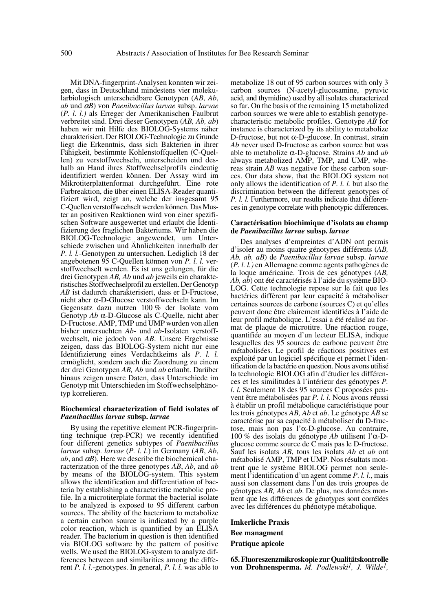Mit DNA-fingerprint-Analysen konnten wir zeigen, dass in Deutschland mindestens vier molekularbiologisch unterscheidbare Genotypen (*AB*, *Ab*, *ab* und α*B*) von *Paenibacillus larvae* subsp. *larvae* (*P. l. l.)* als Erreger der Amerikanischen Faulbrut verbreitet sind. Drei dieser Genotypen (*AB, Ab, ab*) haben wir mit Hilfe des BIOLOG-Systems näher charakterisiert. Der BIOLOG-Technologie zu Grunde liegt die Erkenntnis, dass sich Bakterien in ihrer Fähigkeit, bestimmte Kohlenstoffquellen (C-Quellen) zu verstoffwechseln, unterscheiden und deshalb an Hand ihres Stoffwechselprofils eindeutig identifiziert werden können. Der Assay wird im Mikrotiterplattenformat durchgeführt. Eine rote Farbreaktion, die über einen ELISA-Reader quantifiziert wird, zeigt an, welche der insgesamt 95 C-Quellen verstoffwechselt werden können. Das Muster an positiven Reaktionen wird von einer spezifischen Software ausgewertet und erlaubt die Identifizierung des fraglichen Bakteriums. Wir haben die BIOLOG-Technologie angewendet, um Unterschiede zwischen und Ähnlichkeiten innerhalb der *P. l. l.*-Genotypen zu untersuchen. Lediglich 18 der angebotenen 95 C-Quellen können von *P. l. l.* verstoffwechselt werden. Es ist uns gelungen, für die drei Genotypen *AB, Ab* und *ab* jeweils ein charakteristisches Stoffwechselprofil zu erstellen. Der Genotyp *AB* ist dadurch charakterisiert, dass er D-Fructose, nicht aber α-D-Glucose verstoffwechseln kann. Im Gegensatz dazu nutzen 100 % der Isolate vom Genotyp *Ab* α-D-Glucose als C-Quelle, nicht aber D-Fructose. AMP, TMP und UMP wurden von allen bisher untersuchten *Ab*- und *ab*-Isolaten verstoffwechselt, nie jedoch von *AB*. Unsere Ergebnisse zeigen, dass das BIOLOG-System nicht nur eine Identifizierung eines Verdachtkeims als *P. l. l.* ermöglicht, sondern auch die Zuordnung zu einem der drei Genotypen *AB, Ab* und *ab* erlaubt. Darüber hinaus zeigen unsere Daten, dass Unterschiede im Genotyp mit Unterschieden im Stoffwechselphänotyp korrelieren.

#### **Biochemical characterization of field isolates of** *Paenibacillus larvae* **subsp.** *larvae*

By using the repetitive element PCR-fingerprinting technique (rep-PCR) we recently identified four different genetics subtypes of *Paenibacillus larvae* subsp. *larvae* (*P. l. l*.) in Germany (*AB*, *Ab*,  $ab$ , and  $\alpha$ *B*). Here we describe the biochemical characterization of the three genotypes *AB*, *Ab*, and *ab* by means of the BIOLOG-system. This system allows the identification and differentiation of bacteria by establishing a characteristic metabolic profile. In a microtiterplate format the bacterial isolate to be analyzed is exposed to 95 different carbon sources. The ability of the bacterium to metabolize a certain carbon source is indicated by a purple color reaction, which is quantified by an ELISA reader. The bacterium in question is then identified via BIOLOG software by the pattern of positive wells. We used the BIOLOG-system to analyze differences between and similarities among the different *P. l. l*.-genotypes. In general, *P. l. l.* was able to metabolize 18 out of 95 carbon sources with only 3 carbon sources (N-acetyl-glucosamine, pyruvic acid, and thymidine) used by all isolates characterized so far. On the basis of the remaining 15 metabolized carbon sources we were able to establish genotypecharacteristic metabolic profiles. Genotype *AB* for instance is characterized by its ability to metabolize D-fructose, but not α-D-glucose. In contrast, strain *Ab* never used D-fructose as carbon source but was able to metabolize α-D-glucose. Strains *Ab* and *ab* always metabolized AMP, TMP, and UMP, whereas strain *AB* was negative for these carbon sources. Our data show, that the BIOLOG system not only allows the identification of *P. l. l.* but also the discrimination between the different genotypes of *P. l. l.* Furthermore, our results indicate that differences in genotype correlate with phenotypic differences.

#### **Caractérisation biochimique d'isolats au champ de** *Paenibacillus larvae* **subsp.** *larvae*

Des analyses d'empreintes d'ADN ont permis d'isoler au moins quatre génotypes différents (*AB, Ab, ab, aB*) de *Paenibacillus larvae* subsp. *larvae* (*P. l. l.)* en Allemagne comme agents pathogènes de la loque américaine. Trois de ces génotypes (*AB, Ab, ab*) ont été caractérisés à l'aide du système BIO-LOG. Cette technologie repose sur le fait que les bactéries diffèrent par leur capacité à métaboliser certaines sources de carbone (sources C) et qu'elles peuvent donc être clairement identifiées à l'aide de leur profil métabolique. L'essai a été réalisé au format de plaque de microtitre. Une réaction rouge, quantifiée au moyen d'un lecteur ELISA, indique lesquelles des 95 sources de carbone peuvent être métabolisées. Le profil de réactions positives est exploité par un logiciel spécifique et permet l'identification de la bactérie en question. Nous avons utilisé la technologie BIOLOG afin d'étudier les différences et les similitudes à l'intérieur des génotypes *P. l. l.* Seulement 18 des 95 sources C proposées peuvent être métabolisées par *P. l. l*. Nous avons réussi à établir un profil métabolique caractéristique pour les trois génotypes *AB, Ab* et *ab*. Le génotype *AB* se caractérise par sa capacité à métaboliser du D-fructose, mais non pas l'α-D-glucose. Au contraire, 100 % des isolats du génotype *Ab* utilisent l'α-Dglucose comme source de C mais pas le D-fructose. Sauf les isolats *AB*, tous les isolats *Ab* et *ab* ont métabolisé AMP, TMP et UMP. Nos résultats montrent que le système BIOLOG permet non seulement l'identification d'un agent comme *P. l. l*., mais aussi son classement dans l'un des trois groupes de génotypes *AB, Ab* et *ab*. De plus, nos données montrent que les différences de génotypes sont corrélées avec les différences du phénotype métabolique.

**Imkerliche Praxis Bee managment Pratique apicole**

**65. Fluoreszenzmikroskopie zur Qualitätskontrolle von Drohnensperma.** *M. Podlewski1, J. Wilde1,*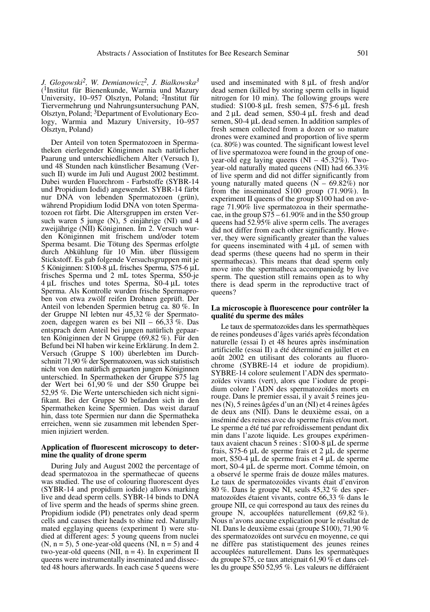*J. Glogowski2, W. Demianowicz2, J. Bialkowska3* (1Institut für Bienenkunde, Warmia und Mazury University, 10–957 Olsztyn, Poland; 2Institut für Tiervermehrung und Nahrungsuntersuchung PAN, Olsztyn, Poland; 3Department of Evolutionary Ecology, Warmia and Mazury University, 10–957 Olsztyn, Poland)

Der Anteil von toten Spermatozoen in Spermatheken eierlegender Königinnen nach natürlicher Paarung und unterschiedlichem Alter (Versuch I), und 48 Stunden nach künstlicher Besamung (Versuch II) wurde im Juli und August 2002 bestimmt. Dabei wurden Fluorchrom - Farbstoffe (SYBR-14 und Propidium Iodid) angewendet. SYBR-14 färbt nur DNA von lebenden Spermatozoen (grün), während Propidium Iodid DNA von toten Spermatozoen rot färbt. Die Altersgruppen im ersten Versuch waren 5 junge (N), 5 einjährige (NI) und 4 zweijährige (NII) Königinnen. Im 2. Versuch wurden Königinnen mit frischem und/oder totem Sperma besamt. Die Tötung des Spermas erfolgte durch Abkühlung für 10 Min. über flüssigem Stickstoff. Es gab folgende Versuchsgruppen mit je 5 Königinnen: S100-8 µL frisches Sperma, S75-6 µL frisches Sperma und 2 mL totes Sperma, S50-je 4 µL frisches und totes Sperma, S0-4 µL totes Sperma. Als Kontrolle wurden frische Spermaproben von etwa zwölf reifen Drohnen geprüft. Der Anteil von lebenden Spermien betrug ca. 80 %. In der Gruppe NI lebten nur 45,32 % der Spermatozoen, dagegen waren es bei NII – 66,33 %. Das entsprach dem Anteil bei jungen natürlich gepaarten Königinnen der N Gruppe (69,82 %). Für den Befund bei NI haben wir keine Erklärung. In dem 2. Versuch (Gruppe S 100) überlebten im Durchschnitt 71,90 % der Spermatozoen, was sich statistisch nicht von den natürlich gepaarten jungen Königinnen unterschied. In Spermatheken der Gruppe S75 lag der Wert bei 61,90 % und der S50 Gruppe bei 52,95 %. Die Werte unterschieden sich nicht signifikant. Bei der Gruppe S0 befanden sich in den Spermatheken keine Spermien. Das weist darauf hin, dass tote Spermien nur dann die Spermatheka erreichen, wenn sie zusammen mit lebenden Spermien injiziert werden.

#### **Application of fluorescent microscopy to determine the quality of drone sperm**

During July and August 2002 the percentage of dead spermatozoa in the spermathecae of queens was studied. The use of colouring fluorescent dyes (SYBR-14 and propidium iodide) allows marking live and dead sperm cells. SYBR-14 binds to DNA of live sperm and the heads of sperms shine green. Propidium iodide (PI) penetrates only dead sperm cells and causes their heads to shine red. Naturally mated egglaying queens (experiment I) were studied at different ages: 5 young queens from nuclei  $(N, n = 5)$ , 5 one-year-old queens  $(NI, n = 5)$  and 4 two-year-old queens (NII,  $n = 4$ ). In experiment II queens were instrumentally inseminated and dissected 48 hours afterwards. In each case 5 queens were used and inseminated with 8 µL of fresh and/or dead semen (killed by storing sperm cells in liquid nitrogen for 10 min). The following groups were studied: S100-8 µL fresh semen, S75-6 µL fresh and 2 µL dead semen, S50-4 µL fresh and dead semen, S0-4 µL dead semen. In addition samples of fresh semen collected from a dozen or so mature drones were examined and proportion of live sperm (ca. 80%) was counted. The significant lowest level of live spermatozoa were found in the group of oneyear-old egg laying queens (NI – 45.32%). Twoyear-old naturally mated queens (NII) had 66.33% of live sperm and did not differ significantly from young naturally mated queens  $(N - 69.82\%)$  nor from the inseminated S100 group (71.90%). In experiment II queens of the group S100 had on average 71.90% live spermatozoa in their spermathecae, in the group S75 – 61.90% and in the S50 group queens had 52.95% alive sperm cells. The averages did not differ from each other significantly. However, they were significantly greater than the values for queens inseminated with 4 µL of semen with dead sperms (these queens had no sperm in their spermathecas). This means that dead sperm only move into the spermatheca accompaniedg by live sperm. The question still remains open as to why there is dead sperm in the reproductive tract of queens?

#### **La microscopie à fluorescence pour contrôler la qualité du sperme des mâles**

Le taux de spermatozoïdes dans les spermathèques de reines pondeuses d'âges variés après fécondation naturelle (essai I) et 48 heures après insémination artificielle (essai II) a été déterminé en juillet et en août 2002 en utilisant des colorants au fluorochrome (SYBRE-14 et iodure de propidium). SYBRE-14 colore seulement l'ADN des spermatozoïdes vivants (vert), alors que l'iodure de propidium colore l'ADN des spermatozoïdes morts en rouge. Dans le premier essai, il y avait 5 reines jeunes (N), 5 reines âgées d'un an (NI) et 4 reines âgées de deux ans (NII). Dans le deuxième essai, on a inséminé des reines avec du sperme frais et/ou mort. Le sperme a été tué par refroidissement pendant dix min dans l'azote liquide. Les groupes expérimentaux avaient chacun 5 reines : S100-8 µL de sperme frais, S75-6 µL de sperme frais et 2 µL de sperme mort, S50-4 µL de sperme frais et 4 µL de sperme mort, S0-4 µL de sperme mort. Comme témoin, on a observé le sperme frais de douze mâles matures. Le taux de spermatozoïdes vivants était d'environ 80 %. Dans le groupe NI, seuls 45,32 % des spermatozoïdes étaient vivants, contre 66,33 % dans le groupe NII, ce qui correspond au taux des reines du groupe N, accouplées naturellement (69,82 %). Nous n'avons aucune explication pour le résultat de NI. Dans le deuxième essai (groupe S100), 71,90 % des spermatozoïdes ont survécu en moyenne, ce qui ne diffère pas statistiquement des jeunes reines accouplées naturellement. Dans les spermatèques du groupe S75, ce taux atteignait 61,90 % et dans celles du groupe S50 52,95 %. Les valeurs ne différaient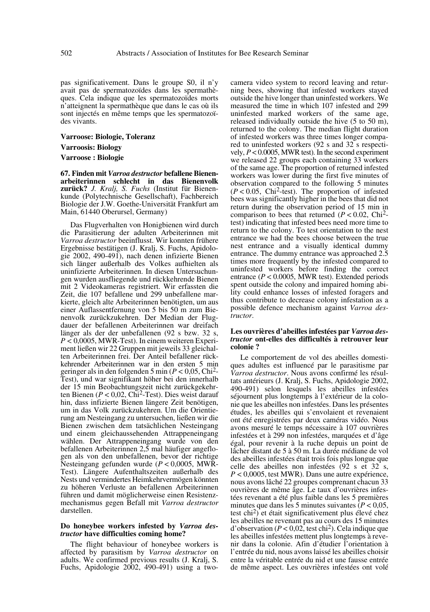pas significativement. Dans le groupe S0, il n'y avait pas de spermatozoïdes dans les spermathèques. Cela indique que les spermatozoïdes morts n'atteignent la spermathèque que dans le cas où ils sont injectés en même temps que les spermatozoïdes vivants.

#### **Varroose: Biologie, Toleranz**

## **Varroosis: Biology**

#### **Varroose : Biologie**

**67. Finden mit** *Varroa destructor* **befallene Bienenarbeiterinnen schlecht in das Bienenvolk zurück?** *J. Kralj, S. Fuchs* (Institut für Bienenkunde (Polytechnische Gesellschaft), Fachbereich Biologie der J.W. Goethe-Universität Frankfurt am Main, 61440 Oberursel, Germany)

Das Flugverhalten von Honigbienen wird durch die Parasitierung der adulten Arbeiterinnen mit *Varroa destructor* beeinflusst. Wir konnten frühere Ergebnisse bestätigen (J. Kralj, S. Fuchs, Apidologie 2002, 490-491), nach denen infizierte Bienen sich länger außerhalb des Volkes aufhielten als uninfizierte Arbeiterinnen. In diesen Untersuchungen wurden ausfliegende und rückkehrende Bienen mit 2 Videokameras registriert. Wir erfassten die Zeit, die 107 befallene und 299 unbefallene markierte, gleich alte Arbeiterinnen benötigten, um aus einer Auflassentfernung von 5 bis 50 m zum Bienenvolk zurückzukehren. Der Median der Flugdauer der befallenen Arbeiterinnen war dreifach länger als der der unbefallenen (92 s bzw. 32 s, *P* < 0,0005, MWR-Test). In einem weiteren Experiment ließen wir 22 Gruppen mit jeweils 33 gleichalten Arbeiterinnen frei. Der Anteil befallener rückkehrender Arbeiterinnen war in den ersten 5 min geringer als in den folgenden 5 min (*P* < 0,05, Chi2- Test), und war signifikant höher bei den innerhalb der 15 min Beobachtungszeit nicht zurückgekehrten Bienen  $(P < 0.02$ , Chi<sup>2</sup>-Test). Dies weist darauf hin, dass infizierte Bienen längere Zeit benötigen, um in das Volk zurückzukehren. Um die Orientierung am Nesteingang zu untersuchen, ließen wir die Bienen zwischen dem tatsächlichen Nesteingang und einem gleichaussehenden Attrappeneingang wählen. Der Attrappeneingang wurde von den befallenen Arbeiterinnen 2,5 mal häufiger angeflogen als von den unbefallenen, bevor der richtige Nesteingang gefunden wurde (*P* < 0,0005, MWR-Test). Längere Aufenthaltszeiten außerhalb des Nests und vermindertes Heimkehrvermögen könnten zu höheren Verluste an befallenen Arbeiterinnen führen und damit möglicherweise einen Resistenzmechanismus gegen Befall mit *Varroa destructor* darstellen.

#### **Do honeybee workers infested by** *Varroa destructor* **have difficulties coming home?**

The flight behaviour of honeybee workers is affected by parasitism by *Varroa destructor* on adults. We confirmed previous results (J. Kralj, S. Fuchs, Apidologie 2002, 490-491) using a twocamera video system to record leaving and returning bees, showing that infested workers stayed outside the hive longer than uninfested workers. We measured the time in which 107 infested and 299 uninfested marked workers of the same age, released individually outside the hive (5 to 50 m), returned to the colony. The median flight duration of infested workers was three times longer compared to uninfested workers (92 s and 32 s respectively, *P* < 0.0005, MWR test). In the second experiment we released 22 groups each containing 33 workers of the same age. The proportion of returned infested workers was lower during the first five minutes of observation compared to the following 5 minutes  $(P < 0.05$ , Chi<sup>2</sup>-test). The proportion of infested bees was significantly higher in the bees that did not return during the observation period of 15 min in comparison to bees that returned  $(P < 0.02$ , Chi<sup>2</sup>test) indicating that infested bees need more time to return to the colony. To test orientation to the nest entrance we had the bees choose between the true nest entrance and a visually identical dummy entrance. The dummy entrance was approached 2.5 times more frequently by the infested compared to uninfested workers before finding the correct entrance (*P* < 0.0005, MWR test). Extended periods spent outside the colony and impaired homing ability could enhance losses of infested foragers and thus contribute to decrease colony infestation as a possible defence mechanism against *Varroa destructor*.

#### **Les ouvrières d'abeilles infestées par** *Varroa destructor* **ont-elles des difficultés à retrouver leur colonie ?**

Le comportement de vol des abeilles domestiques adultes est influencé par le parasitisme par *Varroa destructor*. Nous avons confirmé les résultats antérieurs (J. Kralj, S. Fuchs, Apidologie 2002, 490-491) selon lesquels les abeilles infestées séjournent plus longtemps à l'extérieur de la colonie que les abeilles non infestées. Dans les présentes études, les abeilles qui s'envolaient et revenaient ont été enregistrées par deux caméras vidéo. Nous avons mesuré le temps nécessaire à 107 ouvrières infestées et à 299 non infestées, marquées et d'âge égal, pour revenir à la ruche depuis un point de lâcher distant de 5 à 50 m. La durée médiane de vol des abeilles infestées était trois fois plus longue que celle des abeilles non infestées (92 s et 32 s, *P* < 0,0005, test MWR). Dans une autre expérience, nous avons lâché 22 groupes comprenant chacun 33 ouvrières de même âge. Le taux d'ouvrières infestées revenant a été plus faible dans les 5 premières minutes que dans les 5 minutes suivantes ( $P < 0.05$ , test chi<sup>2</sup>) et était significativement plus élevé chez les abeilles ne revenant pas au cours des 15 minutes d'observation  $(P < 0.02$ , test chi<sup>2</sup>). Cela indique que les abeilles infestées mettent plus longtemps à revenir dans la colonie. Afin d'étudier l'orientation à l'entrée du nid, nous avons laissé les abeilles choisir entre la véritable entrée du nid et une fausse entrée de même aspect. Les ouvrières infestées ont volé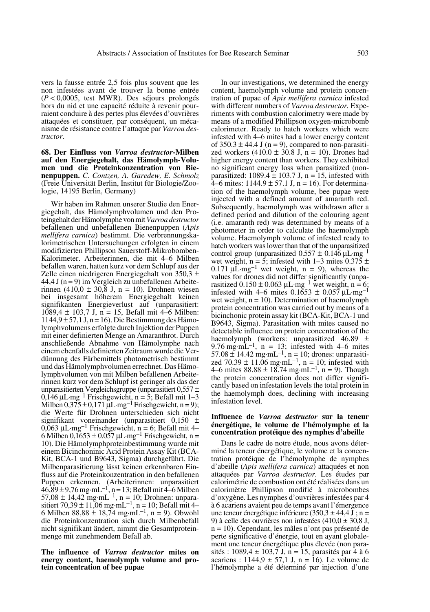vers la fausse entrée 2,5 fois plus souvent que les non infestées avant de trouver la bonne entrée (*P* < 0,0005, test MWR). Des séjours prolongés hors du nid et une capacité réduite à revenir pourraient conduire à des pertes plus élevées d'ouvrières attaquées et constituer, par conséquent, un mécanisme de résistance contre l'attaque par *Varroa destructor*.

**68. Der Einfluss von** *Varroa destructor***-Milben auf den Energiegehalt, das Hämolymph-Volumen und die Proteinkonzentration von Bienenpuppen.** *C. Contzen, A. Garedew, E. Schmolz* (Freie Universität Berlin, Institut für Biologie/Zoologie, 14195 Berlin, Germany)

Wir haben im Rahmen unserer Studie den Energiegehalt, das Hämolymphvolumen und den Proteingehalt der Hämolymphe von mit *Varroa destructor* befallenen und unbefallenen Bienenpuppen (*Apis mellifera carnica*) bestimmt. Die verbrennungskalorimetrischen Untersuchungen erfolgten in einem modifizierten Phillipson Sauerstoff-Mikrobomben-Kalorimeter. Arbeiterinnen, die mit 4–6 Milben befallen waren, hatten kurz vor dem Schlupf aus der Zelle einen niedrigeren Energiegehalt von 350,3 ± 44,4 J  $(n = 9)$  im Vergleich zu unbefallenen Arbeiterinnen (410,0  $\pm$  30,8 J, n = 10). Drohnen wiesen bei insgesamt höherem Energiegehalt keinen signifikanten Energieverlust auf (unparasitiert:  $1089.4 \pm 103.7$  J, n = 15, Befall mit 4–6 Milben:  $1144.9 \pm 57.1$  J, n = 16). Die Bestimmung des Hämolymphvolumens erfolgte durch Injektion der Puppen mit einer definierten Menge an Amaranthrot. Durch anschließende Abnahme von Hämolymphe nach einem ebenfalls definierten Zeitraum wurde die Verdünnung des Färbemittels photometrisch bestimmt und das Hämolymphvolumen errechnet. Das Hämolymphvolumen von mit Milben befallenen Arbeiterinnen kurz vor dem Schlupf ist geringer als das der unparasitierten Vergleichsgruppe (unparasitiert 0,557 ±  $0,146 \mu L·mg<sup>-1</sup>$  Frischgewicht, n = 5; Befall mit 1–3 Milben  $0,375 \pm 0,171 \mu L·mg^{-1}$  Frischgewicht, n = 9); die Werte für Drohnen unterschieden sich nicht signifikant voneinander (unparasitiert 0,150 ±  $0,063 \mu L·mg^{-1}$  Frischgewicht, n = 6; Befall mit 4– 6 Milben  $0,1653 \pm 0.057 \mu L·mg^{-1}$  Frischgewicht, n = 10). Die Hämolymphproteinbestimmung wurde mit einem Bicinchoninic Acid Protein Assay Kit (BCA-Kit, BCA-1 und B9643, Sigma) durchgeführt. Die Milbenparasitierung lässt keinen erkennbaren Einfluss auf die Proteinkonzentration in den befallenen Puppen erkennen. (Arbeiterinnen: unparasitiert<br>46,89±9,76 mg·mL<sup>-1</sup>, n = 13; Befall mit 4–6 Milben  $57,08 \pm 14,42 \text{ mg} \cdot \text{mL}^{-1}$ , n = 10; Drohnen: unparasitiert 70,39 ± 11,06 mg·mL<sup>-1</sup>, n = 10; Befall mit 4– 6 Milben 88,88  $\pm$  18,74 mg·mL<sup>-1</sup>, n = 9). Obwohl die Proteinkonzentration sich durch Milbenbefall nicht signifikant ändert, nimmt die Gesamtproteinmenge mit zunehmendem Befall ab.

#### **The influence of** *Varroa destructor* **mites on energy content, haemolymph volume and protein concentration of bee pupae**

In our investigations, we determined the energy content, haemolymph volume and protein concentration of pupae of *Apis mellifera carnica* infested with different numbers of *Varroa destructor.* Experiments with combustion calorimetry were made by means of a modified Phillipson oxygen-microbomb calorimeter. Ready to hatch workers which were infested with 4–6 mites had a lower energy content of  $350.3 \pm 44.4$  J (n = 9), compared to non-parasitized workers  $(410.0 \pm 30.8 \text{ J}, \text{n} = 10)$ . Drones had higher energy content than workers. They exhibited no significant energy loss when parasitized (nonparasitized:  $1089.4 \pm 103.7$  J, n = 15, infested with  $4-6$  mites:  $1144.9 \pm 57.1$  J, n = 16). For determination of the haemolymph volume, bee pupae were injected with a defined amount of amaranth red. Subsequently, haemolymph was withdrawn after a defined period and dilution of the colouring agent (i.e. amaranth red) was determined by means of a photometer in order to calculate the haemolymph volume. Haemolymph volume of infested ready to hatch workers was lower than that of the unparasitized control group (unparasitized  $0.557 \pm 0.146 \,\mu L\text{·mg}^{-1}$ wet weight,  $n = 5$ ; infested with 1–3 mites 0.375  $\pm$  $0.171 \mu L \cdot mg^{-1}$  wet weight,  $n = 9$ ), whereas the values for drones did not differ significantly (unparasitized  $0.150 \pm 0.063 \mu L·mg<sup>-1</sup>$  wet weight, n = 6; infested with 4–6 mites  $0.1653 \pm 0.057 \,\mu L·mg^{-1}$ wet weight,  $n = 10$ ). Determination of haemolymph protein concentration was carried out by means of a bicinchonic protein assay kit (BCA-Kit, BCA-1 und B9643, Sigma). Parasitation with mites caused no detectable influence on protein concentration of the haemolymph (workers: unparasitized  $46.89 \pm 9.76$  mg·mL<sup>-1</sup>, n = 13; infested with 4–6 mites  $57.08 \pm 14.42$  mg·mL<sup>-1</sup>, n = 10; drones: unparasitized 70.39  $\pm$  11.06 mg·mL<sup>-1</sup>, n = 10; infested with 4–6 mites  $88.88 \pm 18.74$  mg·mL<sup>-1</sup>, n = 9). Though the protein concentration does not differ significantly based on infestation levels the total protein in the haemolymph does, declining with increasing infestation level.

#### **Influence de** *Varroa destructor* **sur la teneur énergétique, le volume de l'hémolymphe et la concentration protéique des nymphes d'abeille**

Dans le cadre de notre étude, nous avons déterminé la teneur énergétique, le volume et la concentration protéique de l'hémolymphe de nymphes d'abeille (*Apis mellifera carnica*) attaquées et non attaquées par *Varroa destructor*. Les études par calorimétrie de combustion ont été réalisées dans un calorimètre Phillipson modifié à microbombes d'oxygène. Les nymphes d'ouvrières infestées par 4 à 6 acariens avaient peu de temps avant l'émergence une teneur énergétique inférieure (350,3  $\pm$  44,4 J; n = 9) à celle des ouvrières non infestées  $(410,0 \pm 30,8 \text{ J})$ , n = 10). Cependant, les mâles n'ont pas présenté de perte significative d'énergie, tout en ayant globalement une teneur énergétique plus élevée (non parasités : 1089,4  $\pm$  103,7 J, n = 15, parasités par 4 à 6 acariens :  $1144.9 \pm 57.1$  J, n = 16). Le volume de l'hémolymphe a été déterminé par injection d'une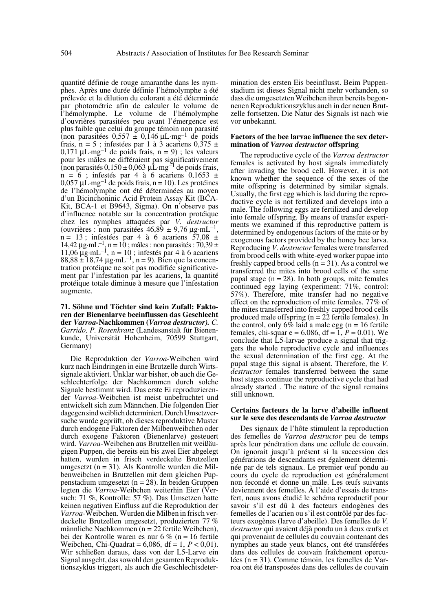quantité définie de rouge amaranthe dans les nymphes. Après une durée définie l'hémolymphe a été prélevée et la dilution du colorant a été déterminée par photométrie afin de calculer le volume de l'hémolymphe. Le volume de l'hémolymphe d'ouvrières parasitées peu avant l'émergence est plus faible que celui du groupe témoin non parasité (non parasitées  $0.557 \pm 0.146 \mu L·mg^{-1}$  de poids frais,  $n = 5$ ; infestées par 1 à 3 acariens  $0,\overline{375} \pm \overline{3}$ 0,171  $\mu L·mg^{-1}$  de poids frais, n = 9); les valeurs pour les mâles ne différaient pas significativement (non parasités  $0,150 \pm 0,063 \mu L \cdot mg^{-1}$  de poids frais,  $n = 6$ ; infestés par 4 à 6 acariens  $0,1653 \pm$ 0,057  $\mu L$ ·mg<sup>-1</sup> de poids frais, n = 10). Les protéines de l'hémolymphe ont été déterminées au moyen d'un Bicinchoninic Acid Protein Assay Kit (BCA-Kit, BCA-1 et B9643, Sigma). On n'observe pas d'influence notable sur la concentration protéique chez les nymphes attaquées par *V. destructor* (ouvrières : non parasitées  $46,89 \pm 9,76 \,\mu g \cdot mL^{-1}$ ,  $n = 13$ ; infestées par 4 à 6 acariens 57,08 ± 14,42  $\mu$ g·mL<sup>-1</sup>, n = 10; mâles : non parasités : 70,39 ± 11,06  $\mu$ g·mL<sup>-1</sup>, n = 10 ; infestés par 4 à 6 acariens  $88,88 \pm 18,74 \,\mu g \cdot mL^{-1}$ , n = 9). Bien que la concentration protéique ne soit pas modifiée significativement par l'infestation par les acariens, la quantité protéique totale diminue à mesure que l'infestation augmente.

**71. Söhne und Töchter sind kein Zufall: Faktoren der Bienenlarve beeinflussen das Geschlecht der** *Varroa-***Nachkommen (***Varroa destructor). C. Garrido, P. Rosenkranz* (Landesanstalt für Bienenkunde, Universität Hohenheim, 70599 Stuttgart, Germany)

Die Reproduktion der *Varroa*-Weibchen wird kurz nach Eindringen in eine Brutzelle durch Wirtssignale aktiviert. Unklar war bisher, ob auch die Geschlechterfolge der Nachkommen durch solche Signale bestimmt wird. Das erste Ei reproduzierender *Varroa*-Weibchen ist meist unbefruchtet und entwickelt sich zum Männchen. Die folgenden Eier dagegen sind weiblich determiniert. Durch Umsetzversuche wurde geprüft, ob dieses reproduktive Muster durch endogene Faktoren der Milbenweibchen oder durch exogene Faktoren (Bienenlarve) gesteuert wird. *Varroa-*Weibchen aus Brutzellen mit weißäugigen Puppen, die bereits ein bis zwei Eier abgelegt hatten, wurden in frisch verdeckelte Brutzellen umgesetzt (n = 31). Als Kontrolle wurden die Milbenweibchen in Brutzellen mit dem gleichen Puppenstadium umgesetzt ( $n = 28$ ). In beiden Gruppen legten die *Varroa*-Weibchen weiterhin Eier (Versuch: 71 %, Kontrolle: 57 %). Das Umsetzen hatte keinen negativen Einfluss auf die Reproduktion der *Varroa*-Weibchen. Wurden die Milben in frisch verdeckelte Brutzellen umgesetzt, produzierten 77 % männliche Nachkommen (n = 22 fertile Weibchen), bei der Kontrolle waren es nur 6 % (n = 16 fertile Weibchen, Chi-Quadrat = 6,086, df = 1, *P* < 0,01). Wir schließen daraus, dass von der L5-Larve ein Signal ausgeht, das sowohl den gesamten Reproduktionszyklus triggert, als auch die Geschlechtsdetermination des ersten Eis beeinflusst. Beim Puppenstadium ist dieses Signal nicht mehr vorhanden, so dass die umgesetzten Weibchen ihren bereits begonnenen Reproduktionszyklus auch in der neuen Brutzelle fortsetzen. Die Natur des Signals ist nach wie vor unbekannt.

#### **Factors of the bee larvae influence the sex determination of** *Varroa destructor* **offspring**

The reproductive cycle of the *Varroa destructor* females is activated by host signals immediately after invading the brood cell. However, it is not known whether the sequence of the sexes of the mite offspring is determined by similar signals. Usually, the first egg which is laid during the reproductive cycle is not fertilized and develops into a male. The following eggs are fertilized and develop into female offspring. By means of transfer experiments we examined if this reproductive pattern is determined by endogenous factors of the mite or by exogenous factors provided by the honey bee larva. Reproducing *V. destructor* females were transferred from brood cells with white-eyed worker pupae into freshly capped brood cells  $(n = 31)$ . As a control we transferred the mites into brood cells of the same pupal stage  $(n = 28)$ . In both groups, mite females continued egg laying (experiment: 71%, control: 57%). Therefore, mite transfer had no negative effect on the reproduction of mite females.  $77\%$  of the mites transferred into freshly capped brood cells produced male offspring ( $n = 22$  fertile females). In the control, only  $6\%$  laid a male egg (n = 16 fertile females, chi-squar e =  $6.086$ , df =  $1, P = 0.01$ ). We conclude that L5-larvae produce a signal that triggers the whole reproductive cycle and influences the sexual determination of the first egg. At the pupal stage this signal is absent. Therefore, the *V. destructor* females transferred between the same host stages continue the reproductive cycle that had already started . The nature of the signal remains still unknown.

#### **Certains facteurs de la larve d'abeille influent sur le sexe des descendants de** *Varroa destructor*

Des signaux de l'hôte stimulent la reproduction des femelles de *Varroa destructor* peu de temps après leur pénétration dans une cellule de couvain. On ignorait jusqu'à présent si la succession des générations de descendants est également déterminée par de tels signaux. Le premier œuf pondu au cours du cycle de reproduction est généralement non fecondé et donne un mâle. Les œufs suivants deviennent des femelles. À l'aide d'essais de transfert, nous avons étudié le schéma reproductif pour savoir s'il est dû à des facteurs endogènes des femelles de l'acarien ou s'il est contrôlé par des facteurs exogènes (larve d'abeille). Des femelles de *V. destructor* qui avaient déjà pondu un à deux œufs et qui provenaint de cellules du couvain contenant des nymphes au stade yeux blancs, ont été transférées dans des cellules de couvain fraîchement operculées (n = 31). Comme témoin, les femelles de Varroa ont été transposées dans des cellules de couvain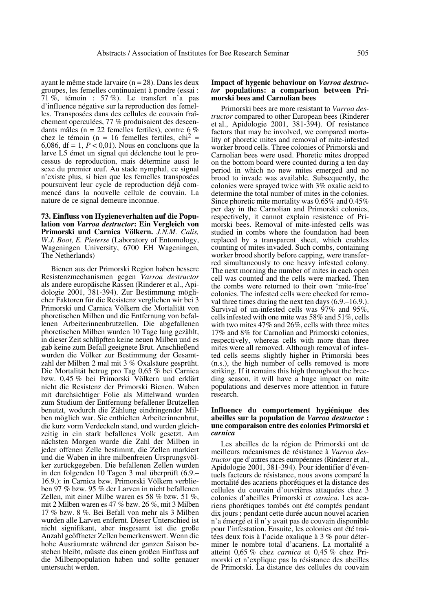ayant le même stade larvaire (n = 28). Dans les deux groupes, les femelles continuaient à pondre (essai : 71 %, témoin : 57 %). Le transfert n'a pas d'influence négative sur la reproduction des femelles. Transposées dans des cellules de couvain fraîchement operculées, 77 % produisaient des descendants mâles (n = 22 femelles fertiles), contre 6 % chez le témoin (n = 16 femelles fertiles, chi<sup>2</sup> = 6,086, df = 1,  $P < 0.01$ ). Nous en concluons que la larve L5 émet un signal qui déclenche tout le processus de reproduction, mais détermine aussi le sexe du premier œuf. Au stade nymphal, ce signal n'existe plus, si bien que les femelles transposées poursuivent leur cycle de reproduction déjà commencé dans la nouvelle cellule de couvain. La nature de ce signal demeure inconnue.

**73. Einfluss von Hygieneverhalten auf die Population von** *Varroa destructor***: Ein Vergleich von Primorski und Carnica Völkern.** *J.N.M. Calis, W.J. Boot, E. Pieterse* (Laboratory of Entomology, Wageningen University, 6700 EH Wageningen, The Netherlands)

Bienen aus der Primorski Region haben bessere Resistenzmechanismen gegen *Varroa destructor* als andere europäische Rassen (Rinderer et al., Apidologie 2001, 381-394). Zur Bestimmung möglicher Faktoren für die Resistenz verglichen wir bei 3 Primorski und Carnica Völkern die Mortalität von phoretischen Milben und die Entfernung von befallenen Arbeiterinnenbrutzellen. Die abgefallenen phoretischen Milben wurden 10 Tage lang gezählt, in dieser Zeit schlüpften keine neuen Milben und es gab keine zum Befall geeignete Brut. Anschließend wurden die Völker zur Bestimmung der Gesamtzahl der Milben 2 mal mit 3 % Oxalsäure gesprüht. Die Mortalität betrug pro Tag 0,65 % bei Carnica bzw. 0,45 % bei Primorski Völkern und erklärt nicht die Resistenz der Primorski Bienen. Waben mit durchsichtiger Folie als Mittelwand wurden zum Studium der Entfernung befallener Brutzellen benutzt, wodurch die Zählung eindringender Milben möglich war. Sie enthielten Arbeiterinnenbrut, die kurz vorm Verdeckeln stand, und wurden gleichzeitig in ein stark befallenes Volk gesetzt. Am nächsten Morgen wurde die Zahl der Milben in jeder offenen Zelle bestimmt, die Zellen markiert und die Waben in ihre milbenfreien Ursprungsvölker zurückgegeben. Die befallenen Zellen wurden in den folgenden 10 Tagen 3 mal überprüft (6.9.– 16.9.): in Carnica bzw. Primorski Völkern verblieben 97 % bzw. 95 % der Larven in nicht befallenen Zellen, mit einer Milbe waren es 58 % bzw. 51 %, mit 2 Milben waren es 47 % bzw. 26 %, mit 3 Milben 17 % bzw. 8 %. Bei Befall von mehr als 3 Milben wurden alle Larven entfernt. Dieser Unterschied ist nicht signifikant, aber insgesamt ist die große Anzahl geöffneter Zellen bemerkenswert. Wenn die hohe Ausräumrate während der ganzen Saison bestehen bleibt, müsste das einen großen Einfluss auf die Milbenpopulation haben und sollte genauer untersucht werden.

## **Impact of hygenic behaviour on** *Varroa destructor* **populations: a comparison between Primorski bees and Carnolian bees**

Primorski bees are more resistant to *Varroa destructor* compared to other European bees (Rinderer et al., Apidologie 2001, 381-394). Of resistance factors that may be involved, we compared mortality of phoretic mites and removal of mite-infested worker brood cells. Three colonies of Primorski and Carnolian bees were used. Phoretic mites dropped on the bottom board were counted during a ten day period in which no new mites emerged and no brood to invade was available. Subsequently, the colonies were sprayed twice with 3% oxalic acid to determine the total number of mites in the colonies. Since phoretic mite mortality was 0.65% and 0.45% per day in the Carnolian and Primorski colonies, respectively, it cannot explain resistence of Primorski bees. Removal of mite-infested cells was studied in combs where the foundation had been replaced by a transparent sheet, which enables counting of mites invaded. Such combs, containing worker brood shortly before capping, were transferred simultaneously to one heavy infested colony. The next morning the number of mites in each open cell was counted and the cells were marked. Then the combs were returned to their own 'mite-free' colonies. The infested cells were checked for removal three times during the next ten days (6.9.–16.9.). Survival of un-infested cells was 97% and 95%, cells infested with one mite was 58% and 51%, cells with two mites 47% and 26%, cells with three mites 17% and 8% for Carnolian and Primorski colonies, respectively, whereas cells with more than three mites were all removed. Although removal of infested cells seems slightly higher in Primorski bees (n.s.), the high number of cells removed is more striking. If it remains this high throughout the breeding season, it will have a huge impact on mite populations and deserves more attention in future research.

## **Influence du comportement hygiénique des abeilles sur la population de** *Varroa destructor* **: une comparaison entre des colonies Primorski et** *carnica*

Les abeilles de la région de Primorski ont de meilleurs mécanismes de résistance à *Varroa destructor* que d'autres races européennes (Rinderer et al., Apidologie 2001, 381-394). Pour identifier d'éventuels facteurs de résistance, nous avons comparé la mortalité des acariens phorétiques et la distance des cellules du couvain d'ouvrières attaquées chez 3 colonies d'abeilles Primorski et *carnica*. Les acariens phorétiques tombés ont été comptés pendant dix jours ; pendant cette durée aucun nouvel acarien n'a émergé et il n'y avait pas de couvain disponible pour l'infestation. Ensuite, les colonies ont été traitées deux fois à l'acide oxalique à 3 % pour déterminer le nombre total d'acariens. La mortalité a atteint 0,65 % chez *carnica* et 0,45 % chez Primorski et n'explique pas la résistance des abeilles de Primorski. La distance des cellules du couvain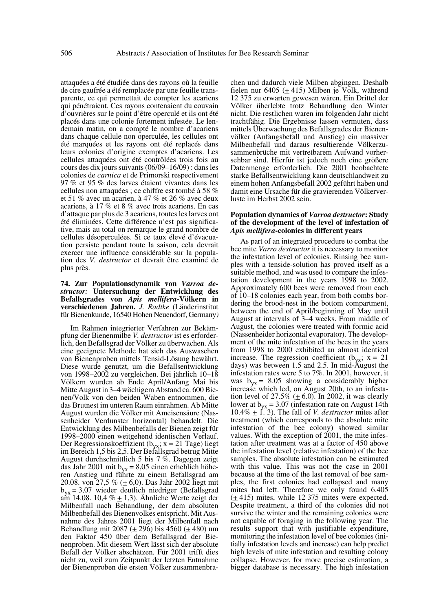attaquées a été étudiée dans des rayons où la feuille de cire gaufrée a été remplacée par une feuille transparente, ce qui permettait de compter les acariens qui pénétraient. Ces rayons contenaient du couvain d'ouvrières sur le point d'être operculé et ils ont été placés dans une colonie fortement infestée. Le lendemain matin, on a compté le nombre d'acariens dans chaque cellule non operculée, les cellules ont été marquées et les rayons ont été replacés dans leurs colonies d'origine exemptes d'acariens. Les cellules attaquées ont été contrôlées trois fois au cours des dix jours suivants (06/09–16/09) : dans les colonies de *carnica* et de Primorski respectivement 97 % et 95 % des larves étaient vivantes dans les cellules non attaquées ; ce chiffre est tombé à 58 % et 51 % avec un acarien, à 47 % et 26 % avec deux acariens, à 17 % et 8 % avec trois acariens. En cas d'attaque par plus de 3 acariens, toutes les larves ont été éliminées. Cette différence n'est pas significative, mais au total on remarque le grand nombre de cellules désoperculées. Si ce taux élevé d'évacuation persiste pendant toute la saison, cela devrait exercer une influence considérable sur la population des *V. destructor* et devrait être examiné de plus près.

# **74. Zur Populationsdynamik von** *Varroa destructor:* **Untersuchung der Entwicklung des Befallsgrades von** *Apis mellifera***-Völkern in verschiedenen Jahren.** *J. Radtke* (Länderinstitut für Bienenkunde, 16540 Hohen Neuendorf, Germany*)*

Im Rahmen integrierter Verfahren zur Bekämpfung der Bienenmilbe *V. destructor* ist es erforderlich, den Befallsgrad der Völker zu überwachen. Als eine geeignete Methode hat sich das Auswaschen von Bienenproben mittels Tensid-Lösung bewährt. Diese wurde genutzt, um die Befallsentwicklung von 1998–2002 zu vergleichen. Bei jährlich 10–18 Völkern wurden ab Ende April/Anfang Mai bis Mitte August in 3–4 wöchigem Abstand ca. 600 Bienen/Volk von den beiden Waben entnommen, die das Brutnest im unteren Raum einrahmen. Ab Mitte August wurden die Völker mit Ameisensäure (Nassenheider Verdunster horizontal) behandelt. Die Entwicklung des Milbenbefalls der Bienen zeigt für 1998–2000 einen weitgehend identischen Verlauf. Der Regressionskoeffizient (b<sub>yx</sub>; x = 21 Tage) liegt<br>im Bereich 1,5 bis 2,5. Der Befallsgrad betrug Mitte August durchschnittlich 5 bis 7  $\%$ . Dagegen zeigt das Jahr 2001 mit  $b_{vx} = 8.05$  einen erheblich höheren Anstieg und führte zu einem Befallsgrad am 20.08. von 27,5 % ( $\pm$  6,0). Das Jahr 2002 liegt mit  $b_{\text{vx}}$  = 3,07 wieder deutlich niedriger (Befallsgrad am 14.08. 10,4  $\%$  + 1,3). Ähnliche Werte zeigt der Milbenfall nach Behandlung, der dem absoluten Milbenbefall des Bienenvolkes entspricht. Mit Ausnahme des Jahres 2001 liegt der Milbenfall nach Behandlung mit 2087 ( $\pm$  296) bis 4560 ( $\pm$  480) um den Faktor 450 über dem Befallsgrad der Bienenproben. Mit diesem Wert lässt sich der absolute Befall der Völker abschätzen. Für 2001 trifft dies nicht zu, weil zum Zeitpunkt der letzten Entnahme der Bienenproben die ersten Völker zusammenbrachen und dadurch viele Milben abgingen. Deshalb fielen nur 6405 ( $\pm$  415) Milben je Volk, während 12 375 zu erwarten gewesen wären. Ein Drittel der Völker überlebte trotz Behandlung den Winter nicht. Die restlichen waren im folgenden Jahr nicht trachtfähig. Die Ergebnisse lassen vermuten, dass mittels Überwachung des Befallsgrades der Bienenvölker (Anfangsbefall und Anstieg) ein massiver Milbenbefall und daraus resultierende Völkerzusammenbrüche mit vertretbarem Aufwand vorhersehbar sind. Hierfür ist jedoch noch eine größere Datenmenge erforderlich. Die 2001 beobachtete starke Befallsentwicklung kann deutschlandweit zu einem hohen Anfangsbefall 2002 geführt haben und damit eine Ursache für die gravierenden Völkerverluste im Herbst 2002 sein.

#### **Population dynamics of** *Varroa destructor***: Study of the development of the level of infestation of** *Apis mellifera***-colonies in different years**

As part of an integrated procedure to combat the bee mite *Varro destructor* it is necessary to monitor the infestation level of colonies. Rinsing bee samples with a tenside-solution has proved itself as a suitable method, and was used to compare the infestation development in the years 1998 to 2002. Approximately 600 bees were removed from each of 10–18 colonies each year, from both combs bordering the brood-nest in the bottom compartment, between the end of April/beginning of May until August at intervals of 3–4 weeks. From middle of August, the colonies were treated with formic acid (Nassenheider horizontal evaporator). The development of the mite infestation of the bees in the years from 1998 to 2000 exhibited an almost identical increase. The regression coefficient ( $b_{vx}$ ; x = 21 days) was between 1.5 and 2.5. In mid-August the infestation rates were 5 to 7%. In 2001, however, it was  $b_{yx} = 8.05$  showing a considerably higher increase which led, on August 20th, to an infestation level of 27.5%  $(± 6.0)$ . In 2002, it was clearly lower at  $b_{yx} = 3.07$  (infestation rate on August 14th  $10.4\% \pm 1$ . 3). The fall of *V. destructor* mites after treatment (which corresponds to the absolute mite infestation of the bee colony) showed similar values. With the exception of 2001, the mite infestation after treatment was at a factor of 450 above the infestation level (relative infestation) of the bee samples. The absolute infestation can be estimated with this value. This was not the case in 2001 because at the time of the last removal of bee samples, the first colonies had collapsed and many mites had left. Therefore we only found 6.405  $(\pm 415)$  mites, while 12 375 mites were expected. Despite treatment, a third of the colonies did not survive the winter and the remaining colonies were not capable of foraging in the following year. The results support that with justifiable expenditure, monitoring the infestation level of bee colonies (initially infestation levels and increase) can help predict high levels of mite infestation and resulting colony collapse. However, for more precise estimation, a bigger database is necessary. The high infestation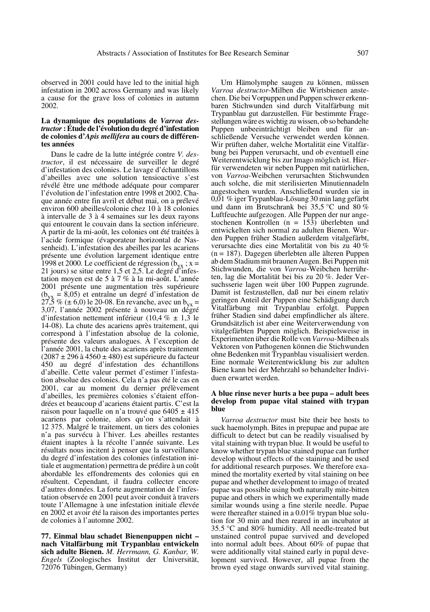observed in 2001 could have led to the initial high infestation in 2002 across Germany and was likely a cause for the grave loss of colonies in autumn 2002.

## **La dynamique des populations de** *Varroa destructor* **: Étude de l'évolution du degré d'infestation de colonies d'***Apis mellifera* **au cours de différentes années**

Dans le cadre de la lutte intégrée contre *V. destructor*, il est nécessaire de surveiller le degré d'infestation des colonies. Le lavage d'échantillons d'abeilles avec une solution tensioactive s'est révélé être une méthode adéquate pour comparer l'évolution de l'infestation entre 1998 et 2002. Chaque année entre fin avril et début mai, on a prélevé environ 600 abeilles/colonie chez 10 à 18 colonies à intervalle de 3 à 4 semaines sur les deux rayons qui entourent le couvain dans la section inférieure. A partir de la mi-août, les colonies ont été traitées à l'acide formique (évaporateur horizontal de Nassenheid). L'infestation des abeilles par les acariens présente une évolution largement identique entre 1998 et 2000. Le coefficient de régression  $(b_{vx}$ ; x = 21 jours) se situe entre 1,5 et 2,5. Le degré d'infestation moyen est de 5 à 7 % à la mi-août. L'année 2001 présente une augmentation très supérieure  $(b_{yx} = 8,05)$  et entraîne un degré d'infestation de  $27,5\%$  (± 6,0) le 20-08. En revanche, avec un b<sub>yx</sub> = 3,07, l'année 2002 présente à nouveau un degré d'infestation nettement inférieur (10,4 %  $\pm$  1,3 le 14-08). La chute des acariens après traitement, qui correspond à l'infestation absolue de la colonie, présente des valeurs analogues. À l'exception de l'année 2001, la chute des acariens après traitement  $(2087 \pm 296 \text{ à } 4560 \pm 480)$  est supérieure du facteur 450 au degré d'infestation des échantillons d'abeille. Cette valeur permet d'estimer l'infestation absolue des colonies. Cela n'a pas été le cas en 2001, car au moment du dernier prélèvement d'abeilles, les premières colonies s'étaient effondrées et beaucoup d'acariens étaient partis. C'est la raison pour laquelle on n'a trouvé que  $6405 \pm 415$ acariens par colonie, alors qu'on s'attendait à 12 375. Malgré le traitement, un tiers des colonies n'a pas survécu à l'hiver. Les abeilles restantes étaient inaptes à la récolte l'année suivante. Les résultats nous incitent à penser que la surveillance du degré d'infestation des colonies (infestation initiale et augmentation) permettra de prédire à un coût abordable les effondrements des colonies qui en résultent. Cependant, il faudra collecter encore d'autres données. La forte augmentation de l'infestation observée en 2001 peut avoir conduit à travers toute l'Allemagne à une infestation initiale élevée en 2002 et avoir été la raison des importantes pertes de colonies à l'automne 2002.

**77. Einmal blau schadet Bienenpuppen nicht – nach Vitalfärbung mit Trypanblau entwickeln sich adulte Bienen.** *M. Herrmann, G. Kanbar, W. Engels* (Zoologisches Institut der Universität, 72076 Tübingen, Germany)

Um Hämolymphe saugen zu können, müssen *Varroa destructor*-Milben die Wirtsbienen anstechen. Die bei Vorpuppen und Puppen schwer erkennbaren Stichwunden sind durch Vitalfärbung mit Trypanblau gut darzustellen. Für bestimmte Fragestellungen wäre es wichtig zu wissen, ob so behandelte Puppen unbeeinträchtigt bleiben und für anschließende Versuche verwendet werden können. Wir prüften daher, welche Mortalität eine Vitalfärbung bei Puppen verursacht, und ob eventuell eine Weiterentwicklung bis zur Imago möglich ist. Hierfür verwendeten wir neben Puppen mit natürlichen, von *Varroa*-Weibchen verursachten Stichwunden auch solche, die mit sterilisierten Minutiennadeln angestochen wurden. Anschließend wurden sie in 0,01 % iger Trypanblau-Lösung 30 min lang gefärbt und dann im Brutschrank bei 35,5 °C und 80 % Luftfeuchte aufgezogen. Alle Puppen der nur angestochenen Kontrollen (n = 153) überlebten und entwickelten sich normal zu adulten Bienen. Wurden Puppen früher Stadien außerdem vitalgefärbt, verursachte dies eine Mortalität von bis zu 40 % (n = 187). Dagegen überlebten alle älteren Puppen ab dem Stadium mit braunen Augen. Bei Puppen mit Stichwunden, die von *Varroa*-Weibchen herrührten, lag die Mortalität bei bis zu 20 %. Jeder Versuchsserie lagen weit über 100 Puppen zugrunde. Damit ist festzustellen, daß nur bei einem relativ geringen Anteil der Puppen eine Schädigung durch Vitalfärbung mit Trypanblau erfolgt. Puppen früher Stadien sind dabei empfindlicher als ältere. Grundsätzlich ist aber eine Weiterverwendung von vitalgefärbten Puppen möglich. Beispielsweise in Experimenten über die Rolle von *Varroa*-Milben als Vektoren von Pathogenen können die Stichwunden ohne Bedenken mit Trypanblau visualisiert werden. Eine normale Weiterentwicklung bis zur adulten Biene kann bei der Mehrzahl so behandelter Individuen erwartet werden.

#### **A blue rinse never hurts a bee pupa – adult bees develop from pupae vital stained with trypan blue**

*Varroa destructor* must bite their bee hosts to suck haemolymph. Bites in prepupae and pupae are difficult to detect but can be readily visualised by vital staining with trypan blue. It would be useful to know whether trypan blue stained pupae can further develop without effects of the staining and be used for additional research purposes. We therefore examined the mortality exerted by vital staining on bee pupae and whether development to imago of treated pupae was possible using both naturally mite-bitten pupae and others in which we experimentally made similar wounds using a fine sterile needle. Pupae were thereafter stained in a 0.01% trypan blue solution for 30 min and then reared in an incubator at 35.5 °C and 80% humidity. All needle-treated but unstained control pupae survived and developed into normal adult bees. About 60% of pupae that were additionally vital stained early in pupal development survived. However, all pupae from the brown eyed stage onwards survived vital staining.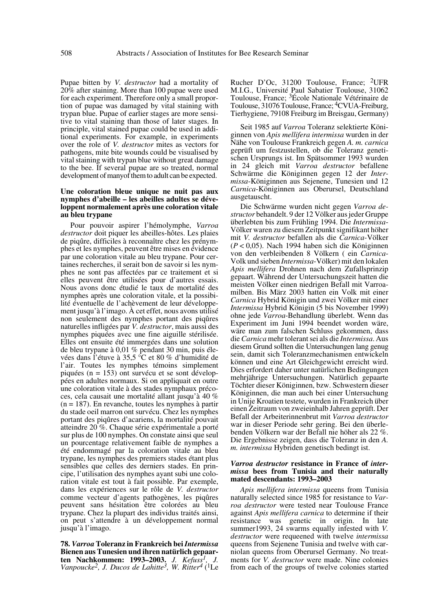Pupae bitten by *V. destructor* had a mortality of 20% after staining. More than 100 pupae were used for each experiment. Therefore only a small proportion of pupae was damaged by vital staining with trypan blue. Pupae of earlier stages are more sensitive to vital staining than those of later stages. In principle, vital stained pupae could be used in additional experiments. For example, in experiments over the role of *V. destructor* mites as vectors for pathogens, mite bite wounds could be visualised by vital staining with trypan blue without great damage to the bee. If several pupae are so treated, normal development of manyof them to adult can be expected.

## **Une coloration bleue unique ne nuit pas aux nymphes d'abeille – les abeilles adultes se développent normalement après une coloration vitale au bleu trypane**

Pour pouvoir aspirer l'hémolymphe, *Varroa destructor* doit piquer les abeilles-hôtes. Les plaies de piqûre, difficiles à reconnaître chez les prénymphes et les nymphes, peuvent être mises en évidence par une coloration vitale au bleu trypane. Pour certaines recherches, il serait bon de savoir si les nymphes ne sont pas affectées par ce traitement et si elles peuvent être utilisées pour d'autres essais. Nous avons donc étudié le taux de mortalité des nymphes après une coloration vitale, et la possibilité éventuelle de l'achèvement de leur développement jusqu'à l'imago. À cet effet, nous avons utilisé non seulement des nymphes portant des piqûres naturelles infligées par *V. destructor*, mais aussi des nymphes piquées avec une fine aiguille stérilisée. Elles ont ensuite été immergées dans une solution de bleu trypane à 0,01 % pendant 30 min, puis élevées dans l'étuve à 35,5 °C et 80 % d'humidité de l'air. Toutes les nymphes témoins simplement piquées (n = 153) ont survécu et se sont développées en adultes normaux. Si on appliquait en outre une coloration vitale à des stades nymphaux précoces, cela causait une mortalité allant jusqu'à 40 % (n = 187). En revanche, toutes les nymphes à partir du stade oeil marron ont survécu. Chez les nymphes portant des piqûres d'acariens, la mortalité pouvait atteindre 20 %. Chaque série expérimentale a porté sur plus de 100 nymphes. On constate ainsi que seul un pourcentage relativement faible de nymphes a été endommagé par la coloration vitale au bleu trypane, les nymphes des premiers stades étant plus sensibles que celles des derniers stades. En principe, l'utilisation des nymphes ayant subi une coloration vitale est tout à fait possible. Par exemple, dans les expériences sur le rôle de *V. destructor* comme vecteur d'agents pathogènes, les piqûres peuvent sans hésitation être colorées au bleu trypane. Chez la plupart des individus traités ainsi, on peut s'attendre à un développement normal jusqu'à l'imago.

**78.** *Varroa* **Toleranz in Frankreich bei** *Intermissa* **Bienen aus Tunesien und ihren natürlich gepaarten Nachkommen: 1993–2003.** *J. Kefuss1, J. Vanpoucke2, J. Ducos de Lahitte3, W. Ritter4* (1Le

Rucher D'Oc, 31200 Toulouse, France; 2UFR M.I.G., Université Paul Sabatier Toulouse, 31062 Toulouse, France; 3École Nationale Vétérinaire de Toulouse, 31076 Toulouse, France; 4CVUA-Freiburg, Tierhygiene, 79108 Freiburg im Breisgau, Germany)

Seit 1985 auf *Varroa* Toleranz selektierte Königinnen von *Apis mellifera intermissa* wurden in der Nähe von Toulouse Frankreich gegen *A. m. carnica* geprüft um festzustellen, ob die Toleranz genetischen Ursprungs ist. Im Spätsommer 1993 wurden in 24 gleich mit *Varroa destructor* befallene Schwärme die Königinnen gegen 12 der *Intermissa*-Königinnen aus Sejenene, Tunesien und 12 *Carnica*-Königinnen aus Oberursel, Deutschland ausgetauscht.

Die Schwärme wurden nicht gegen *Varroa destructor* behandelt. 9 der 12 Völker aus jeder Gruppe überlebten bis zum Frühling 1994. Die *Intermissa*- Völker waren zu diesem Zeitpunkt signifikant höher mit *V. destructor* befallen als die *Carnica*-Völker (*P* < 0,05). Nach 1994 haben sich die Königinnen von den verbleibenden 8 Völkern ( ein *Carnica*-Volk und sieben *Intermissa*-Völker) mit den lokalen *Apis mellifera* Drohnen nach dem Zufallsprinzip gepaart. Während der Untersuchungszeit hatten die meisten Völker einen niedrigen Befall mit Varroamilben. Bis März 2003 hatten ein Volk mit einer *Carnica* Hybrid Königin und zwei Völker mit einer *Intermissa* Hybrid Königin (5 bis November 1999) ohne jede *Varroa*-Behandlung überlebt. Wenn das Experiment im Juni 1994 beendet worden wäre, wäre man zum falschen Schluss gekommen, dass die *Carnica* mehr tolerant sei als die *Intermissa*. Aus diesem Grund sollten die Untersuchungen lang genug sein, damit sich Toleranzmechanismen entwickeln können und eine Art Gleichgewicht erreicht wird. Dies erfordert daher unter natürlichen Bedingungen mehrjährige Untersuchungen. Natürlich gepaarte Töchter dieser Königinnen, bzw. Schwestern dieser Königinnen, die man auch bei einer Untersuchung in Unije Kroatien testete, wurden in Frankreich über einen Zeitraum von zweieinhalb Jahren geprüft. Der Befall der Arbeiterinnenbrut mit *Varroa destructor* war in dieser Periode sehr gering. Bei den überlebenden Völkern war der Befall nie höher als 22 %. Die Ergebnisse zeigen, dass die Toleranz in den *A. m. intermissa* Hybriden genetisch bedingt ist.

#### *Varroa destructor* **resistance in France of** *intermissa* **bees from Tunisia and their naturally mated descendants: 1993–2003**

*Apis mellifera intermissa* queens from Tunisia naturally selected since 1985 for resistance to *Varroa destructor* were tested near Toulouse France against *Apis mellifera carnica* to determine if their resistance was genetic in origin. In late summer1993, 24 swarms equally infested with *V. destructor* were requeened with twelve *intermissa* queens from Sejenene Tunisia and twelve with carniolan queens from Oberursel Germany. No treatments for *V. destructor* were made. Nine colonies from each of the groups of twelve colonies started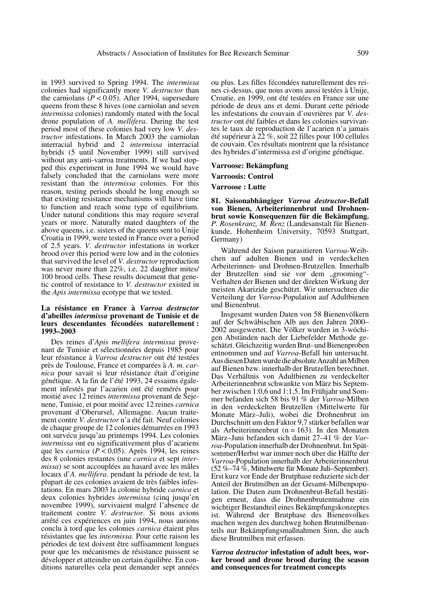in 1993 survived to Spring 1994. The *intermissa* colonies had significantly more *V. destructor* than the carniolans  $(P < 0.05)$ . After 1994, supersedure queens from these 8 hives (one carniolan and seven *intermissa* colonies) randomly mated with the local drone population of *A. mellifera.* During the test period most of these colonies had very low *V. destructor* infestations. In March 2003 the carniolan interracial hybrid and 2 *intermissa* interracial hybrids (5 until November 1999) still survived without any anti-varroa treatments. If we had stopped this experiment in June 1994 we would have falsely concluded that the carniolans were more resistant than the *intermissa* colonies. For this reason, testing periods should be long enough so that existing resistance mechanisms will have time to function and reach some type of equilibrium. Under natural conditions this may require several years or more. Naturally mated daughters of the above queens, i.e. sisters of the queens sent to Unije Croatia in 1999, were tested in France over a period of 2.5 years. *V. destructor* infestations in worker brood over this period were low and in the colonies that survived the level of *V. destructor* reproduction was never more than 22%, i.e, 22 daughter mites/ 100 brood cells. These results document that genetic control of resistance to *V. destructor* existed in the *Apis intermissa* ecotype that we tested.

## **La résistance en France à** *Varroa destructor* **d'abeilles** *intermissa* **provenant de Tunisie et de leurs descendantes fécondées naturellement : 1993–2003**

Des reines d'*Apis mellifera intermissa* provenant de Tunisie et sélectionnées depuis 1985 pour leur résistance à *Varroa destructor* ont été testées près de Toulouse, France et comparées à *A. m. carnica* pour savait si leur résistance était d'origine génétique. A la fin de l'été 1993, 24 essaims également infestés par l'acarien ont été remérés pour moitié avec 12 reines *intermissa* provenant de Sejenene, Tunisie, et pour moitié avec 12 reines *carnica* provenant d'Oberursel, Allemagne. Aucun traitement contre *V. destructor* n'a été fait. Neuf colonies de chaque groupe de 12 colonies démarrées en 1993 ont survécu jusqu'au printemps 1994. Les colonies *intermissa* ont eu significativement plus d'acariens que les *carnica* ( $P \le 0.05$ ). Après 1994, les reines des 8 colonies restantes (une *carnica* et sept *intermissa*) se sont accouplées au hasard avec les mâles locaux d'*A. mellifera*. pendant la période de test, la plupart de ces colonies avaient de très faibles infestations. En mars 2003 la colonie hybride *carnica* et deux colonies hybrides *intermissa* (cinq jusqu'en novembre 1999), survivaient malgré l'absence de traitement contre *V. destructor*. Si nous avions arrêté ces expériences en juin 1994, nous aurions conclu à tord que les colonies *carnica* étaient plus résistantes que les *intermissa*. Pour cette raison les périodes de test doivent être suffisamment longues pour que les mécanismes de résistance puissent se développer et atteindre un certain équilibre. En conditions naturelles cela peut demander sept années ou plus. Les filles fécondées naturellement des reines ci-dessus, que nous avons aussi testées à Unije, Croatie, en 1999, ont été testées en France sur une période de deux ans et demi. Durant cette période les infestations du couvain d'ouvrières par *V. destructor* ont été faibles et dans les colonies survivantes le taux de reproduction de l'acarien n'a jamais été supérieur à 22 %, soit 22 filles pour 100 cellules de couvain. Ces résultats montrent que la résistance des hybrides d'intermissa est d'origine génétique.

# **Varroose: Bekämpfung**

# **Varroosis: Control**

**Varroose : Lutte**

**81. Saisonabhängiger** *Varroa destructor***-Befall von Bienen, Arbeiterinnenbrut und Drohnenbrut sowie Konsequenzen für die Bekämpfung.** *P. Rosenkranz, M. Renz* (Landesanstalt für Bienenkunde, Hohenheim University, 70593 Stuttgart, Germany)

Während der Saison parasitieren *Varroa*-Weibchen auf adulten Bienen und in verdeckelten Arbeiterinnen- und Drohnen-Brutzellen. Innerhalb der Brutzellen sind sie vor dem "grooming"-Verhalten der Bienen und der direkten Wirkung der meisten Akarizide geschützt. Wir untersuchten die Verteilung der *Varroa*-Population auf Adultbienen und Bienenbrut.

Insgesamt wurden Daten von 58 Bienenvölkern auf der Schwäbischen Alb aus den Jahren 2000– 2002 ausgewertet. Die Völker wurden in 3-wöchigen Abständen nach der Liebefelder Methode geschätzt. Gleichzeitig wurden Brut- und Bienenproben entnommen und auf *Varroa*-Befall hin untersucht. Aus diesen Daten wurde die absolute Anzahl an Milben auf Bienen bzw. innerhalb der Brutzellen berechnet. Das Verhältnis von Adultbienen zu verdeckelter Arbeiterinnenbrut schwankte von März bis September zwischen 1:0,6 und 1:1,5. Im Frühjahr und Sommer befanden sich 58 bis 91 % der *Varroa*-Milben in den verdeckelten Brutzellen (Mittelwerte für Monate März–Juli), wobei die Drohnenbrut im Durchschnitt um den Faktor 9,7 stärker befallen war als Arbeiterinnenbrut ( $n = 163$ ). In den Monaten März–Juni befanden sich damit 27–41 % der *Varroa*-Population innerhalb der Drohnenbrut. Im Spätsommer/Herbst war immer noch über die Hälfte der *Varroa*-Population innerhalb der Arbeiterinnenbrut (52 %–74 %, Mittelwerte für Monate Juli–September). Erst kurz vor Ende der Brutphase reduzierte sich der Anteil der Brutmilben an der Gesamt-Milbenpopulation. Die Daten zum Drohnenbrut-Befall bestätigen erneut, dass die Drohnenbrutentnahme ein wichtiger Bestandteil eines Bekämpfungskonzeptes ist. Während der Brutphase des Bienenvolkes machen wegen des durchweg hohen Brutmilbenanteils nur Bekämpfungsmaßnahmen Sinn, die auch diese Brutmilben mit erfassen.

*Varroa destructor* **infestation of adult bees, worker brood and drone brood during the season and consequences for treatment concepts**